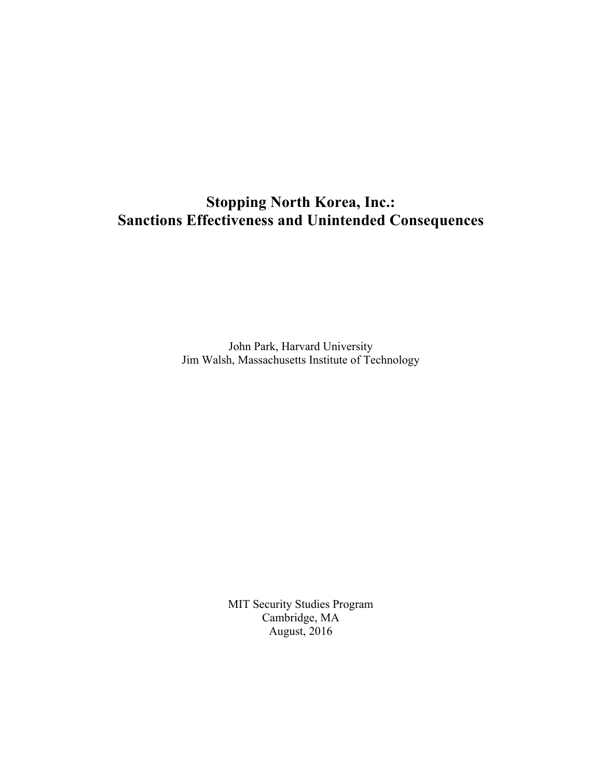# **Stopping North Korea, Inc.: Sanctions Effectiveness and Unintended Consequences**

John Park, Harvard University Jim Walsh, Massachusetts Institute of Technology

> MIT Security Studies Program Cambridge, MA August, 2016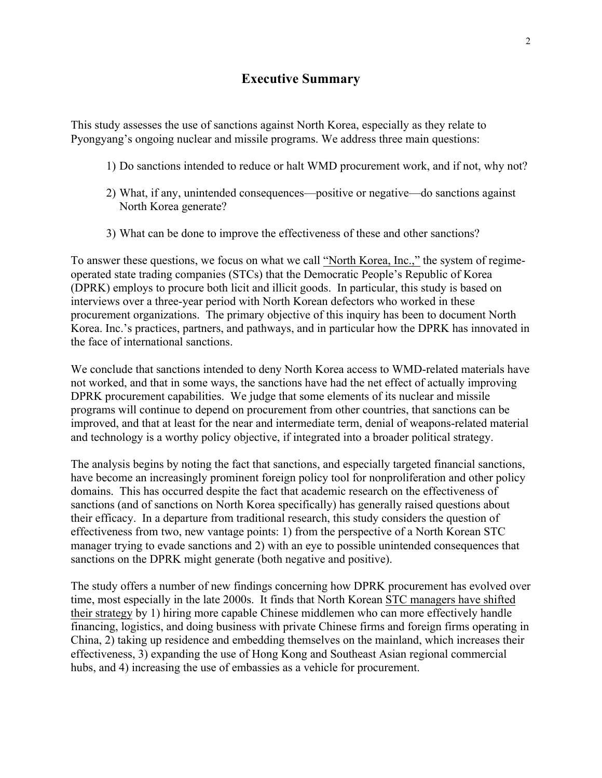# **Executive Summary**

This study assesses the use of sanctions against North Korea, especially as they relate to Pyongyang's ongoing nuclear and missile programs. We address three main questions:

- 1) Do sanctions intended to reduce or halt WMD procurement work, and if not, why not?
- 2) What, if any, unintended consequences—positive or negative—do sanctions against North Korea generate?
- 3) What can be done to improve the effectiveness of these and other sanctions?

To answer these questions, we focus on what we call "North Korea, Inc.," the system of regimeoperated state trading companies (STCs) that the Democratic People's Republic of Korea (DPRK) employs to procure both licit and illicit goods. In particular, this study is based on interviews over a three-year period with North Korean defectors who worked in these procurement organizations. The primary objective of this inquiry has been to document North Korea. Inc.'s practices, partners, and pathways, and in particular how the DPRK has innovated in the face of international sanctions.

We conclude that sanctions intended to deny North Korea access to WMD-related materials have not worked, and that in some ways, the sanctions have had the net effect of actually improving DPRK procurement capabilities. We judge that some elements of its nuclear and missile programs will continue to depend on procurement from other countries, that sanctions can be improved, and that at least for the near and intermediate term, denial of weapons-related material and technology is a worthy policy objective, if integrated into a broader political strategy.

The analysis begins by noting the fact that sanctions, and especially targeted financial sanctions, have become an increasingly prominent foreign policy tool for nonproliferation and other policy domains. This has occurred despite the fact that academic research on the effectiveness of sanctions (and of sanctions on North Korea specifically) has generally raised questions about their efficacy. In a departure from traditional research, this study considers the question of effectiveness from two, new vantage points: 1) from the perspective of a North Korean STC manager trying to evade sanctions and 2) with an eye to possible unintended consequences that sanctions on the DPRK might generate (both negative and positive).

The study offers a number of new findings concerning how DPRK procurement has evolved over time, most especially in the late 2000s. It finds that North Korean STC managers have shifted their strategy by 1) hiring more capable Chinese middlemen who can more effectively handle financing, logistics, and doing business with private Chinese firms and foreign firms operating in China, 2) taking up residence and embedding themselves on the mainland, which increases their effectiveness, 3) expanding the use of Hong Kong and Southeast Asian regional commercial hubs, and 4) increasing the use of embassies as a vehicle for procurement.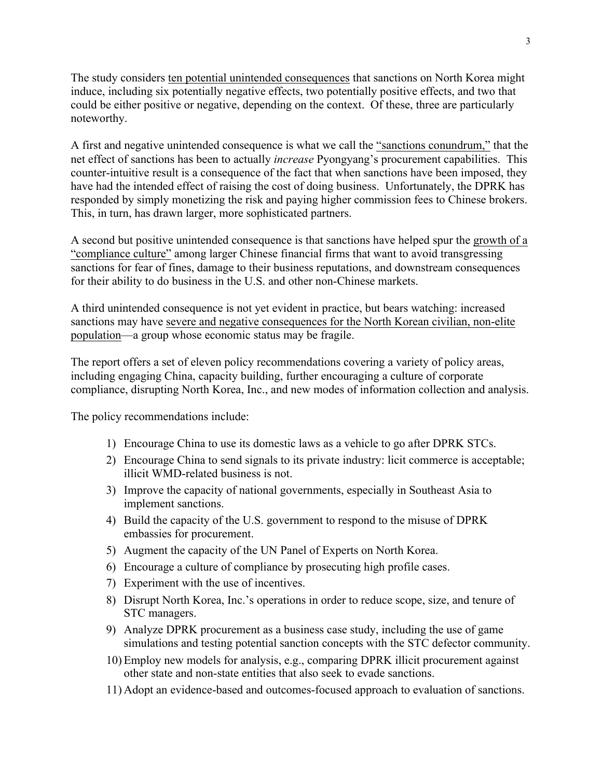The study considers ten potential unintended consequences that sanctions on North Korea might induce, including six potentially negative effects, two potentially positive effects, and two that could be either positive or negative, depending on the context. Of these, three are particularly noteworthy.

A first and negative unintended consequence is what we call the "sanctions conundrum," that the net effect of sanctions has been to actually *increase* Pyongyang's procurement capabilities. This counter-intuitive result is a consequence of the fact that when sanctions have been imposed, they have had the intended effect of raising the cost of doing business. Unfortunately, the DPRK has responded by simply monetizing the risk and paying higher commission fees to Chinese brokers. This, in turn, has drawn larger, more sophisticated partners.

A second but positive unintended consequence is that sanctions have helped spur the growth of a "compliance culture" among larger Chinese financial firms that want to avoid transgressing sanctions for fear of fines, damage to their business reputations, and downstream consequences for their ability to do business in the U.S. and other non-Chinese markets.

A third unintended consequence is not yet evident in practice, but bears watching: increased sanctions may have severe and negative consequences for the North Korean civilian, non-elite population—a group whose economic status may be fragile.

The report offers a set of eleven policy recommendations covering a variety of policy areas, including engaging China, capacity building, further encouraging a culture of corporate compliance, disrupting North Korea, Inc., and new modes of information collection and analysis.

The policy recommendations include:

- 1) Encourage China to use its domestic laws as a vehicle to go after DPRK STCs.
- 2) Encourage China to send signals to its private industry: licit commerce is acceptable; illicit WMD-related business is not.
- 3) Improve the capacity of national governments, especially in Southeast Asia to implement sanctions.
- 4) Build the capacity of the U.S. government to respond to the misuse of DPRK embassies for procurement.
- 5) Augment the capacity of the UN Panel of Experts on North Korea.
- 6) Encourage a culture of compliance by prosecuting high profile cases.
- 7) Experiment with the use of incentives.
- 8) Disrupt North Korea, Inc.'s operations in order to reduce scope, size, and tenure of STC managers.
- 9) Analyze DPRK procurement as a business case study, including the use of game simulations and testing potential sanction concepts with the STC defector community.
- 10) Employ new models for analysis, e.g., comparing DPRK illicit procurement against other state and non-state entities that also seek to evade sanctions.
- 11) Adopt an evidence-based and outcomes-focused approach to evaluation of sanctions.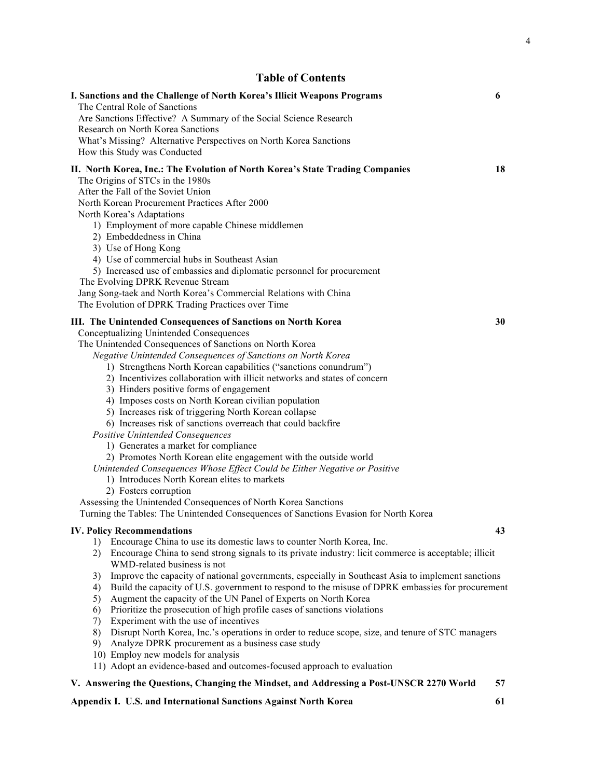# **Table of Contents**

| I. Sanctions and the Challenge of North Korea's Illicit Weapons Programs<br>The Central Role of Sanctions                                                                                                                                                                                                                                                                                                                                                                                                                                                                                                                                                                                                                                                                                                                                                                                                                                                                                                                                                                       | 6  |
|---------------------------------------------------------------------------------------------------------------------------------------------------------------------------------------------------------------------------------------------------------------------------------------------------------------------------------------------------------------------------------------------------------------------------------------------------------------------------------------------------------------------------------------------------------------------------------------------------------------------------------------------------------------------------------------------------------------------------------------------------------------------------------------------------------------------------------------------------------------------------------------------------------------------------------------------------------------------------------------------------------------------------------------------------------------------------------|----|
| Are Sanctions Effective? A Summary of the Social Science Research<br>Research on North Korea Sanctions                                                                                                                                                                                                                                                                                                                                                                                                                                                                                                                                                                                                                                                                                                                                                                                                                                                                                                                                                                          |    |
| What's Missing? Alternative Perspectives on North Korea Sanctions<br>How this Study was Conducted                                                                                                                                                                                                                                                                                                                                                                                                                                                                                                                                                                                                                                                                                                                                                                                                                                                                                                                                                                               |    |
| II. North Korea, Inc.: The Evolution of North Korea's State Trading Companies<br>The Origins of STCs in the 1980s<br>After the Fall of the Soviet Union<br>North Korean Procurement Practices After 2000<br>North Korea's Adaptations<br>1) Employment of more capable Chinese middlemen<br>2) Embeddedness in China<br>3) Use of Hong Kong<br>4) Use of commercial hubs in Southeast Asian<br>5) Increased use of embassies and diplomatic personnel for procurement<br>The Evolving DPRK Revenue Stream<br>Jang Song-taek and North Korea's Commercial Relations with China<br>The Evolution of DPRK Trading Practices over Time                                                                                                                                                                                                                                                                                                                                                                                                                                              | 18 |
| III. The Unintended Consequences of Sanctions on North Korea<br>Conceptualizing Unintended Consequences<br>The Unintended Consequences of Sanctions on North Korea<br>Negative Unintended Consequences of Sanctions on North Korea<br>1) Strengthens North Korean capabilities ("sanctions conundrum")<br>2) Incentivizes collaboration with illicit networks and states of concern<br>3) Hinders positive forms of engagement<br>4) Imposes costs on North Korean civilian population<br>5) Increases risk of triggering North Korean collapse<br>6) Increases risk of sanctions overreach that could backfire<br>Positive Unintended Consequences<br>1) Generates a market for compliance<br>2) Promotes North Korean elite engagement with the outside world<br>Unintended Consequences Whose Effect Could be Either Negative or Positive<br>1) Introduces North Korean elites to markets<br>2) Fosters corruption<br>Assessing the Unintended Consequences of North Korea Sanctions<br>Turning the Tables: The Unintended Consequences of Sanctions Evasion for North Korea | 30 |
| <b>IV. Policy Recommendations</b>                                                                                                                                                                                                                                                                                                                                                                                                                                                                                                                                                                                                                                                                                                                                                                                                                                                                                                                                                                                                                                               | 43 |
| Encourage China to use its domestic laws to counter North Korea, Inc.<br>1)<br>Encourage China to send strong signals to its private industry: licit commerce is acceptable; illicit<br>2)<br>WMD-related business is not<br>Improve the capacity of national governments, especially in Southeast Asia to implement sanctions<br>3)<br>Build the capacity of U.S. government to respond to the misuse of DPRK embassies for procurement<br>4)<br>Augment the capacity of the UN Panel of Experts on North Korea<br>5)                                                                                                                                                                                                                                                                                                                                                                                                                                                                                                                                                          |    |
| Prioritize the prosecution of high profile cases of sanctions violations<br>6)<br>Experiment with the use of incentives<br>7)<br>Disrupt North Korea, Inc.'s operations in order to reduce scope, size, and tenure of STC managers<br>8)<br>Analyze DPRK procurement as a business case study<br>9)<br>10) Employ new models for analysis                                                                                                                                                                                                                                                                                                                                                                                                                                                                                                                                                                                                                                                                                                                                       |    |
| 11) Adopt an evidence-based and outcomes-focused approach to evaluation<br>V. Answering the Questions, Changing the Mindset, and Addressing a Post-UNSCR 2270 World                                                                                                                                                                                                                                                                                                                                                                                                                                                                                                                                                                                                                                                                                                                                                                                                                                                                                                             | 57 |
|                                                                                                                                                                                                                                                                                                                                                                                                                                                                                                                                                                                                                                                                                                                                                                                                                                                                                                                                                                                                                                                                                 |    |

## **Appendix I. U.S. and International Sanctions Against North Korea 61**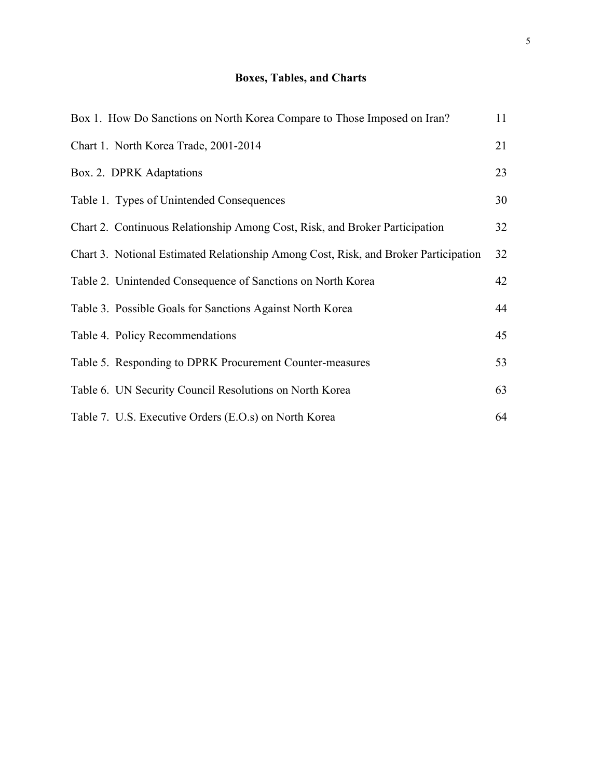# **Boxes, Tables, and Charts**

| Box 1. How Do Sanctions on North Korea Compare to Those Imposed on Iran?            | 11 |
|-------------------------------------------------------------------------------------|----|
| Chart 1. North Korea Trade, 2001-2014                                               | 21 |
| Box. 2. DPRK Adaptations                                                            | 23 |
| Table 1. Types of Unintended Consequences                                           | 30 |
| Chart 2. Continuous Relationship Among Cost, Risk, and Broker Participation         | 32 |
| Chart 3. Notional Estimated Relationship Among Cost, Risk, and Broker Participation | 32 |
| Table 2. Unintended Consequence of Sanctions on North Korea                         | 42 |
| Table 3. Possible Goals for Sanctions Against North Korea                           | 44 |
| Table 4. Policy Recommendations                                                     | 45 |
| Table 5. Responding to DPRK Procurement Counter-measures                            | 53 |
| Table 6. UN Security Council Resolutions on North Korea                             | 63 |
| Table 7. U.S. Executive Orders (E.O.s) on North Korea                               | 64 |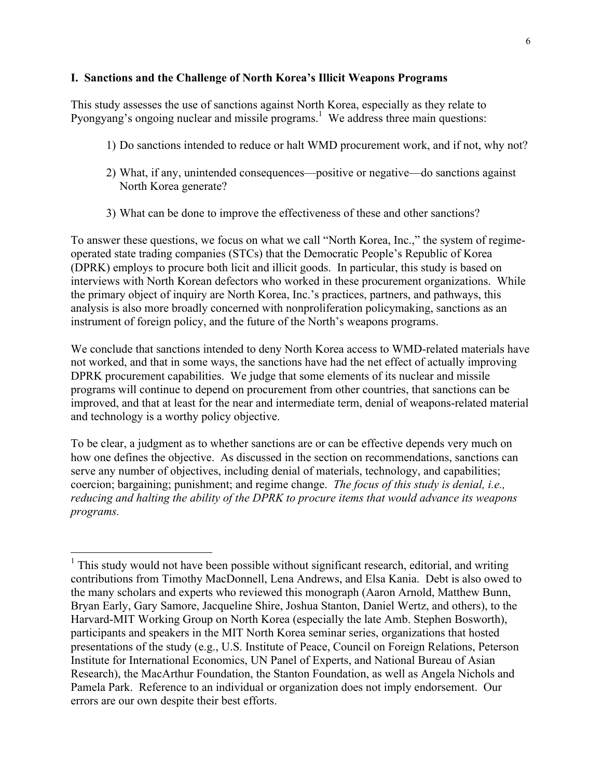## **I. Sanctions and the Challenge of North Korea's Illicit Weapons Programs**

This study assesses the use of sanctions against North Korea, especially as they relate to Pyongyang's ongoing nuclear and missile programs.<sup>1</sup> We address three main questions:

- 1) Do sanctions intended to reduce or halt WMD procurement work, and if not, why not?
- 2) What, if any, unintended consequences—positive or negative—do sanctions against North Korea generate?
- 3) What can be done to improve the effectiveness of these and other sanctions?

To answer these questions, we focus on what we call "North Korea, Inc.," the system of regimeoperated state trading companies (STCs) that the Democratic People's Republic of Korea (DPRK) employs to procure both licit and illicit goods. In particular, this study is based on interviews with North Korean defectors who worked in these procurement organizations. While the primary object of inquiry are North Korea, Inc.'s practices, partners, and pathways, this analysis is also more broadly concerned with nonproliferation policymaking, sanctions as an instrument of foreign policy, and the future of the North's weapons programs.

We conclude that sanctions intended to deny North Korea access to WMD-related materials have not worked, and that in some ways, the sanctions have had the net effect of actually improving DPRK procurement capabilities. We judge that some elements of its nuclear and missile programs will continue to depend on procurement from other countries, that sanctions can be improved, and that at least for the near and intermediate term, denial of weapons-related material and technology is a worthy policy objective.

To be clear, a judgment as to whether sanctions are or can be effective depends very much on how one defines the objective. As discussed in the section on recommendations, sanctions can serve any number of objectives, including denial of materials, technology, and capabilities; coercion; bargaining; punishment; and regime change. *The focus of this study is denial, i.e., reducing and halting the ability of the DPRK to procure items that would advance its weapons programs.*

 $1$ . This study would not have been possible without significant research, editorial, and writing contributions from Timothy MacDonnell, Lena Andrews, and Elsa Kania. Debt is also owed to the many scholars and experts who reviewed this monograph (Aaron Arnold, Matthew Bunn, Bryan Early, Gary Samore, Jacqueline Shire, Joshua Stanton, Daniel Wertz, and others), to the Harvard-MIT Working Group on North Korea (especially the late Amb. Stephen Bosworth), participants and speakers in the MIT North Korea seminar series, organizations that hosted presentations of the study (e.g., U.S. Institute of Peace, Council on Foreign Relations, Peterson Institute for International Economics, UN Panel of Experts, and National Bureau of Asian Research), the MacArthur Foundation, the Stanton Foundation, as well as Angela Nichols and Pamela Park. Reference to an individual or organization does not imply endorsement. Our errors are our own despite their best efforts.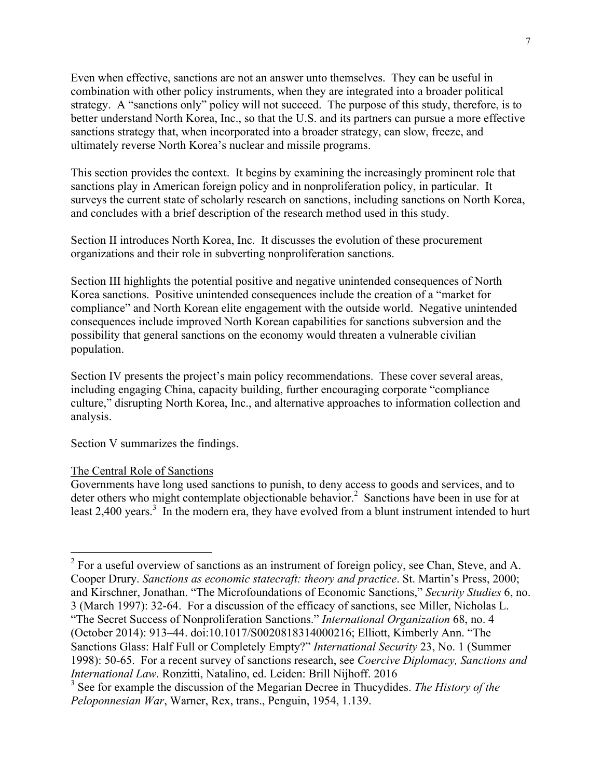Even when effective, sanctions are not an answer unto themselves. They can be useful in combination with other policy instruments, when they are integrated into a broader political strategy. A "sanctions only" policy will not succeed. The purpose of this study, therefore, is to better understand North Korea, Inc., so that the U.S. and its partners can pursue a more effective sanctions strategy that, when incorporated into a broader strategy, can slow, freeze, and ultimately reverse North Korea's nuclear and missile programs.

This section provides the context. It begins by examining the increasingly prominent role that sanctions play in American foreign policy and in nonproliferation policy, in particular. It surveys the current state of scholarly research on sanctions, including sanctions on North Korea, and concludes with a brief description of the research method used in this study.

Section II introduces North Korea, Inc. It discusses the evolution of these procurement organizations and their role in subverting nonproliferation sanctions.

Section III highlights the potential positive and negative unintended consequences of North Korea sanctions. Positive unintended consequences include the creation of a "market for compliance" and North Korean elite engagement with the outside world. Negative unintended consequences include improved North Korean capabilities for sanctions subversion and the possibility that general sanctions on the economy would threaten a vulnerable civilian population.

Section IV presents the project's main policy recommendations. These cover several areas, including engaging China, capacity building, further encouraging corporate "compliance culture," disrupting North Korea, Inc., and alternative approaches to information collection and analysis.

Section V summarizes the findings.

#### The Central Role of Sanctions

Governments have long used sanctions to punish, to deny access to goods and services, and to deter others who might contemplate objectionable behavior.<sup>2</sup> Sanctions have been in use for at least 2,400 years.<sup>3</sup> In the modern era, they have evolved from a blunt instrument intended to hurt

 $2^2$  For a useful overview of sanctions as an instrument of foreign policy, see Chan, Steve, and A. Cooper Drury. *Sanctions as economic statecraft: theory and practice*. St. Martin's Press, 2000; and Kirschner, Jonathan. "The Microfoundations of Economic Sanctions," *Security Studies* 6, no. 3 (March 1997): 32-64. For a discussion of the efficacy of sanctions, see Miller, Nicholas L. "The Secret Success of Nonproliferation Sanctions." *International Organization* 68, no. 4 (October 2014): 913–44. doi:10.1017/S0020818314000216; Elliott, Kimberly Ann. "The Sanctions Glass: Half Full or Completely Empty?" *International Security* 23, No. 1 (Summer 1998): 50-65. For a recent survey of sanctions research, see *Coercive Diplomacy, Sanctions and International Law*. Ronzitti, Natalino, ed. Leiden: Brill Nijhoff. 2016

<sup>3</sup> See for example the discussion of the Megarian Decree in Thucydides. *The History of the Peloponnesian War*, Warner, Rex, trans., Penguin, 1954, 1.139.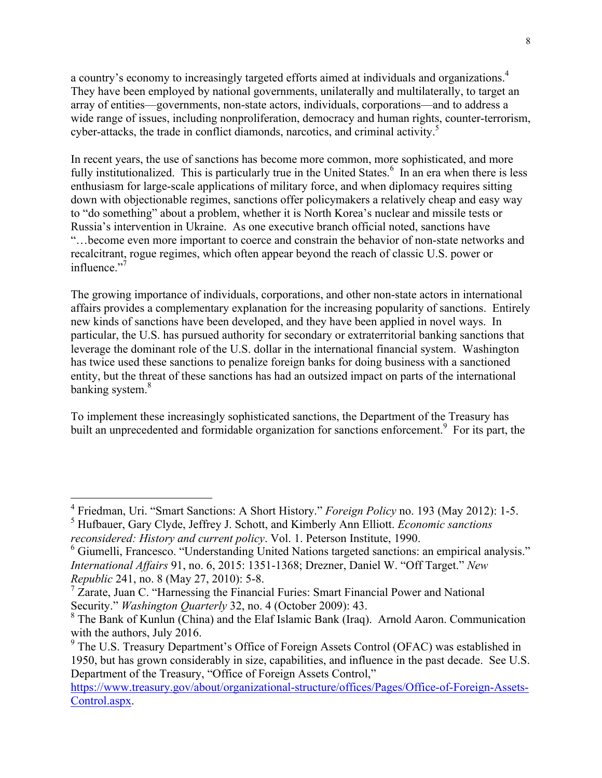a country's economy to increasingly targeted efforts aimed at individuals and organizations.<sup>4</sup> They have been employed by national governments, unilaterally and multilaterally, to target an array of entities—governments, non-state actors, individuals, corporations—and to address a wide range of issues, including nonproliferation, democracy and human rights, counter-terrorism, cyber-attacks, the trade in conflict diamonds, narcotics, and criminal activity.<sup>5</sup>

In recent years, the use of sanctions has become more common, more sophisticated, and more fully institutionalized. This is particularly true in the United States.<sup>6</sup> In an era when there is less enthusiasm for large-scale applications of military force, and when diplomacy requires sitting down with objectionable regimes, sanctions offer policymakers a relatively cheap and easy way to "do something" about a problem, whether it is North Korea's nuclear and missile tests or Russia's intervention in Ukraine. As one executive branch official noted, sanctions have "…become even more important to coerce and constrain the behavior of non-state networks and recalcitrant, rogue regimes, which often appear beyond the reach of classic U.S. power or influence."<sup>7</sup>

The growing importance of individuals, corporations, and other non-state actors in international affairs provides a complementary explanation for the increasing popularity of sanctions. Entirely new kinds of sanctions have been developed, and they have been applied in novel ways. In particular, the U.S. has pursued authority for secondary or extraterritorial banking sanctions that leverage the dominant role of the U.S. dollar in the international financial system. Washington has twice used these sanctions to penalize foreign banks for doing business with a sanctioned entity, but the threat of these sanctions has had an outsized impact on parts of the international banking system.<sup>8</sup>

To implement these increasingly sophisticated sanctions, the Department of the Treasury has built an unprecedented and formidable organization for sanctions enforcement.<sup>9</sup> For its part, the

 <sup>4</sup> Friedman, Uri. "Smart Sanctions: A Short History." *Foreign Policy* no. 193 (May 2012): 1-5.

<sup>5</sup> Hufbauer, Gary Clyde, Jeffrey J. Schott, and Kimberly Ann Elliott. *Economic sanctions reconsidered: History and current policy*. Vol. 1. Peterson Institute, 1990.

<sup>&</sup>lt;sup>6</sup> Giumelli, Francesco. "Understanding United Nations targeted sanctions: an empirical analysis." *International Affairs* 91, no. 6, 2015: 1351-1368; Drezner, Daniel W. "Off Target." *New Republic* 241, no. 8 (May 27, 2010): 5-8.

<sup>7</sup> Zarate, Juan C. "Harnessing the Financial Furies: Smart Financial Power and National Security." *Washington Quarterly* 32, no. 4 (October 2009): 43.

 $8$  The Bank of Kunlun (China) and the Elaf Islamic Bank (Iraq). Arnold Aaron. Communication with the authors, July 2016.

<sup>&</sup>lt;sup>9</sup> The U.S. Treasury Department's Office of Foreign Assets Control (OFAC) was established in 1950, but has grown considerably in size, capabilities, and influence in the past decade. See U.S. Department of the Treasury, "Office of Foreign Assets Control,"

https://www.treasury.gov/about/organizational-structure/offices/Pages/Office-of-Foreign-Assets-Control.aspx.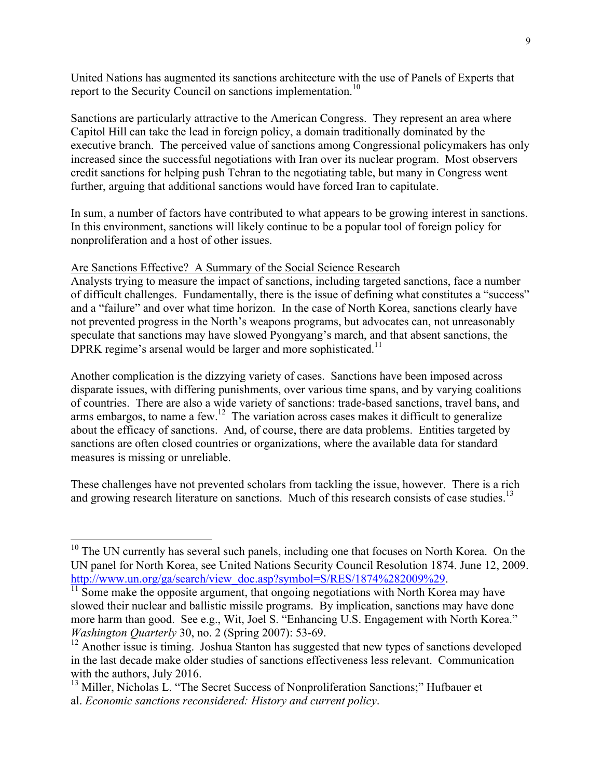United Nations has augmented its sanctions architecture with the use of Panels of Experts that report to the Security Council on sanctions implementation.<sup>10</sup>

Sanctions are particularly attractive to the American Congress. They represent an area where Capitol Hill can take the lead in foreign policy, a domain traditionally dominated by the executive branch. The perceived value of sanctions among Congressional policymakers has only increased since the successful negotiations with Iran over its nuclear program. Most observers credit sanctions for helping push Tehran to the negotiating table, but many in Congress went further, arguing that additional sanctions would have forced Iran to capitulate.

In sum, a number of factors have contributed to what appears to be growing interest in sanctions. In this environment, sanctions will likely continue to be a popular tool of foreign policy for nonproliferation and a host of other issues.

#### Are Sanctions Effective? A Summary of the Social Science Research

Analysts trying to measure the impact of sanctions, including targeted sanctions, face a number of difficult challenges. Fundamentally, there is the issue of defining what constitutes a "success" and a "failure" and over what time horizon. In the case of North Korea, sanctions clearly have not prevented progress in the North's weapons programs, but advocates can, not unreasonably speculate that sanctions may have slowed Pyongyang's march, and that absent sanctions, the DPRK regime's arsenal would be larger and more sophisticated.<sup>11</sup>

Another complication is the dizzying variety of cases. Sanctions have been imposed across disparate issues, with differing punishments, over various time spans, and by varying coalitions of countries. There are also a wide variety of sanctions: trade-based sanctions, travel bans, and arms embargos, to name a few.<sup>12</sup> The variation across cases makes it difficult to generalize about the efficacy of sanctions. And, of course, there are data problems. Entities targeted by sanctions are often closed countries or organizations, where the available data for standard measures is missing or unreliable.

These challenges have not prevented scholars from tackling the issue, however. There is a rich and growing research literature on sanctions. Much of this research consists of case studies.<sup>13</sup>

 $10$  The UN currently has several such panels, including one that focuses on North Korea. On the UN panel for North Korea, see United Nations Security Council Resolution 1874. June 12, 2009. http://www.un.org/ga/search/view\_doc.asp?symbol=S/RES/1874%282009%29.<br><sup>11</sup> Some make the opposite argument, that ongoing negotiations with North Korea may have

slowed their nuclear and ballistic missile programs. By implication, sanctions may have done more harm than good. See e.g., Wit, Joel S. "Enhancing U.S. Engagement with North Korea." *Washington Quarterly* 30, no. 2 (Spring 2007): 53-69.

 $12$  Another issue is timing. Joshua Stanton has suggested that new types of sanctions developed in the last decade make older studies of sanctions effectiveness less relevant. Communication with the authors, July 2016.

<sup>&</sup>lt;sup>13</sup> Miller, Nicholas L. "The Secret Success of Nonproliferation Sanctions;" Hufbauer et al. *Economic sanctions reconsidered: History and current policy*.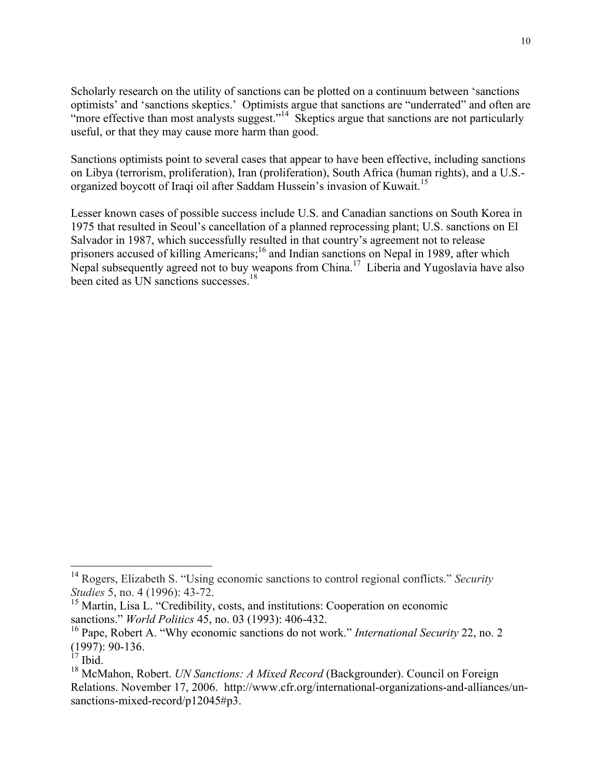Scholarly research on the utility of sanctions can be plotted on a continuum between 'sanctions optimists' and 'sanctions skeptics.' Optimists argue that sanctions are "underrated" and often are "more effective than most analysts suggest."<sup>14</sup> Skeptics argue that sanctions are not particularly useful, or that they may cause more harm than good.

Sanctions optimists point to several cases that appear to have been effective, including sanctions on Libya (terrorism, proliferation), Iran (proliferation), South Africa (human rights), and a U.S. organized boycott of Iraqi oil after Saddam Hussein's invasion of Kuwait.<sup>15</sup>

Lesser known cases of possible success include U.S. and Canadian sanctions on South Korea in 1975 that resulted in Seoul's cancellation of a planned reprocessing plant; U.S. sanctions on El Salvador in 1987, which successfully resulted in that country's agreement not to release prisoners accused of killing Americans;<sup>16</sup> and Indian sanctions on Nepal in 1989, after which Nepal subsequently agreed not to buy weapons from China.<sup>17</sup> Liberia and Yugoslavia have also been cited as UN sanctions successes.<sup>18</sup>

 <sup>14</sup> Rogers, Elizabeth S. "Using economic sanctions to control regional conflicts." *Security Studies* 5, no. 4 (1996): 43-72.

<sup>&</sup>lt;sup>15</sup> Martin, Lisa L. "Credibility, costs, and institutions: Cooperation on economic sanctions." *World Politics* 45, no. 03 (1993): 406-432.

<sup>16</sup> Pape, Robert A. "Why economic sanctions do not work." *International Security* 22, no. 2 (1997): 90-136.

 $17$  Ibid.

<sup>18</sup> McMahon, Robert. *UN Sanctions: A Mixed Record* (Backgrounder). Council on Foreign Relations. November 17, 2006. http://www.cfr.org/international-organizations-and-alliances/unsanctions-mixed-record/p12045#p3.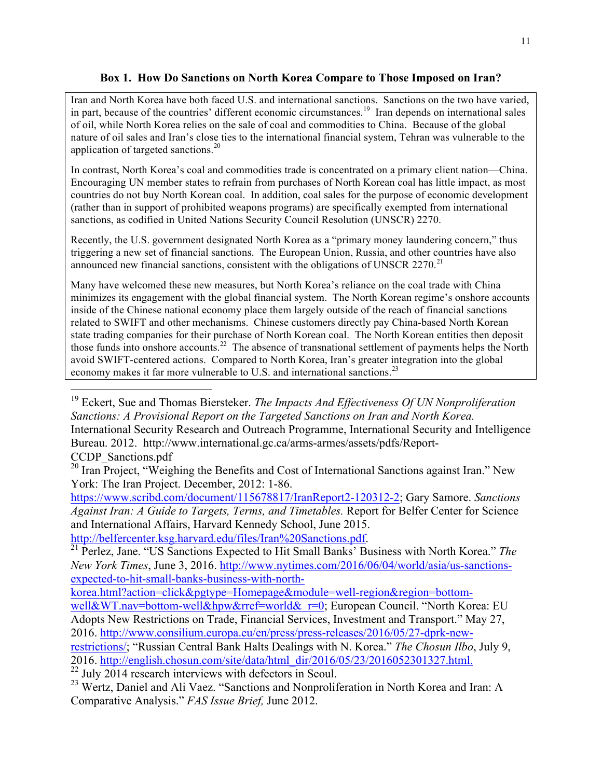## **Box 1. How Do Sanctions on North Korea Compare to Those Imposed on Iran?**

Iran and North Korea have both faced U.S. and international sanctions. Sanctions on the two have varied, in part, because of the countries' different economic circumstances.<sup>19</sup> Iran depends on international sales of oil, while North Korea relies on the sale of coal and commodities to China. Because of the global nature of oil sales and Iran's close ties to the international financial system, Tehran was vulnerable to the application of targeted sanctions.20

In contrast, North Korea's coal and commodities trade is concentrated on a primary client nation—China. Encouraging UN member states to refrain from purchases of North Korean coal has little impact, as most countries do not buy North Korean coal. In addition, coal sales for the purpose of economic development (rather than in support of prohibited weapons programs) are specifically exempted from international sanctions, as codified in United Nations Security Council Resolution (UNSCR) 2270.

Recently, the U.S. government designated North Korea as a "primary money laundering concern," thus triggering a new set of financial sanctions. The European Union, Russia, and other countries have also announced new financial sanctions, consistent with the obligations of UNSCR  $2270$ <sup>21</sup>

Many have welcomed these new measures, but North Korea's reliance on the coal trade with China minimizes its engagement with the global financial system. The North Korean regime's onshore accounts inside of the Chinese national economy place them largely outside of the reach of financial sanctions related to SWIFT and other mechanisms. Chinese customers directly pay China-based North Korean state trading companies for their purchase of North Korean coal. The North Korean entities then deposit those funds into onshore accounts.22 The absence of transnational settlement of payments helps the North avoid SWIFT-centered actions. Compared to North Korea, Iran's greater integration into the global economy makes it far more vulnerable to U.S. and international sanctions.<sup>23</sup>

https://www.scribd.com/document/115678817/IranReport2-120312-2; Gary Samore. *Sanctions Against Iran: A Guide to Targets, Terms, and Timetables.* Report for Belfer Center for Science and International Affairs, Harvard Kennedy School, June 2015.

 <sup>19</sup> Eckert, Sue and Thomas Biersteker. *The Impacts And Effectiveness Of UN Nonproliferation Sanctions: A Provisional Report on the Targeted Sanctions on Iran and North Korea.*  International Security Research and Outreach Programme, International Security and Intelligence Bureau. 2012. http://www.international.gc.ca/arms-armes/assets/pdfs/Report-CCDP\_Sanctions.pdf

<sup>&</sup>lt;sup>20</sup> Iran Project, "Weighing the Benefits and Cost of International Sanctions against Iran." New York: The Iran Project. December, 2012: 1-86.

http://belfercenter.ksg.harvard.edu/files/Iran%20Sanctions.pdf. 21 Perlez, Jane. "US Sanctions Expected to Hit Small Banks' Business with North Korea." *The New York Times*, June 3, 2016. http://www.nytimes.com/2016/06/04/world/asia/us-sanctionsexpected-to-hit-small-banks-business-with-north-

korea.html?action=click&pgtype=Homepage&module=well-region&region=bottom-

well&WT.nav=bottom-well&hpw&rref=world&\_r=0; European Council. "North Korea: EU Adopts New Restrictions on Trade, Financial Services, Investment and Transport." May 27, 2016. http://www.consilium.europa.eu/en/press/press-releases/2016/05/27-dprk-new-

restrictions/; "Russian Central Bank Halts Dealings with N. Korea." *The Chosun Ilbo*, July 9, 2016. http://english.chosun.com/site/data/html\_dir/2016/05/23/2016052301327.html. <sup>22</sup> July 2014 research interviews with defectors in Seoul.

<sup>&</sup>lt;sup>23</sup> Wertz, Daniel and Ali Vaez. "Sanctions and Nonproliferation in North Korea and Iran: A Comparative Analysis." *FAS Issue Brief,* June 2012.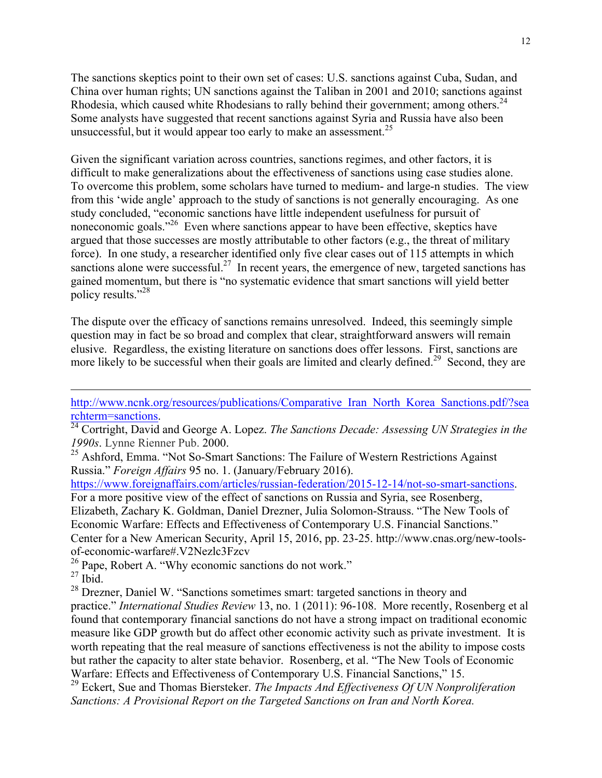The sanctions skeptics point to their own set of cases: U.S. sanctions against Cuba, Sudan, and China over human rights; UN sanctions against the Taliban in 2001 and 2010; sanctions against Rhodesia, which caused white Rhodesians to rally behind their government; among others.<sup>24</sup> Some analysts have suggested that recent sanctions against Syria and Russia have also been unsuccessful, but it would appear too early to make an assessment.<sup>25</sup>

Given the significant variation across countries, sanctions regimes, and other factors, it is difficult to make generalizations about the effectiveness of sanctions using case studies alone. To overcome this problem, some scholars have turned to medium- and large-n studies. The view from this 'wide angle' approach to the study of sanctions is not generally encouraging. As one study concluded, "economic sanctions have little independent usefulness for pursuit of noneconomic goals.<sup>226</sup> Even where sanctions appear to have been effective, skeptics have argued that those successes are mostly attributable to other factors (e.g., the threat of military force). In one study, a researcher identified only five clear cases out of 115 attempts in which sanctions alone were successful.<sup>27</sup> In recent years, the emergence of new, targeted sanctions has gained momentum, but there is "no systematic evidence that smart sanctions will yield better policy results."<sup>28</sup>

The dispute over the efficacy of sanctions remains unresolved. Indeed, this seemingly simple question may in fact be so broad and complex that clear, straightforward answers will remain elusive. Regardless, the existing literature on sanctions does offer lessons. First, sanctions are more likely to be successful when their goals are limited and clearly defined.<sup>29</sup> Second, they are

http://www.ncnk.org/resources/publications/Comparative Iran\_North\_Korea\_Sanctions.pdf/?sea rchterm=sanctions. <sup>24</sup> Cortright, David and George A. Lopez. *The Sanctions Decade: Assessing UN Strategies in the* 

*1990s*. Lynne Rienner Pub. 2000.

<sup>25</sup> Ashford, Emma. "Not So-Smart Sanctions: The Failure of Western Restrictions Against Russia." *Foreign Affairs* 95 no. 1. (January/February 2016).

https://www.foreignaffairs.com/articles/russian-federation/2015-12-14/not-so-smart-sanctions. For a more positive view of the effect of sanctions on Russia and Syria, see Rosenberg,

Elizabeth, Zachary K. Goldman, Daniel Drezner, Julia Solomon-Strauss. "The New Tools of Economic Warfare: Effects and Effectiveness of Contemporary U.S. Financial Sanctions." Center for a New American Security, April 15, 2016, pp. 23-25. http://www.cnas.org/new-toolsof-economic-warfare#.V2Nezlc3Fzcv

<sup>26</sup> Pape, Robert A. "Why economic sanctions do not work."

 $27$  Ibid.

 $\overline{a}$ 

<sup>28</sup> Drezner, Daniel W. "Sanctions sometimes smart: targeted sanctions in theory and practice." *International Studies Review* 13, no. 1 (2011): 96-108. More recently, Rosenberg et al found that contemporary financial sanctions do not have a strong impact on traditional economic measure like GDP growth but do affect other economic activity such as private investment. It is worth repeating that the real measure of sanctions effectiveness is not the ability to impose costs but rather the capacity to alter state behavior. Rosenberg, et al. "The New Tools of Economic Warfare: Effects and Effectiveness of Contemporary U.S. Financial Sanctions," 15.

<sup>29</sup> Eckert, Sue and Thomas Biersteker. *The Impacts And Effectiveness Of UN Nonproliferation Sanctions: A Provisional Report on the Targeted Sanctions on Iran and North Korea.*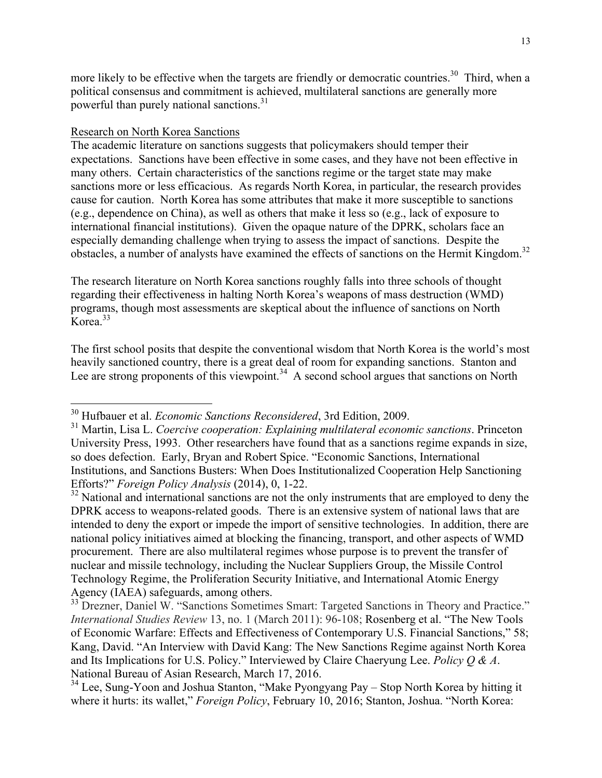more likely to be effective when the targets are friendly or democratic countries.<sup>30</sup> Third, when a political consensus and commitment is achieved, multilateral sanctions are generally more powerful than purely national sanctions.<sup>31</sup>

## Research on North Korea Sanctions

The academic literature on sanctions suggests that policymakers should temper their expectations. Sanctions have been effective in some cases, and they have not been effective in many others. Certain characteristics of the sanctions regime or the target state may make sanctions more or less efficacious. As regards North Korea, in particular, the research provides cause for caution. North Korea has some attributes that make it more susceptible to sanctions (e.g., dependence on China), as well as others that make it less so (e.g., lack of exposure to international financial institutions). Given the opaque nature of the DPRK, scholars face an especially demanding challenge when trying to assess the impact of sanctions. Despite the obstacles, a number of analysts have examined the effects of sanctions on the Hermit Kingdom.<sup>32</sup>

The research literature on North Korea sanctions roughly falls into three schools of thought regarding their effectiveness in halting North Korea's weapons of mass destruction (WMD) programs, though most assessments are skeptical about the influence of sanctions on North  $K$ orea<sup>33</sup>

The first school posits that despite the conventional wisdom that North Korea is the world's most heavily sanctioned country, there is a great deal of room for expanding sanctions. Stanton and Lee are strong proponents of this viewpoint.<sup>34</sup> A second school argues that sanctions on North

 <sup>30</sup> Hufbauer et al. *Economic Sanctions Reconsidered*, 3rd Edition, 2009.

<sup>31</sup> Martin, Lisa L. *Coercive cooperation: Explaining multilateral economic sanctions*. Princeton University Press, 1993. Other researchers have found that as a sanctions regime expands in size, so does defection. Early, Bryan and Robert Spice. "Economic Sanctions, International Institutions, and Sanctions Busters: When Does Institutionalized Cooperation Help Sanctioning Efforts?" *Foreign Policy Analysis* (2014), 0, 1-22.

 $32$  National and international sanctions are not the only instruments that are employed to deny the DPRK access to weapons-related goods. There is an extensive system of national laws that are intended to deny the export or impede the import of sensitive technologies. In addition, there are national policy initiatives aimed at blocking the financing, transport, and other aspects of WMD procurement. There are also multilateral regimes whose purpose is to prevent the transfer of nuclear and missile technology, including the Nuclear Suppliers Group, the Missile Control Technology Regime, the Proliferation Security Initiative, and International Atomic Energy Agency (IAEA) safeguards, among others.

<sup>&</sup>lt;sup>33</sup> Drezner, Daniel W. "Sanctions Sometimes Smart: Targeted Sanctions in Theory and Practice." *International Studies Review* 13, no. 1 (March 2011): 96-108; Rosenberg et al. "The New Tools of Economic Warfare: Effects and Effectiveness of Contemporary U.S. Financial Sanctions," 58; Kang, David. "An Interview with David Kang: The New Sanctions Regime against North Korea and Its Implications for U.S. Policy." Interviewed by Claire Chaeryung Lee. *Policy Q & A*. National Bureau of Asian Research, March 17, 2016.

 $34$  Lee, Sung-Yoon and Joshua Stanton, "Make Pyongyang Pay – Stop North Korea by hitting it where it hurts: its wallet," *Foreign Policy*, February 10, 2016; Stanton, Joshua. "North Korea: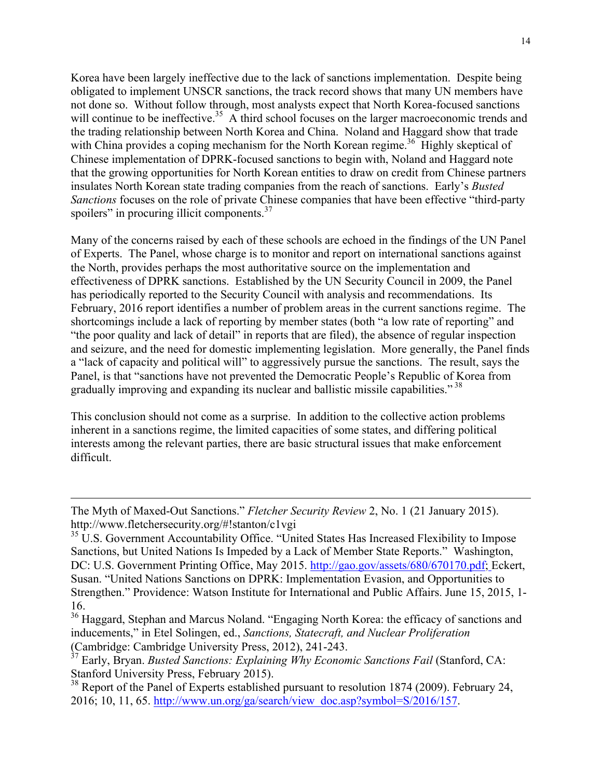Korea have been largely ineffective due to the lack of sanctions implementation. Despite being obligated to implement UNSCR sanctions, the track record shows that many UN members have not done so. Without follow through, most analysts expect that North Korea-focused sanctions will continue to be ineffective.<sup>35</sup> A third school focuses on the larger macroeconomic trends and the trading relationship between North Korea and China. Noland and Haggard show that trade with China provides a coping mechanism for the North Korean regime.<sup>36</sup> Highly skeptical of Chinese implementation of DPRK-focused sanctions to begin with, Noland and Haggard note that the growing opportunities for North Korean entities to draw on credit from Chinese partners insulates North Korean state trading companies from the reach of sanctions. Early's *Busted Sanctions* focuses on the role of private Chinese companies that have been effective "third-party spoilers" in procuring illicit components.<sup>37</sup>

Many of the concerns raised by each of these schools are echoed in the findings of the UN Panel of Experts. The Panel, whose charge is to monitor and report on international sanctions against the North, provides perhaps the most authoritative source on the implementation and effectiveness of DPRK sanctions. Established by the UN Security Council in 2009, the Panel has periodically reported to the Security Council with analysis and recommendations. Its February, 2016 report identifies a number of problem areas in the current sanctions regime. The shortcomings include a lack of reporting by member states (both "a low rate of reporting" and "the poor quality and lack of detail" in reports that are filed), the absence of regular inspection and seizure, and the need for domestic implementing legislation. More generally, the Panel finds a "lack of capacity and political will" to aggressively pursue the sanctions. The result, says the Panel, is that "sanctions have not prevented the Democratic People's Republic of Korea from gradually improving and expanding its nuclear and ballistic missile capabilities."<sup>38</sup>

This conclusion should not come as a surprise. In addition to the collective action problems inherent in a sanctions regime, the limited capacities of some states, and differing political interests among the relevant parties, there are basic structural issues that make enforcement difficult.

 $\overline{a}$ 

The Myth of Maxed-Out Sanctions." *Fletcher Security Review* 2, No. 1 (21 January 2015). http://www.fletchersecurity.org/#!stanton/c1vgi

<sup>&</sup>lt;sup>35</sup> U.S. Government Accountability Office. "United States Has Increased Flexibility to Impose Sanctions, but United Nations Is Impeded by a Lack of Member State Reports." Washington, DC: U.S. Government Printing Office, May 2015. http://gao.gov/assets/680/670170.pdf; Eckert, Susan. "United Nations Sanctions on DPRK: Implementation Evasion, and Opportunities to Strengthen." Providence: Watson Institute for International and Public Affairs. June 15, 2015, 1- 16.

<sup>&</sup>lt;sup>36</sup> Haggard, Stephan and Marcus Noland. "Engaging North Korea: the efficacy of sanctions and inducements," in Etel Solingen, ed., *Sanctions, Statecraft, and Nuclear Proliferation* (Cambridge: Cambridge University Press, 2012), 241-243.

<sup>37</sup> Early, Bryan. *Busted Sanctions: Explaining Why Economic Sanctions Fail* (Stanford, CA: Stanford University Press, February 2015).

<sup>&</sup>lt;sup>38</sup> Report of the Panel of Experts established pursuant to resolution 1874 (2009). February 24, 2016; 10, 11, 65. http://www.un.org/ga/search/view\_doc.asp?symbol=S/2016/157.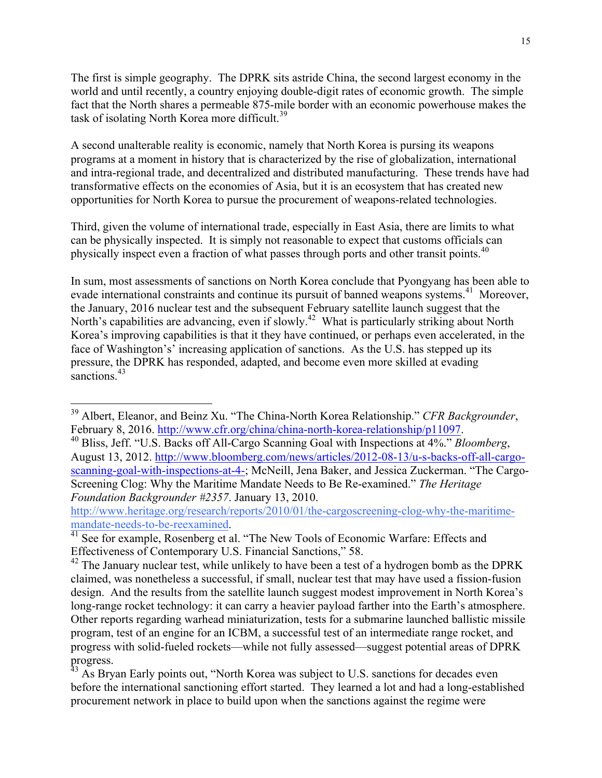The first is simple geography. The DPRK sits astride China, the second largest economy in the world and until recently, a country enjoying double-digit rates of economic growth. The simple fact that the North shares a permeable 875-mile border with an economic powerhouse makes the task of isolating North Korea more difficult.<sup>39</sup>

A second unalterable reality is economic, namely that North Korea is pursing its weapons programs at a moment in history that is characterized by the rise of globalization, international and intra-regional trade, and decentralized and distributed manufacturing. These trends have had transformative effects on the economies of Asia, but it is an ecosystem that has created new opportunities for North Korea to pursue the procurement of weapons-related technologies.

Third, given the volume of international trade, especially in East Asia, there are limits to what can be physically inspected. It is simply not reasonable to expect that customs officials can physically inspect even a fraction of what passes through ports and other transit points.<sup>40</sup>

In sum, most assessments of sanctions on North Korea conclude that Pyongyang has been able to evade international constraints and continue its pursuit of banned weapons systems.<sup>41</sup> Moreover, the January, 2016 nuclear test and the subsequent February satellite launch suggest that the North's capabilities are advancing, even if slowly.<sup>42</sup> What is particularly striking about North Korea's improving capabilities is that it they have continued, or perhaps even accelerated, in the face of Washington's' increasing application of sanctions. As the U.S. has stepped up its pressure, the DPRK has responded, adapted, and become even more skilled at evading sanctions.<sup>43</sup>

http://www.heritage.org/research/reports/2010/01/the-cargoscreening-clog-why-the-maritime-

 <sup>39</sup> Albert, Eleanor, and Beinz Xu. "The China-North Korea Relationship." *CFR Backgrounder*,

February 8, 2016. http://www.cfr.org/china/china-north-korea-relationship/p11097. 40 Bliss, Jeff. "U.S. Backs off All-Cargo Scanning Goal with Inspections at 4%." *Bloomberg*, August 13, 2012. http://www.bloomberg.com/news/articles/2012-08-13/u-s-backs-off-all-cargoscanning-goal-with-inspections-at-4-; McNeill, Jena Baker, and Jessica Zuckerman. "The Cargo-Screening Clog: Why the Maritime Mandate Needs to Be Re-examined." *The Heritage Foundation Backgrounder #2357*. January 13, 2010.

mandate-needs-to-be-reexamined.<br><sup>41</sup> See for example, Rosenberg et al. "The New Tools of Economic Warfare: Effects and Effectiveness of Contemporary U.S. Financial Sanctions," 58.

 $42$  The January nuclear test, while unlikely to have been a test of a hydrogen bomb as the DPRK claimed, was nonetheless a successful, if small, nuclear test that may have used a fission-fusion design. And the results from the satellite launch suggest modest improvement in North Korea's long-range rocket technology: it can carry a heavier payload farther into the Earth's atmosphere. Other reports regarding warhead miniaturization, tests for a submarine launched ballistic missile program, test of an engine for an ICBM, a successful test of an intermediate range rocket, and progress with solid-fueled rockets—while not fully assessed—suggest potential areas of DPRK progress.

 $43$  As Bryan Early points out, "North Korea was subject to U.S. sanctions for decades even before the international sanctioning effort started. They learned a lot and had a long-established procurement network in place to build upon when the sanctions against the regime were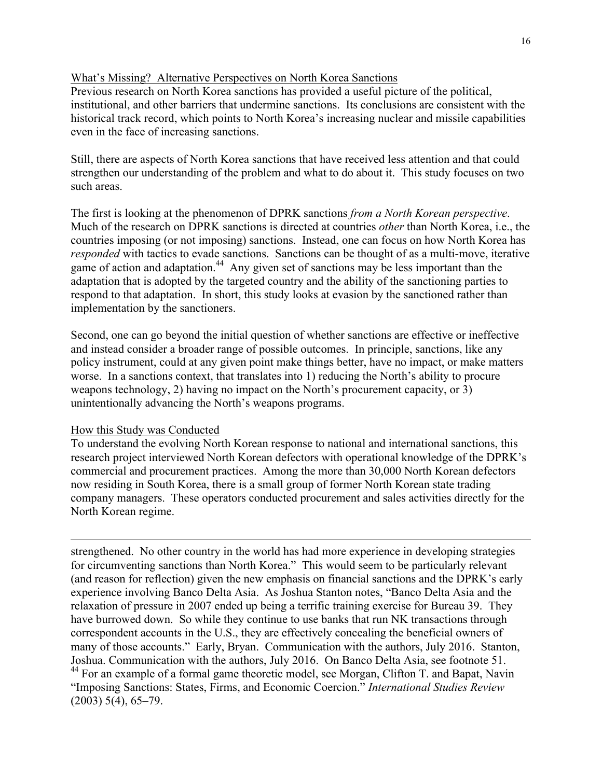## What's Missing? Alternative Perspectives on North Korea Sanctions

Previous research on North Korea sanctions has provided a useful picture of the political, institutional, and other barriers that undermine sanctions. Its conclusions are consistent with the historical track record, which points to North Korea's increasing nuclear and missile capabilities even in the face of increasing sanctions.

Still, there are aspects of North Korea sanctions that have received less attention and that could strengthen our understanding of the problem and what to do about it. This study focuses on two such areas.

The first is looking at the phenomenon of DPRK sanctions *from a North Korean perspective*. Much of the research on DPRK sanctions is directed at countries *other* than North Korea, i.e., the countries imposing (or not imposing) sanctions. Instead, one can focus on how North Korea has *responded* with tactics to evade sanctions. Sanctions can be thought of as a multi-move, iterative game of action and adaptation.<sup>44</sup> Any given set of sanctions may be less important than the adaptation that is adopted by the targeted country and the ability of the sanctioning parties to respond to that adaptation. In short, this study looks at evasion by the sanctioned rather than implementation by the sanctioners.

Second, one can go beyond the initial question of whether sanctions are effective or ineffective and instead consider a broader range of possible outcomes. In principle, sanctions, like any policy instrument, could at any given point make things better, have no impact, or make matters worse. In a sanctions context, that translates into 1) reducing the North's ability to procure weapons technology, 2) having no impact on the North's procurement capacity, or 3) unintentionally advancing the North's weapons programs.

## How this Study was Conducted

To understand the evolving North Korean response to national and international sanctions, this research project interviewed North Korean defectors with operational knowledge of the DPRK's commercial and procurement practices. Among the more than 30,000 North Korean defectors now residing in South Korea, there is a small group of former North Korean state trading company managers. These operators conducted procurement and sales activities directly for the North Korean regime.

 $\overline{a}$ strengthened. No other country in the world has had more experience in developing strategies for circumventing sanctions than North Korea." This would seem to be particularly relevant (and reason for reflection) given the new emphasis on financial sanctions and the DPRK's early experience involving Banco Delta Asia. As Joshua Stanton notes, "Banco Delta Asia and the relaxation of pressure in 2007 ended up being a terrific training exercise for Bureau 39. They have burrowed down. So while they continue to use banks that run NK transactions through correspondent accounts in the U.S., they are effectively concealing the beneficial owners of many of those accounts." Early, Bryan. Communication with the authors, July 2016. Stanton, Joshua. Communication with the authors, July 2016. On Banco Delta Asia, see footnote 51. <sup>44</sup> For an example of a formal game theoretic model, see Morgan, Clifton T. and Bapat, Navin "Imposing Sanctions: States, Firms, and Economic Coercion." *International Studies Review*  $(2003)$  5(4), 65–79.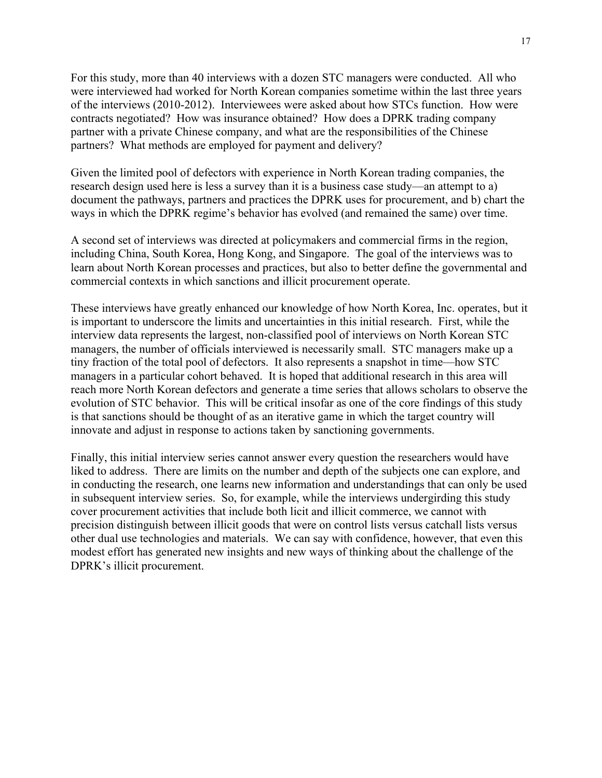For this study, more than 40 interviews with a dozen STC managers were conducted. All who were interviewed had worked for North Korean companies sometime within the last three years of the interviews (2010-2012). Interviewees were asked about how STCs function. How were contracts negotiated? How was insurance obtained? How does a DPRK trading company partner with a private Chinese company, and what are the responsibilities of the Chinese partners? What methods are employed for payment and delivery?

Given the limited pool of defectors with experience in North Korean trading companies, the research design used here is less a survey than it is a business case study—an attempt to a) document the pathways, partners and practices the DPRK uses for procurement, and b) chart the ways in which the DPRK regime's behavior has evolved (and remained the same) over time.

A second set of interviews was directed at policymakers and commercial firms in the region, including China, South Korea, Hong Kong, and Singapore. The goal of the interviews was to learn about North Korean processes and practices, but also to better define the governmental and commercial contexts in which sanctions and illicit procurement operate.

These interviews have greatly enhanced our knowledge of how North Korea, Inc. operates, but it is important to underscore the limits and uncertainties in this initial research. First, while the interview data represents the largest, non-classified pool of interviews on North Korean STC managers, the number of officials interviewed is necessarily small. STC managers make up a tiny fraction of the total pool of defectors. It also represents a snapshot in time—how STC managers in a particular cohort behaved. It is hoped that additional research in this area will reach more North Korean defectors and generate a time series that allows scholars to observe the evolution of STC behavior. This will be critical insofar as one of the core findings of this study is that sanctions should be thought of as an iterative game in which the target country will innovate and adjust in response to actions taken by sanctioning governments.

Finally, this initial interview series cannot answer every question the researchers would have liked to address. There are limits on the number and depth of the subjects one can explore, and in conducting the research, one learns new information and understandings that can only be used in subsequent interview series. So, for example, while the interviews undergirding this study cover procurement activities that include both licit and illicit commerce, we cannot with precision distinguish between illicit goods that were on control lists versus catchall lists versus other dual use technologies and materials. We can say with confidence, however, that even this modest effort has generated new insights and new ways of thinking about the challenge of the DPRK's illicit procurement.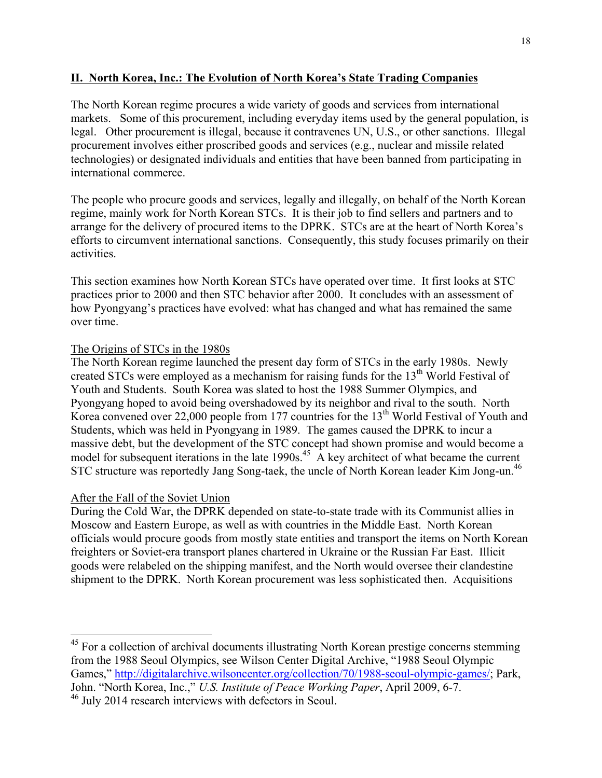## **II. North Korea, Inc.: The Evolution of North Korea's State Trading Companies**

The North Korean regime procures a wide variety of goods and services from international markets. Some of this procurement, including everyday items used by the general population, is legal. Other procurement is illegal, because it contravenes UN, U.S., or other sanctions. Illegal procurement involves either proscribed goods and services (e.g., nuclear and missile related technologies) or designated individuals and entities that have been banned from participating in international commerce.

The people who procure goods and services, legally and illegally, on behalf of the North Korean regime, mainly work for North Korean STCs. It is their job to find sellers and partners and to arrange for the delivery of procured items to the DPRK. STCs are at the heart of North Korea's efforts to circumvent international sanctions. Consequently, this study focuses primarily on their activities.

This section examines how North Korean STCs have operated over time. It first looks at STC practices prior to 2000 and then STC behavior after 2000. It concludes with an assessment of how Pyongyang's practices have evolved: what has changed and what has remained the same over time.

## The Origins of STCs in the 1980s

The North Korean regime launched the present day form of STCs in the early 1980s. Newly created STCs were employed as a mechanism for raising funds for the  $13<sup>th</sup>$  World Festival of Youth and Students. South Korea was slated to host the 1988 Summer Olympics, and Pyongyang hoped to avoid being overshadowed by its neighbor and rival to the south. North Korea convened over 22,000 people from 177 countries for the  $13<sup>th</sup>$  World Festival of Youth and Students, which was held in Pyongyang in 1989. The games caused the DPRK to incur a massive debt, but the development of the STC concept had shown promise and would become a model for subsequent iterations in the late  $1990s<sup>45</sup>$ . A key architect of what became the current STC structure was reportedly Jang Song-taek, the uncle of North Korean leader Kim Jong-un.<sup>46</sup>

## After the Fall of the Soviet Union

During the Cold War, the DPRK depended on state-to-state trade with its Communist allies in Moscow and Eastern Europe, as well as with countries in the Middle East. North Korean officials would procure goods from mostly state entities and transport the items on North Korean freighters or Soviet-era transport planes chartered in Ukraine or the Russian Far East. Illicit goods were relabeled on the shipping manifest, and the North would oversee their clandestine shipment to the DPRK. North Korean procurement was less sophisticated then. Acquisitions

<sup>&</sup>lt;sup>45</sup> For a collection of archival documents illustrating North Korean prestige concerns stemming from the 1988 Seoul Olympics, see Wilson Center Digital Archive, "1988 Seoul Olympic Games," http://digitalarchive.wilsoncenter.org/collection/70/1988-seoul-olympic-games/; Park, John. "North Korea, Inc.," *U.S. Institute of Peace Working Paper*, April 2009, 6-7. <sup>46</sup> July 2014 research interviews with defectors in Seoul.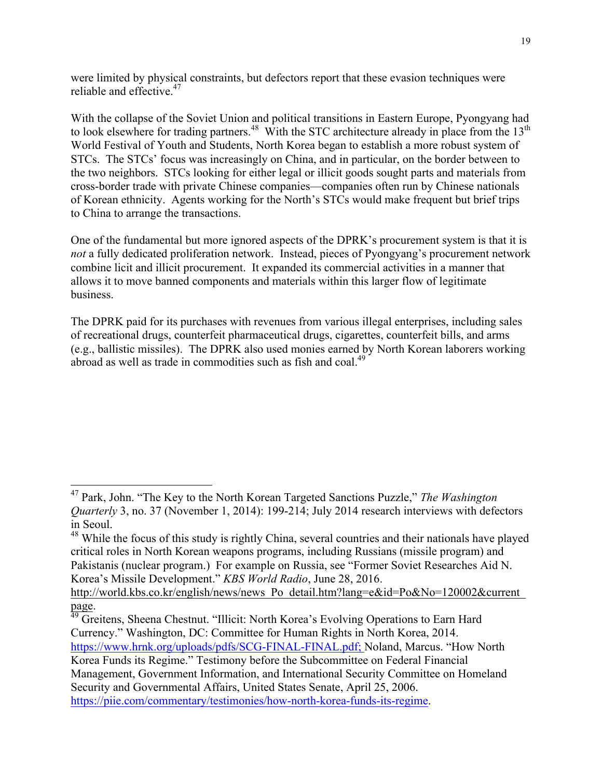were limited by physical constraints, but defectors report that these evasion techniques were reliable and effective.<sup>47</sup>

With the collapse of the Soviet Union and political transitions in Eastern Europe, Pyongyang had to look elsewhere for trading partners.<sup>48</sup> With the STC architecture already in place from the 13<sup>th</sup> World Festival of Youth and Students, North Korea began to establish a more robust system of STCs. The STCs' focus was increasingly on China, and in particular, on the border between to the two neighbors. STCs looking for either legal or illicit goods sought parts and materials from cross-border trade with private Chinese companies—companies often run by Chinese nationals of Korean ethnicity. Agents working for the North's STCs would make frequent but brief trips to China to arrange the transactions.

One of the fundamental but more ignored aspects of the DPRK's procurement system is that it is *not* a fully dedicated proliferation network. Instead, pieces of Pyongyang's procurement network combine licit and illicit procurement. It expanded its commercial activities in a manner that allows it to move banned components and materials within this larger flow of legitimate business.

The DPRK paid for its purchases with revenues from various illegal enterprises, including sales of recreational drugs, counterfeit pharmaceutical drugs, cigarettes, counterfeit bills, and arms (e.g., ballistic missiles). The DPRK also used monies earned by North Korean laborers working abroad as well as trade in commodities such as fish and coal.<sup>49</sup>

 <sup>47</sup> Park, John. "The Key to the North Korean Targeted Sanctions Puzzle," *The Washington Quarterly* 3, no. 37 (November 1, 2014): 199-214; July 2014 research interviews with defectors in Seoul.

<sup>&</sup>lt;sup>48</sup> While the focus of this study is rightly China, several countries and their nationals have played critical roles in North Korean weapons programs, including Russians (missile program) and Pakistanis (nuclear program.) For example on Russia, see "Former Soviet Researches Aid N. Korea's Missile Development." *KBS World Radio*, June 28, 2016.

http://world.kbs.co.kr/english/news/news\_Po\_detail.htm?lang=e&id=Po&No=120002&current

page.<br><sup>49</sup> Greitens, Sheena Chestnut. "Illicit: North Korea's Evolving Operations to Earn Hard Currency." Washington, DC: Committee for Human Rights in North Korea, 2014. https://www.hrnk.org/uploads/pdfs/SCG-FINAL-FINAL.pdf; Noland, Marcus. "How North Korea Funds its Regime." Testimony before the Subcommittee on Federal Financial Management, Government Information, and International Security Committee on Homeland Security and Governmental Affairs, United States Senate, April 25, 2006. https://piie.com/commentary/testimonies/how-north-korea-funds-its-regime.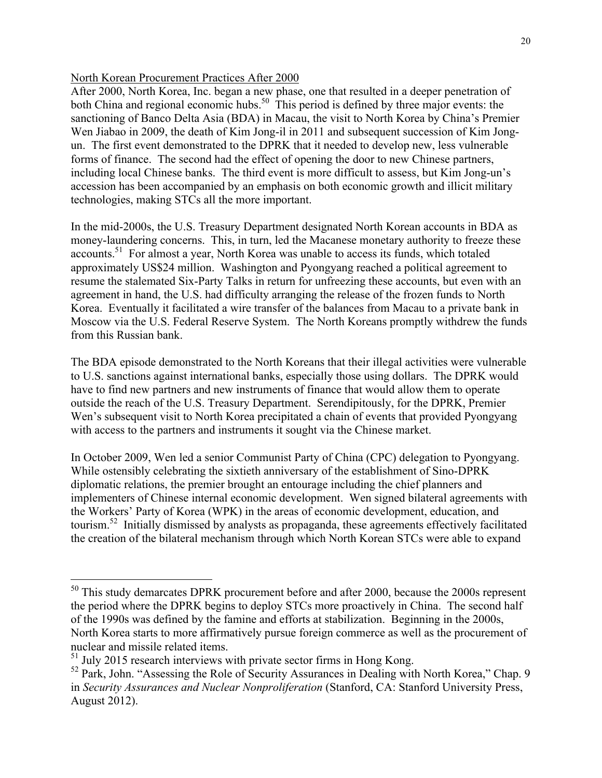#### North Korean Procurement Practices After 2000

After 2000, North Korea, Inc. began a new phase, one that resulted in a deeper penetration of both China and regional economic hubs.<sup>50</sup> This period is defined by three major events: the sanctioning of Banco Delta Asia (BDA) in Macau, the visit to North Korea by China's Premier Wen Jiabao in 2009, the death of Kim Jong-il in 2011 and subsequent succession of Kim Jongun. The first event demonstrated to the DPRK that it needed to develop new, less vulnerable forms of finance. The second had the effect of opening the door to new Chinese partners, including local Chinese banks. The third event is more difficult to assess, but Kim Jong-un's accession has been accompanied by an emphasis on both economic growth and illicit military technologies, making STCs all the more important.

In the mid-2000s, the U.S. Treasury Department designated North Korean accounts in BDA as money-laundering concerns. This, in turn, led the Macanese monetary authority to freeze these accounts.<sup>51</sup> For almost a year, North Korea was unable to access its funds, which totaled approximately US\$24 million. Washington and Pyongyang reached a political agreement to resume the stalemated Six-Party Talks in return for unfreezing these accounts, but even with an agreement in hand, the U.S. had difficulty arranging the release of the frozen funds to North Korea. Eventually it facilitated a wire transfer of the balances from Macau to a private bank in Moscow via the U.S. Federal Reserve System. The North Koreans promptly withdrew the funds from this Russian bank.

The BDA episode demonstrated to the North Koreans that their illegal activities were vulnerable to U.S. sanctions against international banks, especially those using dollars. The DPRK would have to find new partners and new instruments of finance that would allow them to operate outside the reach of the U.S. Treasury Department. Serendipitously, for the DPRK, Premier Wen's subsequent visit to North Korea precipitated a chain of events that provided Pyongyang with access to the partners and instruments it sought via the Chinese market.

In October 2009, Wen led a senior Communist Party of China (CPC) delegation to Pyongyang. While ostensibly celebrating the sixtieth anniversary of the establishment of Sino-DPRK diplomatic relations, the premier brought an entourage including the chief planners and implementers of Chinese internal economic development. Wen signed bilateral agreements with the Workers' Party of Korea (WPK) in the areas of economic development, education, and tourism.52 Initially dismissed by analysts as propaganda, these agreements effectively facilitated the creation of the bilateral mechanism through which North Korean STCs were able to expand

<sup>&</sup>lt;sup>50</sup> This study demarcates DPRK procurement before and after 2000, because the 2000s represent the period where the DPRK begins to deploy STCs more proactively in China. The second half of the 1990s was defined by the famine and efforts at stabilization. Beginning in the 2000s, North Korea starts to more affirmatively pursue foreign commerce as well as the procurement of nuclear and missile related items.

<sup>&</sup>lt;sup>51</sup> July 2015 research interviews with private sector firms in Hong Kong.

<sup>&</sup>lt;sup>52</sup> Park, John. "Assessing the Role of Security Assurances in Dealing with North Korea," Chap. 9 in *Security Assurances and Nuclear Nonproliferation* (Stanford, CA: Stanford University Press, August 2012).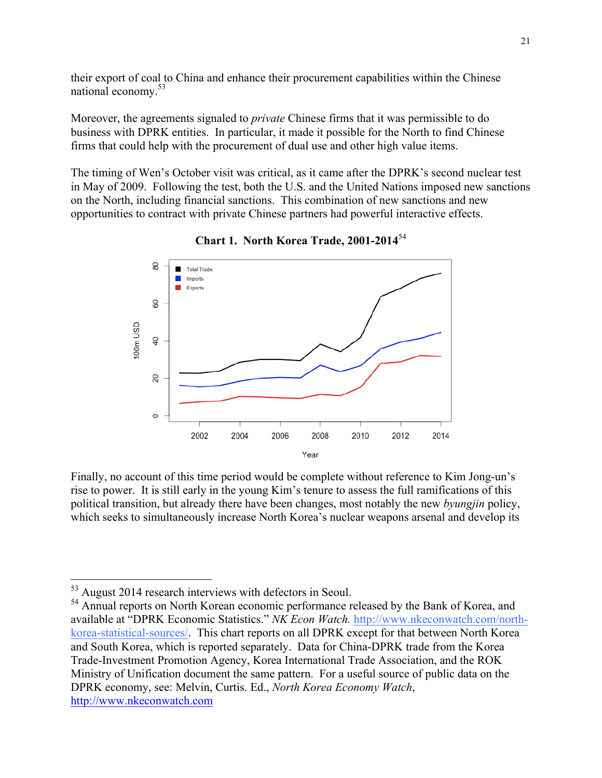their export of coal to China and enhance their procurement capabilities within the Chinese national economy.53

Moreover, the agreements signaled to *private* Chinese firms that it was permissible to do business with DPRK entities. In particular, it made it possible for the North to find Chinese firms that could help with the procurement of dual use and other high value items.

The timing of Wen's October visit was critical, as it came after the DPRK's second nuclear test in May of 2009. Following the test, both the U.S. and the United Nations imposed new sanctions on the North, including financial sanctions. This combination of new sanctions and new opportunities to contract with private Chinese partners had powerful interactive effects.



**Chart 1. North Korea Trade, 2001-2014**<sup>54</sup>

Finally, no account of this time period would be complete without reference to Kim Jong-un's rise to power. It is still early in the young Kim's tenure to assess the full ramifications of this political transition, but already there have been changes, most notably the new *byungjin* policy, which seeks to simultaneously increase North Korea's nuclear weapons arsenal and develop its

 <sup>53</sup> August 2014 research interviews with defectors in Seoul.

<sup>&</sup>lt;sup>54</sup> Annual reports on North Korean economic performance released by the Bank of Korea, and available at "DPRK Economic Statistics." *NK Econ Watch.* http://www.nkeconwatch.com/northkorea-statistical-sources/. This chart reports on all DPRK except for that between North Korea and South Korea, which is reported separately. Data for China-DPRK trade from the Korea Trade-Investment Promotion Agency, Korea International Trade Association, and the ROK Ministry of Unification document the same pattern. For a useful source of public data on the DPRK economy, see: Melvin, Curtis. Ed., *North Korea Economy Watch*, http://www.nkeconwatch.com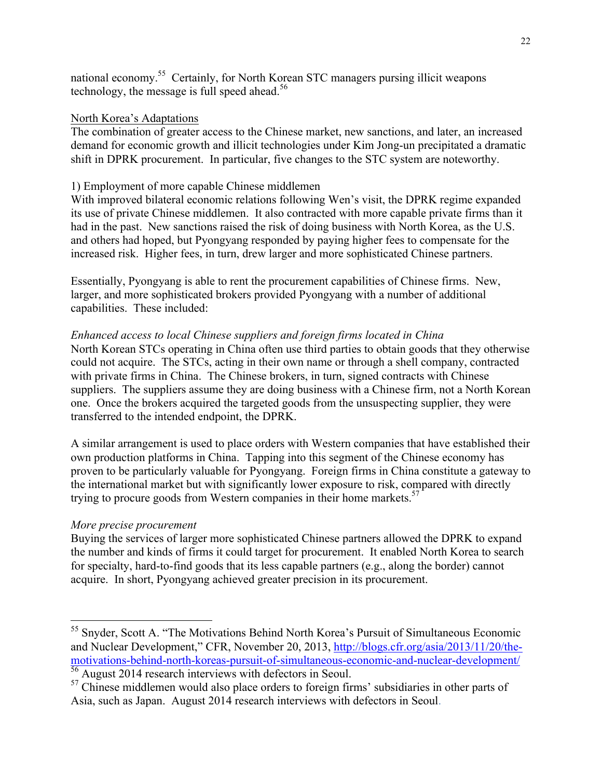national economy.55 Certainly, for North Korean STC managers pursing illicit weapons technology, the message is full speed ahead.<sup>56</sup>

#### North Korea's Adaptations

The combination of greater access to the Chinese market, new sanctions, and later, an increased demand for economic growth and illicit technologies under Kim Jong-un precipitated a dramatic shift in DPRK procurement. In particular, five changes to the STC system are noteworthy.

#### 1) Employment of more capable Chinese middlemen

With improved bilateral economic relations following Wen's visit, the DPRK regime expanded its use of private Chinese middlemen. It also contracted with more capable private firms than it had in the past. New sanctions raised the risk of doing business with North Korea, as the U.S. and others had hoped, but Pyongyang responded by paying higher fees to compensate for the increased risk. Higher fees, in turn, drew larger and more sophisticated Chinese partners.

Essentially, Pyongyang is able to rent the procurement capabilities of Chinese firms. New, larger, and more sophisticated brokers provided Pyongyang with a number of additional capabilities. These included:

#### *Enhanced access to local Chinese suppliers and foreign firms located in China*

North Korean STCs operating in China often use third parties to obtain goods that they otherwise could not acquire. The STCs, acting in their own name or through a shell company, contracted with private firms in China. The Chinese brokers, in turn, signed contracts with Chinese suppliers. The suppliers assume they are doing business with a Chinese firm, not a North Korean one. Once the brokers acquired the targeted goods from the unsuspecting supplier, they were transferred to the intended endpoint, the DPRK.

A similar arrangement is used to place orders with Western companies that have established their own production platforms in China. Tapping into this segment of the Chinese economy has proven to be particularly valuable for Pyongyang. Foreign firms in China constitute a gateway to the international market but with significantly lower exposure to risk, compared with directly trying to procure goods from Western companies in their home markets.<sup>57</sup>

## *More precise procurement*

Buying the services of larger more sophisticated Chinese partners allowed the DPRK to expand the number and kinds of firms it could target for procurement. It enabled North Korea to search for specialty, hard-to-find goods that its less capable partners (e.g., along the border) cannot acquire. In short, Pyongyang achieved greater precision in its procurement.

<sup>&</sup>lt;sup>55</sup> Snyder, Scott A. "The Motivations Behind North Korea's Pursuit of Simultaneous Economic and Nuclear Development," CFR, November 20, 2013, http://blogs.cfr.org/asia/2013/11/20/themotivations-behind-north-koreas-pursuit-of-simultaneous-economic-and-nuclear-development/ <sup>56</sup> August 2014 research interviews with defectors in Seoul.

 $57$  Chinese middlemen would also place orders to foreign firms' subsidiaries in other parts of Asia, such as Japan. August 2014 research interviews with defectors in Seoul.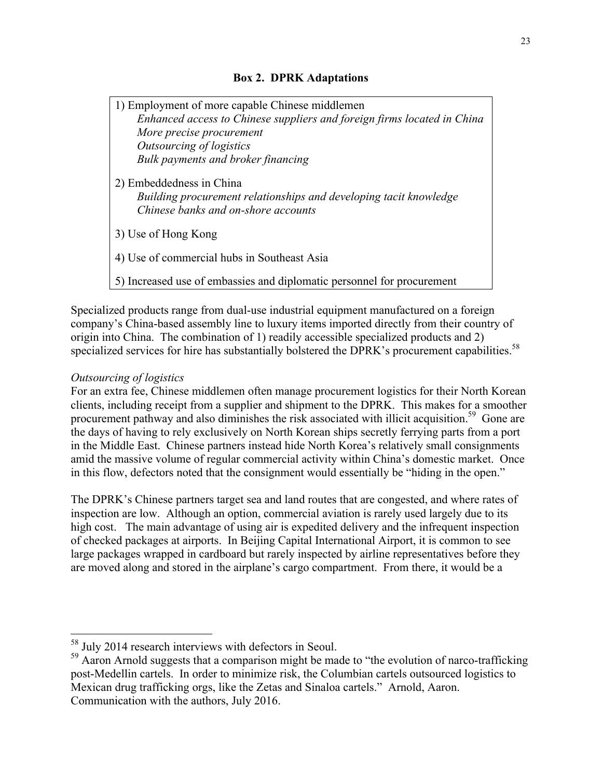## **Box 2. DPRK Adaptations**

| 1) Employment of more capable Chinese middlemen                                                                                      |
|--------------------------------------------------------------------------------------------------------------------------------------|
| Enhanced access to Chinese suppliers and foreign firms located in China                                                              |
| More precise procurement                                                                                                             |
| Outsourcing of logistics                                                                                                             |
| Bulk payments and broker financing                                                                                                   |
| 2) Embeddedness in China<br>Building procurement relationships and developing tacit knowledge<br>Chinese banks and on-shore accounts |
| 3) Use of Hong Kong                                                                                                                  |
| 4) Use of commercial hubs in Southeast Asia                                                                                          |
| 5) Increased use of embassies and diplomatic personnel for procurement                                                               |

Specialized products range from dual-use industrial equipment manufactured on a foreign company's China-based assembly line to luxury items imported directly from their country of origin into China. The combination of 1) readily accessible specialized products and 2) specialized services for hire has substantially bolstered the DPRK's procurement capabilities.<sup>58</sup>

## *Outsourcing of logistics*

For an extra fee, Chinese middlemen often manage procurement logistics for their North Korean clients, including receipt from a supplier and shipment to the DPRK. This makes for a smoother procurement pathway and also diminishes the risk associated with illicit acquisition.<sup>59</sup> Gone are the days of having to rely exclusively on North Korean ships secretly ferrying parts from a port in the Middle East. Chinese partners instead hide North Korea's relatively small consignments amid the massive volume of regular commercial activity within China's domestic market. Once in this flow, defectors noted that the consignment would essentially be "hiding in the open."

The DPRK's Chinese partners target sea and land routes that are congested, and where rates of inspection are low. Although an option, commercial aviation is rarely used largely due to its high cost. The main advantage of using air is expedited delivery and the infrequent inspection of checked packages at airports. In Beijing Capital International Airport, it is common to see large packages wrapped in cardboard but rarely inspected by airline representatives before they are moved along and stored in the airplane's cargo compartment. From there, it would be a

 <sup>58</sup> July 2014 research interviews with defectors in Seoul.

<sup>&</sup>lt;sup>59</sup> Aaron Arnold suggests that a comparison might be made to "the evolution of narco-trafficking post-Medellin cartels. In order to minimize risk, the Columbian cartels outsourced logistics to Mexican drug trafficking orgs, like the Zetas and Sinaloa cartels." Arnold, Aaron. Communication with the authors, July 2016.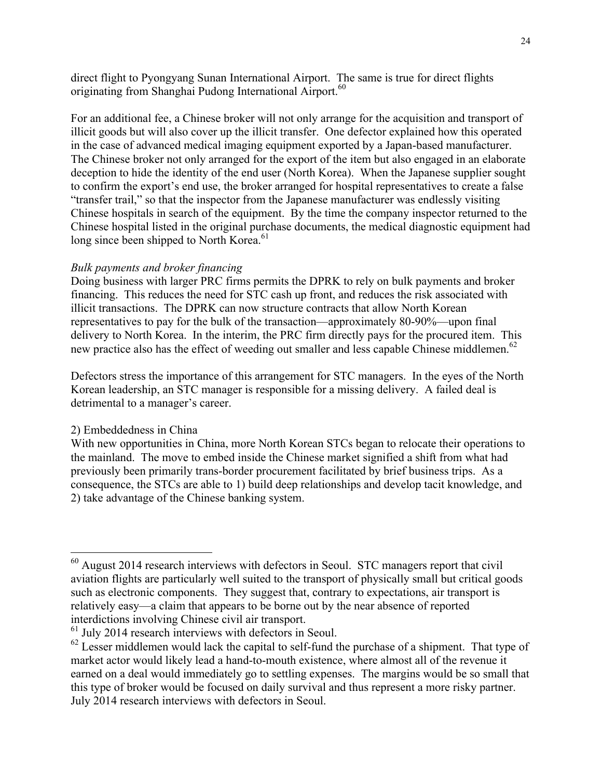direct flight to Pyongyang Sunan International Airport. The same is true for direct flights originating from Shanghai Pudong International Airport.<sup>60</sup>

For an additional fee, a Chinese broker will not only arrange for the acquisition and transport of illicit goods but will also cover up the illicit transfer. One defector explained how this operated in the case of advanced medical imaging equipment exported by a Japan-based manufacturer. The Chinese broker not only arranged for the export of the item but also engaged in an elaborate deception to hide the identity of the end user (North Korea). When the Japanese supplier sought to confirm the export's end use, the broker arranged for hospital representatives to create a false "transfer trail," so that the inspector from the Japanese manufacturer was endlessly visiting Chinese hospitals in search of the equipment. By the time the company inspector returned to the Chinese hospital listed in the original purchase documents, the medical diagnostic equipment had long since been shipped to North Korea.<sup>61</sup>

## *Bulk payments and broker financing*

Doing business with larger PRC firms permits the DPRK to rely on bulk payments and broker financing. This reduces the need for STC cash up front, and reduces the risk associated with illicit transactions. The DPRK can now structure contracts that allow North Korean representatives to pay for the bulk of the transaction—approximately 80-90%—upon final delivery to North Korea. In the interim, the PRC firm directly pays for the procured item. This new practice also has the effect of weeding out smaller and less capable Chinese middlemen. 62

Defectors stress the importance of this arrangement for STC managers. In the eyes of the North Korean leadership, an STC manager is responsible for a missing delivery. A failed deal is detrimental to a manager's career.

## 2) Embeddedness in China

With new opportunities in China, more North Korean STCs began to relocate their operations to the mainland. The move to embed inside the Chinese market signified a shift from what had previously been primarily trans-border procurement facilitated by brief business trips. As a consequence, the STCs are able to 1) build deep relationships and develop tacit knowledge, and 2) take advantage of the Chinese banking system.

 <sup>60</sup> August 2014 research interviews with defectors in Seoul. STC managers report that civil aviation flights are particularly well suited to the transport of physically small but critical goods such as electronic components. They suggest that, contrary to expectations, air transport is relatively easy—a claim that appears to be borne out by the near absence of reported interdictions involving Chinese civil air transport.

<sup>&</sup>lt;sup>61</sup> July 2014 research interviews with defectors in Seoul.

 $^{62}$  Lesser middlemen would lack the capital to self-fund the purchase of a shipment. That type of market actor would likely lead a hand-to-mouth existence, where almost all of the revenue it earned on a deal would immediately go to settling expenses. The margins would be so small that this type of broker would be focused on daily survival and thus represent a more risky partner. July 2014 research interviews with defectors in Seoul.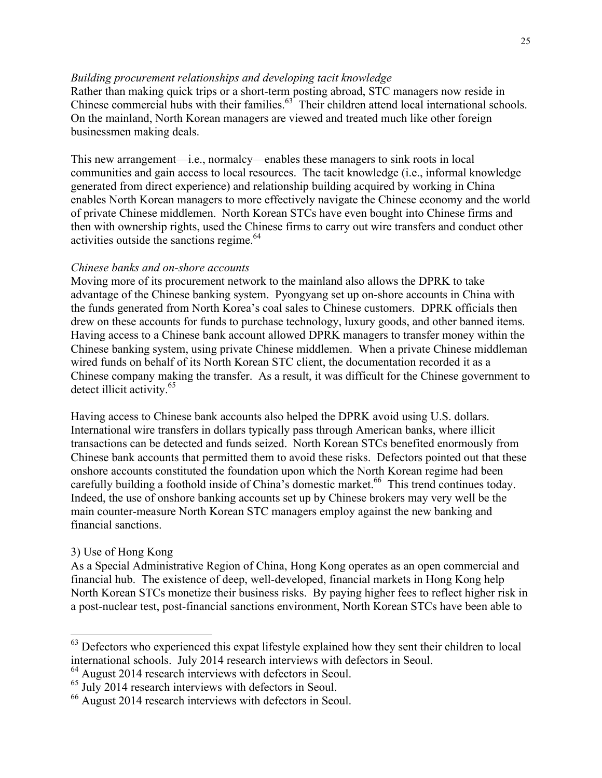#### *Building procurement relationships and developing tacit knowledge*

Rather than making quick trips or a short-term posting abroad, STC managers now reside in Chinese commercial hubs with their families.<sup>63</sup> Their children attend local international schools. On the mainland, North Korean managers are viewed and treated much like other foreign businessmen making deals.

This new arrangement—i.e., normalcy—enables these managers to sink roots in local communities and gain access to local resources. The tacit knowledge (i.e., informal knowledge generated from direct experience) and relationship building acquired by working in China enables North Korean managers to more effectively navigate the Chinese economy and the world of private Chinese middlemen. North Korean STCs have even bought into Chinese firms and then with ownership rights, used the Chinese firms to carry out wire transfers and conduct other activities outside the sanctions regime.<sup>64</sup>

#### *Chinese banks and on-shore accounts*

Moving more of its procurement network to the mainland also allows the DPRK to take advantage of the Chinese banking system. Pyongyang set up on-shore accounts in China with the funds generated from North Korea's coal sales to Chinese customers. DPRK officials then drew on these accounts for funds to purchase technology, luxury goods, and other banned items. Having access to a Chinese bank account allowed DPRK managers to transfer money within the Chinese banking system, using private Chinese middlemen. When a private Chinese middleman wired funds on behalf of its North Korean STC client, the documentation recorded it as a Chinese company making the transfer. As a result, it was difficult for the Chinese government to detect illicit activity.<sup>65</sup>

Having access to Chinese bank accounts also helped the DPRK avoid using U.S. dollars. International wire transfers in dollars typically pass through American banks, where illicit transactions can be detected and funds seized. North Korean STCs benefited enormously from Chinese bank accounts that permitted them to avoid these risks. Defectors pointed out that these onshore accounts constituted the foundation upon which the North Korean regime had been carefully building a foothold inside of China's domestic market.<sup>66</sup> This trend continues today. Indeed, the use of onshore banking accounts set up by Chinese brokers may very well be the main counter-measure North Korean STC managers employ against the new banking and financial sanctions.

## 3) Use of Hong Kong

As a Special Administrative Region of China, Hong Kong operates as an open commercial and financial hub. The existence of deep, well-developed, financial markets in Hong Kong help North Korean STCs monetize their business risks. By paying higher fees to reflect higher risk in a post-nuclear test, post-financial sanctions environment, North Korean STCs have been able to

<sup>&</sup>lt;sup>63</sup> Defectors who experienced this expat lifestyle explained how they sent their children to local international schools. July 2014 research interviews with defectors in Seoul.

<sup>&</sup>lt;sup>64</sup> August 2014 research interviews with defectors in Seoul.

<sup>&</sup>lt;sup>65</sup> July 2014 research interviews with defectors in Seoul.

<sup>66</sup> August 2014 research interviews with defectors in Seoul.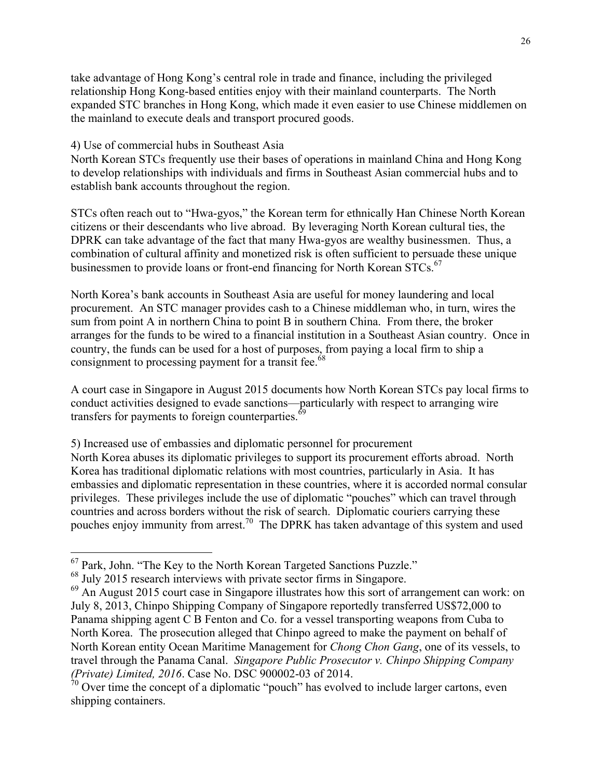take advantage of Hong Kong's central role in trade and finance, including the privileged relationship Hong Kong-based entities enjoy with their mainland counterparts. The North expanded STC branches in Hong Kong, which made it even easier to use Chinese middlemen on the mainland to execute deals and transport procured goods.

#### 4) Use of commercial hubs in Southeast Asia

North Korean STCs frequently use their bases of operations in mainland China and Hong Kong to develop relationships with individuals and firms in Southeast Asian commercial hubs and to establish bank accounts throughout the region.

STCs often reach out to "Hwa-gyos," the Korean term for ethnically Han Chinese North Korean citizens or their descendants who live abroad. By leveraging North Korean cultural ties, the DPRK can take advantage of the fact that many Hwa-gyos are wealthy businessmen. Thus, a combination of cultural affinity and monetized risk is often sufficient to persuade these unique businessmen to provide loans or front-end financing for North Korean STCs.<sup>67</sup>

North Korea's bank accounts in Southeast Asia are useful for money laundering and local procurement. An STC manager provides cash to a Chinese middleman who, in turn, wires the sum from point A in northern China to point B in southern China. From there, the broker arranges for the funds to be wired to a financial institution in a Southeast Asian country. Once in country, the funds can be used for a host of purposes, from paying a local firm to ship a consignment to processing payment for a transit fee.<sup>68</sup>

A court case in Singapore in August 2015 documents how North Korean STCs pay local firms to conduct activities designed to evade sanctions—particularly with respect to arranging wire transfers for payments to foreign counterparties.<sup>69</sup>

5) Increased use of embassies and diplomatic personnel for procurement

North Korea abuses its diplomatic privileges to support its procurement efforts abroad. North Korea has traditional diplomatic relations with most countries, particularly in Asia. It has embassies and diplomatic representation in these countries, where it is accorded normal consular privileges. These privileges include the use of diplomatic "pouches" which can travel through countries and across borders without the risk of search. Diplomatic couriers carrying these pouches enjoy immunity from arrest.<sup>70</sup> The DPRK has taken advantage of this system and used

 <sup>67</sup> Park, John. "The Key to the North Korean Targeted Sanctions Puzzle."

<sup>&</sup>lt;sup>68</sup> July 2015 research interviews with private sector firms in Singapore.

 $69$  An August 2015 court case in Singapore illustrates how this sort of arrangement can work: on July 8, 2013, Chinpo Shipping Company of Singapore reportedly transferred US\$72,000 to Panama shipping agent C B Fenton and Co. for a vessel transporting weapons from Cuba to North Korea. The prosecution alleged that Chinpo agreed to make the payment on behalf of North Korean entity Ocean Maritime Management for *Chong Chon Gang*, one of its vessels, to travel through the Panama Canal. *Singapore Public Prosecutor v. Chinpo Shipping Company (Private) Limited, 2016*. Case No. DSC 900002-03 of 2014.

 $70$  Over time the concept of a diplomatic "pouch" has evolved to include larger cartons, even shipping containers.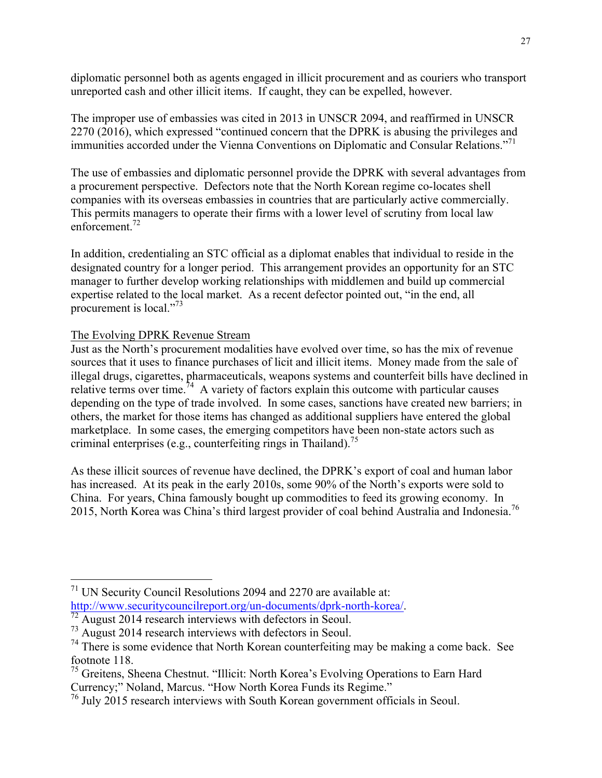diplomatic personnel both as agents engaged in illicit procurement and as couriers who transport unreported cash and other illicit items. If caught, they can be expelled, however.

The improper use of embassies was cited in 2013 in UNSCR 2094, and reaffirmed in UNSCR 2270 (2016), which expressed "continued concern that the DPRK is abusing the privileges and immunities accorded under the Vienna Conventions on Diplomatic and Consular Relations."<sup>71</sup>

The use of embassies and diplomatic personnel provide the DPRK with several advantages from a procurement perspective. Defectors note that the North Korean regime co-locates shell companies with its overseas embassies in countries that are particularly active commercially. This permits managers to operate their firms with a lower level of scrutiny from local law enforcement. $72$ 

In addition, credentialing an STC official as a diplomat enables that individual to reside in the designated country for a longer period. This arrangement provides an opportunity for an STC manager to further develop working relationships with middlemen and build up commercial expertise related to the local market. As a recent defector pointed out, "in the end, all procurement is local."<sup>73</sup>

The Evolving DPRK Revenue Stream

Just as the North's procurement modalities have evolved over time, so has the mix of revenue sources that it uses to finance purchases of licit and illicit items. Money made from the sale of illegal drugs, cigarettes, pharmaceuticals, weapons systems and counterfeit bills have declined in relative terms over time.<sup>74</sup> A variety of factors explain this outcome with particular causes depending on the type of trade involved. In some cases, sanctions have created new barriers; in others, the market for those items has changed as additional suppliers have entered the global marketplace. In some cases, the emerging competitors have been non-state actors such as criminal enterprises (e.g., counterfeiting rings in Thailand).<sup>75</sup>

As these illicit sources of revenue have declined, the DPRK's export of coal and human labor has increased. At its peak in the early 2010s, some 90% of the North's exports were sold to China. For years, China famously bought up commodities to feed its growing economy. In 2015, North Korea was China's third largest provider of coal behind Australia and Indonesia.<sup>76</sup>

 $71$  UN Security Council Resolutions 2094 and 2270 are available at: http://www.securitycouncilreport.org/un-documents/dprk-north-korea/.<br><sup>72</sup> August 2014 research interviews with defectors in Seoul.

<sup>73</sup> August 2014 research interviews with defectors in Seoul.

 $74$  There is some evidence that North Korean counterfeiting may be making a come back. See footnote 118.

<sup>75</sup> Greitens, Sheena Chestnut. "Illicit: North Korea's Evolving Operations to Earn Hard Currency;" Noland, Marcus. "How North Korea Funds its Regime."

<sup>76</sup> July 2015 research interviews with South Korean government officials in Seoul.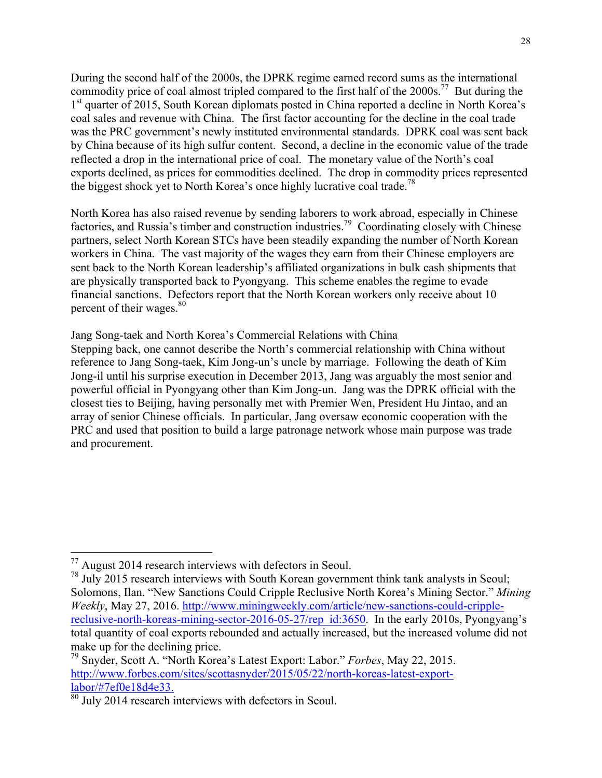During the second half of the 2000s, the DPRK regime earned record sums as the international commodity price of coal almost tripled compared to the first half of the 2000s.<sup>77</sup> But during the 1<sup>st</sup> quarter of 2015, South Korean diplomats posted in China reported a decline in North Korea's coal sales and revenue with China. The first factor accounting for the decline in the coal trade was the PRC government's newly instituted environmental standards. DPRK coal was sent back by China because of its high sulfur content. Second, a decline in the economic value of the trade reflected a drop in the international price of coal. The monetary value of the North's coal exports declined, as prices for commodities declined. The drop in commodity prices represented the biggest shock yet to North Korea's once highly lucrative coal trade.<sup>78</sup>

North Korea has also raised revenue by sending laborers to work abroad, especially in Chinese factories, and Russia's timber and construction industries.<sup>79</sup> Coordinating closely with Chinese partners, select North Korean STCs have been steadily expanding the number of North Korean workers in China. The vast majority of the wages they earn from their Chinese employers are sent back to the North Korean leadership's affiliated organizations in bulk cash shipments that are physically transported back to Pyongyang. This scheme enables the regime to evade financial sanctions. Defectors report that the North Korean workers only receive about 10 percent of their wages.<sup>80</sup>

## Jang Song-taek and North Korea's Commercial Relations with China

Stepping back, one cannot describe the North's commercial relationship with China without reference to Jang Song-taek, Kim Jong-un's uncle by marriage. Following the death of Kim Jong-il until his surprise execution in December 2013, Jang was arguably the most senior and powerful official in Pyongyang other than Kim Jong-un. Jang was the DPRK official with the closest ties to Beijing, having personally met with Premier Wen, President Hu Jintao, and an array of senior Chinese officials. In particular, Jang oversaw economic cooperation with the PRC and used that position to build a large patronage network whose main purpose was trade and procurement.

 <sup>77</sup> August 2014 research interviews with defectors in Seoul.

<sup>&</sup>lt;sup>78</sup> July 2015 research interviews with South Korean government think tank analysts in Seoul; Solomons, Ilan. "New Sanctions Could Cripple Reclusive North Korea's Mining Sector." *Mining Weekly*, May 27, 2016. http://www.miningweekly.com/article/new-sanctions-could-cripplereclusive-north-koreas-mining-sector-2016-05-27/rep\_id:3650. In the early 2010s, Pyongyang's total quantity of coal exports rebounded and actually increased, but the increased volume did not make up for the declining price.

<sup>79</sup> Snyder, Scott A. "North Korea's Latest Export: Labor." *Forbes*, May 22, 2015. http://www.forbes.com/sites/scottasnyder/2015/05/22/north-koreas-latest-export- $\frac{1 \text{abor}}{80}$  July 2014 research interviews with defectors in Seoul.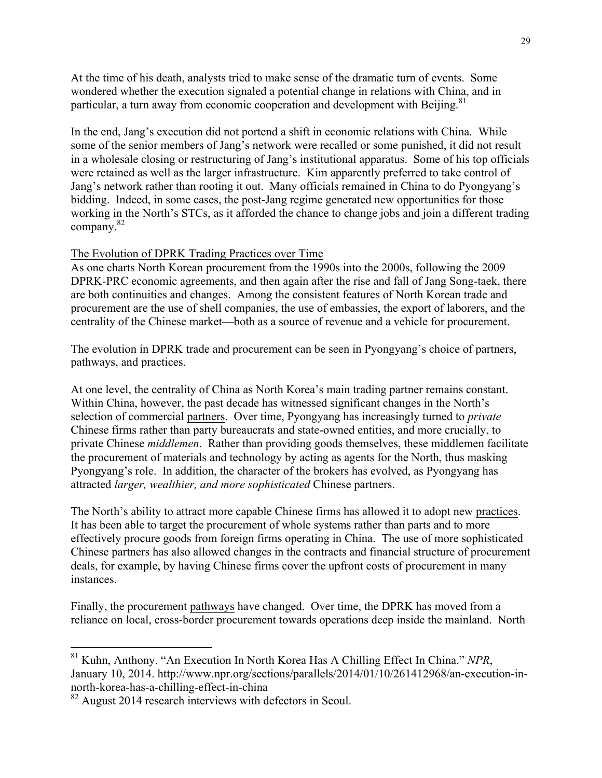At the time of his death, analysts tried to make sense of the dramatic turn of events. Some wondered whether the execution signaled a potential change in relations with China, and in particular, a turn away from economic cooperation and development with Beijing.<sup>81</sup>

In the end, Jang's execution did not portend a shift in economic relations with China. While some of the senior members of Jang's network were recalled or some punished, it did not result in a wholesale closing or restructuring of Jang's institutional apparatus. Some of his top officials were retained as well as the larger infrastructure. Kim apparently preferred to take control of Jang's network rather than rooting it out. Many officials remained in China to do Pyongyang's bidding. Indeed, in some cases, the post-Jang regime generated new opportunities for those working in the North's STCs, as it afforded the chance to change jobs and join a different trading company.<sup>82</sup>

## The Evolution of DPRK Trading Practices over Time

As one charts North Korean procurement from the 1990s into the 2000s, following the 2009 DPRK-PRC economic agreements, and then again after the rise and fall of Jang Song-taek, there are both continuities and changes. Among the consistent features of North Korean trade and procurement are the use of shell companies, the use of embassies, the export of laborers, and the centrality of the Chinese market—both as a source of revenue and a vehicle for procurement.

The evolution in DPRK trade and procurement can be seen in Pyongyang's choice of partners, pathways, and practices.

At one level, the centrality of China as North Korea's main trading partner remains constant. Within China, however, the past decade has witnessed significant changes in the North's selection of commercial partners. Over time, Pyongyang has increasingly turned to *private* Chinese firms rather than party bureaucrats and state-owned entities, and more crucially, to private Chinese *middlemen*. Rather than providing goods themselves, these middlemen facilitate the procurement of materials and technology by acting as agents for the North, thus masking Pyongyang's role. In addition, the character of the brokers has evolved, as Pyongyang has attracted *larger, wealthier, and more sophisticated* Chinese partners.

The North's ability to attract more capable Chinese firms has allowed it to adopt new practices. It has been able to target the procurement of whole systems rather than parts and to more effectively procure goods from foreign firms operating in China. The use of more sophisticated Chinese partners has also allowed changes in the contracts and financial structure of procurement deals, for example, by having Chinese firms cover the upfront costs of procurement in many instances.

Finally, the procurement pathways have changed. Over time, the DPRK has moved from a reliance on local, cross-border procurement towards operations deep inside the mainland. North

 <sup>81</sup> Kuhn, Anthony. "An Execution In North Korea Has A Chilling Effect In China." *NPR*, January 10, 2014. http://www.npr.org/sections/parallels/2014/01/10/261412968/an-execution-innorth-korea-has-a-chilling-effect-in-china

<sup>&</sup>lt;sup>82</sup> August 2014 research interviews with defectors in Seoul.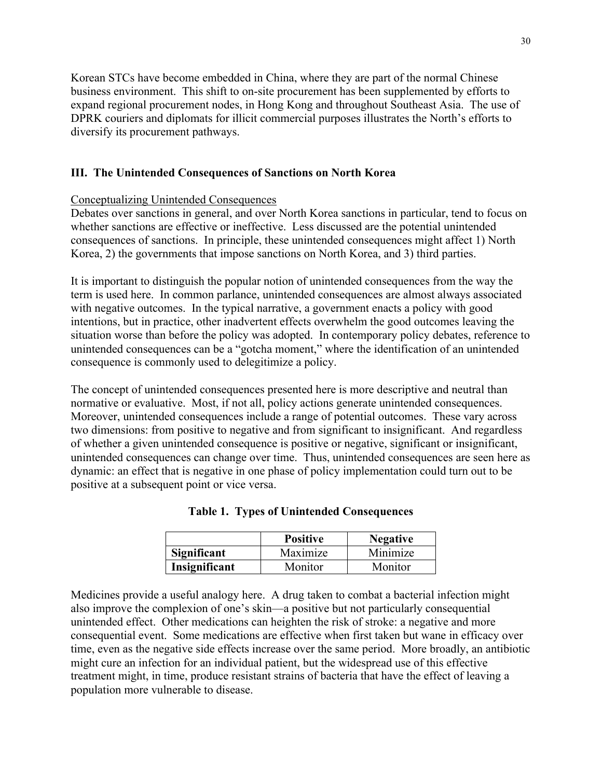Korean STCs have become embedded in China, where they are part of the normal Chinese business environment. This shift to on-site procurement has been supplemented by efforts to expand regional procurement nodes, in Hong Kong and throughout Southeast Asia. The use of DPRK couriers and diplomats for illicit commercial purposes illustrates the North's efforts to diversify its procurement pathways.

## **III. The Unintended Consequences of Sanctions on North Korea**

## Conceptualizing Unintended Consequences

Debates over sanctions in general, and over North Korea sanctions in particular, tend to focus on whether sanctions are effective or ineffective. Less discussed are the potential unintended consequences of sanctions. In principle, these unintended consequences might affect 1) North Korea, 2) the governments that impose sanctions on North Korea, and 3) third parties.

It is important to distinguish the popular notion of unintended consequences from the way the term is used here. In common parlance, unintended consequences are almost always associated with negative outcomes. In the typical narrative, a government enacts a policy with good intentions, but in practice, other inadvertent effects overwhelm the good outcomes leaving the situation worse than before the policy was adopted. In contemporary policy debates, reference to unintended consequences can be a "gotcha moment," where the identification of an unintended consequence is commonly used to delegitimize a policy.

The concept of unintended consequences presented here is more descriptive and neutral than normative or evaluative. Most, if not all, policy actions generate unintended consequences. Moreover, unintended consequences include a range of potential outcomes. These vary across two dimensions: from positive to negative and from significant to insignificant. And regardless of whether a given unintended consequence is positive or negative, significant or insignificant, unintended consequences can change over time. Thus, unintended consequences are seen here as dynamic: an effect that is negative in one phase of policy implementation could turn out to be positive at a subsequent point or vice versa.

|               | <b>Positive</b> | <b>Negative</b> |
|---------------|-----------------|-----------------|
| Significant   | Maximize        | Minimize        |
| Insignificant | Monitor         | Monitor         |

|  |  | <b>Table 1. Types of Unintended Consequences</b> |  |  |
|--|--|--------------------------------------------------|--|--|
|--|--|--------------------------------------------------|--|--|

Medicines provide a useful analogy here. A drug taken to combat a bacterial infection might also improve the complexion of one's skin—a positive but not particularly consequential unintended effect. Other medications can heighten the risk of stroke: a negative and more consequential event. Some medications are effective when first taken but wane in efficacy over time, even as the negative side effects increase over the same period. More broadly, an antibiotic might cure an infection for an individual patient, but the widespread use of this effective treatment might, in time, produce resistant strains of bacteria that have the effect of leaving a population more vulnerable to disease.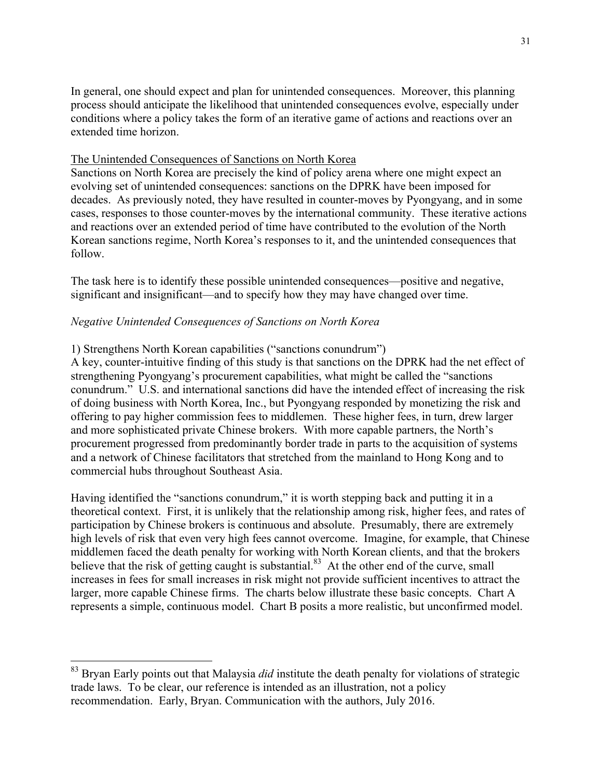In general, one should expect and plan for unintended consequences. Moreover, this planning process should anticipate the likelihood that unintended consequences evolve, especially under conditions where a policy takes the form of an iterative game of actions and reactions over an extended time horizon.

## The Unintended Consequences of Sanctions on North Korea

Sanctions on North Korea are precisely the kind of policy arena where one might expect an evolving set of unintended consequences: sanctions on the DPRK have been imposed for decades. As previously noted, they have resulted in counter-moves by Pyongyang, and in some cases, responses to those counter-moves by the international community. These iterative actions and reactions over an extended period of time have contributed to the evolution of the North Korean sanctions regime, North Korea's responses to it, and the unintended consequences that follow.

The task here is to identify these possible unintended consequences—positive and negative, significant and insignificant—and to specify how they may have changed over time.

## *Negative Unintended Consequences of Sanctions on North Korea*

## 1) Strengthens North Korean capabilities ("sanctions conundrum")

A key, counter-intuitive finding of this study is that sanctions on the DPRK had the net effect of strengthening Pyongyang's procurement capabilities, what might be called the "sanctions conundrum." U.S. and international sanctions did have the intended effect of increasing the risk of doing business with North Korea, Inc., but Pyongyang responded by monetizing the risk and offering to pay higher commission fees to middlemen. These higher fees, in turn, drew larger and more sophisticated private Chinese brokers. With more capable partners, the North's procurement progressed from predominantly border trade in parts to the acquisition of systems and a network of Chinese facilitators that stretched from the mainland to Hong Kong and to commercial hubs throughout Southeast Asia.

Having identified the "sanctions conundrum," it is worth stepping back and putting it in a theoretical context. First, it is unlikely that the relationship among risk, higher fees, and rates of participation by Chinese brokers is continuous and absolute. Presumably, there are extremely high levels of risk that even very high fees cannot overcome. Imagine, for example, that Chinese middlemen faced the death penalty for working with North Korean clients, and that the brokers believe that the risk of getting caught is substantial.<sup>83</sup> At the other end of the curve, small increases in fees for small increases in risk might not provide sufficient incentives to attract the larger, more capable Chinese firms. The charts below illustrate these basic concepts. Chart A represents a simple, continuous model. Chart B posits a more realistic, but unconfirmed model.

<sup>&</sup>lt;sup>83</sup> Bryan Early points out that Malaysia *did* institute the death penalty for violations of strategic trade laws. To be clear, our reference is intended as an illustration, not a policy recommendation. Early, Bryan. Communication with the authors, July 2016.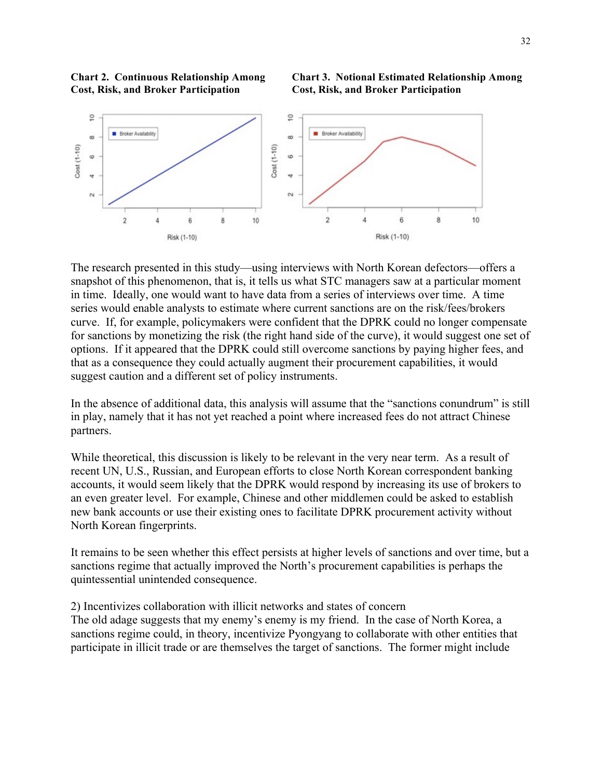



The research presented in this study—using interviews with North Korean defectors—offers a snapshot of this phenomenon, that is, it tells us what STC managers saw at a particular moment in time. Ideally, one would want to have data from a series of interviews over time. A time series would enable analysts to estimate where current sanctions are on the risk/fees/brokers curve. If, for example, policymakers were confident that the DPRK could no longer compensate for sanctions by monetizing the risk (the right hand side of the curve), it would suggest one set of options. If it appeared that the DPRK could still overcome sanctions by paying higher fees, and that as a consequence they could actually augment their procurement capabilities, it would suggest caution and a different set of policy instruments.

In the absence of additional data, this analysis will assume that the "sanctions conundrum" is still in play, namely that it has not yet reached a point where increased fees do not attract Chinese partners.

While theoretical, this discussion is likely to be relevant in the very near term. As a result of recent UN, U.S., Russian, and European efforts to close North Korean correspondent banking accounts, it would seem likely that the DPRK would respond by increasing its use of brokers to an even greater level. For example, Chinese and other middlemen could be asked to establish new bank accounts or use their existing ones to facilitate DPRK procurement activity without North Korean fingerprints.

It remains to be seen whether this effect persists at higher levels of sanctions and over time, but a sanctions regime that actually improved the North's procurement capabilities is perhaps the quintessential unintended consequence.

#### 2) Incentivizes collaboration with illicit networks and states of concern

The old adage suggests that my enemy's enemy is my friend. In the case of North Korea, a sanctions regime could, in theory, incentivize Pyongyang to collaborate with other entities that participate in illicit trade or are themselves the target of sanctions. The former might include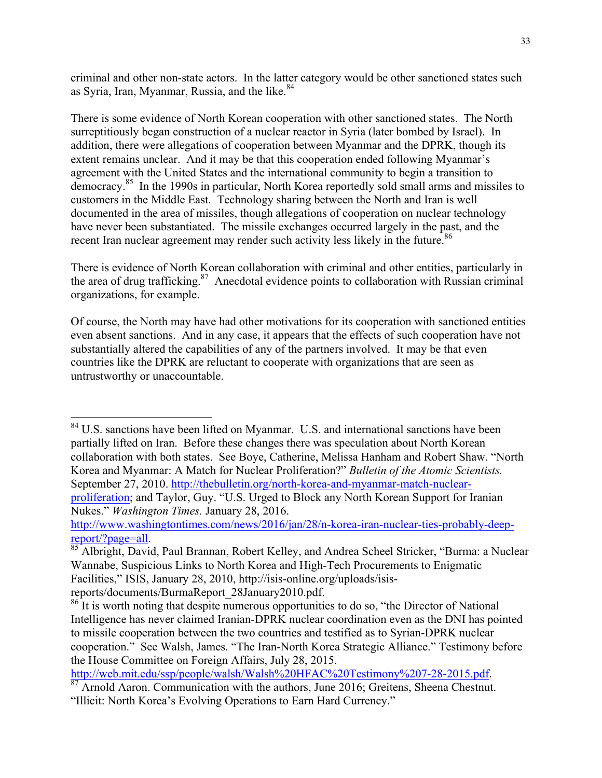criminal and other non-state actors. In the latter category would be other sanctioned states such as Syria, Iran, Myanmar, Russia, and the like.<sup>84</sup>

There is some evidence of North Korean cooperation with other sanctioned states. The North surreptitiously began construction of a nuclear reactor in Syria (later bombed by Israel). In addition, there were allegations of cooperation between Myanmar and the DPRK, though its extent remains unclear. And it may be that this cooperation ended following Myanmar's agreement with the United States and the international community to begin a transition to democracy.85 In the 1990s in particular, North Korea reportedly sold small arms and missiles to customers in the Middle East. Technology sharing between the North and Iran is well documented in the area of missiles, though allegations of cooperation on nuclear technology have never been substantiated. The missile exchanges occurred largely in the past, and the recent Iran nuclear agreement may render such activity less likely in the future.<sup>86</sup>

There is evidence of North Korean collaboration with criminal and other entities, particularly in the area of drug trafficking. $87$  Anecdotal evidence points to collaboration with Russian criminal organizations, for example.

Of course, the North may have had other motivations for its cooperation with sanctioned entities even absent sanctions. And in any case, it appears that the effects of such cooperation have not substantially altered the capabilities of any of the partners involved. It may be that even countries like the DPRK are reluctant to cooperate with organizations that are seen as untrustworthy or unaccountable.

<sup>84</sup> U.S. sanctions have been lifted on Myanmar. U.S. and international sanctions have been partially lifted on Iran. Before these changes there was speculation about North Korean collaboration with both states. See Boye, Catherine, Melissa Hanham and Robert Shaw. "North Korea and Myanmar: A Match for Nuclear Proliferation?" *Bulletin of the Atomic Scientists.* September 27, 2010. http://thebulletin.org/north-korea-and-myanmar-match-nuclearproliferation; and Taylor, Guy. "U.S. Urged to Block any North Korean Support for Iranian Nukes." *Washington Times.* January 28, 2016.

http://www.washingtontimes.com/news/2016/jan/28/n-korea-iran-nuclear-ties-probably-deep-

report/?page=all.<br><sup>85</sup> Albright, David, Paul Brannan, Robert Kelley, and Andrea Scheel Stricker, "Burma: a Nuclear Wannabe, Suspicious Links to North Korea and High-Tech Procurements to Enigmatic Facilities," ISIS, January 28, 2010, http://isis-online.org/uploads/isis-

reports/documents/BurmaReport\_28January2010.pdf.

http://web.mit.edu/ssp/people/walsh/Walsh%20HFAC%20Testimony%207-28-2015.pdf. <sup>87</sup> Arnold Aaron. Communication with the authors, June 2016; Greitens, Sheena Chestnut.

<sup>&</sup>lt;sup>86</sup> It is worth noting that despite numerous opportunities to do so, "the Director of National Intelligence has never claimed Iranian-DPRK nuclear coordination even as the DNI has pointed to missile cooperation between the two countries and testified as to Syrian-DPRK nuclear cooperation." See Walsh, James. "The Iran-North Korea Strategic Alliance." Testimony before the House Committee on Foreign Affairs, July 28, 2015.

<sup>&</sup>quot;Illicit: North Korea's Evolving Operations to Earn Hard Currency."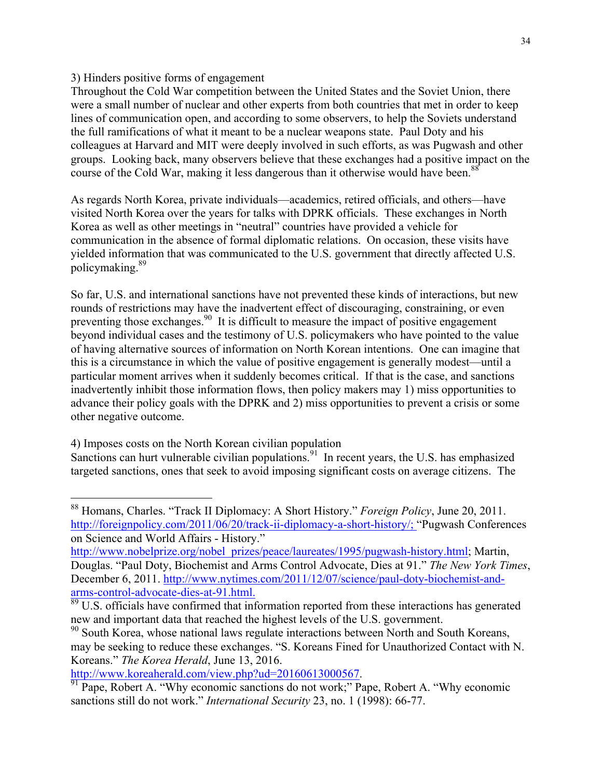#### 3) Hinders positive forms of engagement

Throughout the Cold War competition between the United States and the Soviet Union, there were a small number of nuclear and other experts from both countries that met in order to keep lines of communication open, and according to some observers, to help the Soviets understand the full ramifications of what it meant to be a nuclear weapons state. Paul Doty and his colleagues at Harvard and MIT were deeply involved in such efforts, as was Pugwash and other groups. Looking back, many observers believe that these exchanges had a positive impact on the course of the Cold War, making it less dangerous than it otherwise would have been.<sup>88</sup>

As regards North Korea, private individuals—academics, retired officials, and others—have visited North Korea over the years for talks with DPRK officials. These exchanges in North Korea as well as other meetings in "neutral" countries have provided a vehicle for communication in the absence of formal diplomatic relations. On occasion, these visits have yielded information that was communicated to the U.S. government that directly affected U.S. policymaking.89

So far, U.S. and international sanctions have not prevented these kinds of interactions, but new rounds of restrictions may have the inadvertent effect of discouraging, constraining, or even preventing those exchanges.<sup>90</sup> It is difficult to measure the impact of positive engagement beyond individual cases and the testimony of U.S. policymakers who have pointed to the value of having alternative sources of information on North Korean intentions. One can imagine that this is a circumstance in which the value of positive engagement is generally modest—until a particular moment arrives when it suddenly becomes critical. If that is the case, and sanctions inadvertently inhibit those information flows, then policy makers may 1) miss opportunities to advance their policy goals with the DPRK and 2) miss opportunities to prevent a crisis or some other negative outcome.

4) Imposes costs on the North Korean civilian population

Sanctions can hurt vulnerable civilian populations.<sup>91</sup> In recent years, the U.S. has emphasized targeted sanctions, ones that seek to avoid imposing significant costs on average citizens. The

 <sup>88</sup> Homans, Charles. "Track II Diplomacy: A Short History." *Foreign Policy*, June 20, 2011. http://foreignpolicy.com/2011/06/20/track-ii-diplomacy-a-short-history/; "Pugwash Conferences" on Science and World Affairs - History."

http://www.nobelprize.org/nobel\_prizes/peace/laureates/1995/pugwash-history.html; Martin, Douglas. "Paul Doty, Biochemist and Arms Control Advocate, Dies at 91." *The New York Times*, December 6, 2011. http://www.nytimes.com/2011/12/07/science/paul-doty-biochemist-and-

arms-control-advocate-dies-at-91.html.<br><sup>89</sup> U.S. officials have confirmed that information reported from these interactions has generated new and important data that reached the highest levels of the U.S. government.

<sup>&</sup>lt;sup>90</sup> South Korea, whose national laws regulate interactions between North and South Koreans, may be seeking to reduce these exchanges. "S. Koreans Fined for Unauthorized Contact with N. Koreans." *The Korea Herald*, June 13, 2016.

http://www.koreaherald.com/view.php?ud=20160613000567.<br><sup>91</sup> Pape, Robert A. "Why economic sanctions do not work;" Pape, Robert A. "Why economic sanctions still do not work." *International Security* 23, no. 1 (1998): 66-77.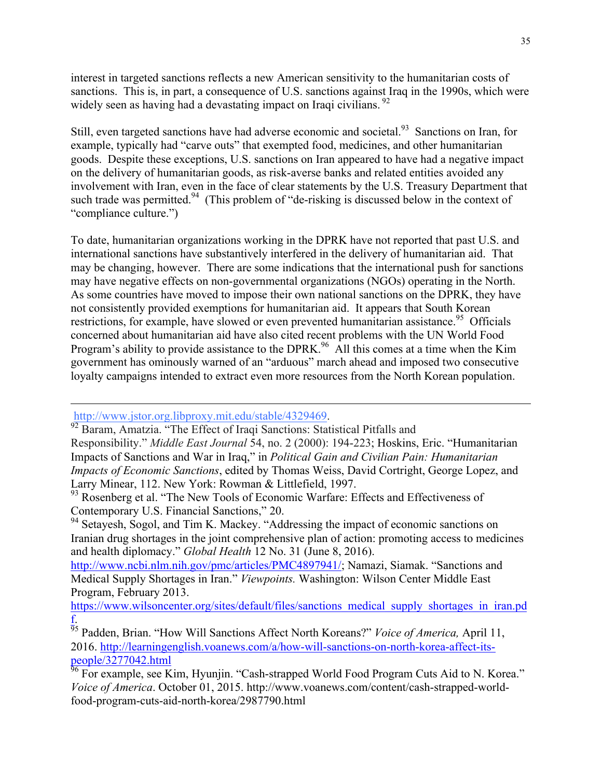interest in targeted sanctions reflects a new American sensitivity to the humanitarian costs of sanctions. This is, in part, a consequence of U.S. sanctions against Iraq in the 1990s, which were widely seen as having had a devastating impact on Iraqi civilians. <sup>92</sup>

Still, even targeted sanctions have had adverse economic and societal.<sup>93</sup> Sanctions on Iran, for example, typically had "carve outs" that exempted food, medicines, and other humanitarian goods. Despite these exceptions, U.S. sanctions on Iran appeared to have had a negative impact on the delivery of humanitarian goods, as risk-averse banks and related entities avoided any involvement with Iran, even in the face of clear statements by the U.S. Treasury Department that such trade was permitted.<sup>94</sup> (This problem of "de-risking is discussed below in the context of "compliance culture.")

To date, humanitarian organizations working in the DPRK have not reported that past U.S. and international sanctions have substantively interfered in the delivery of humanitarian aid. That may be changing, however. There are some indications that the international push for sanctions may have negative effects on non-governmental organizations (NGOs) operating in the North. As some countries have moved to impose their own national sanctions on the DPRK, they have not consistently provided exemptions for humanitarian aid. It appears that South Korean restrictions, for example, have slowed or even prevented humanitarian assistance.<sup>95</sup> Officials concerned about humanitarian aid have also cited recent problems with the UN World Food Program's ability to provide assistance to the DPRK.<sup>96</sup> All this comes at a time when the Kim government has ominously warned of an "arduous" march ahead and imposed two consecutive loyalty campaigns intended to extract even more resources from the North Korean population.

 $\overline{a}$ 

http://www.jstor.org.libproxy.mit.edu/stable/4329469.<br><sup>92</sup> Baram, Amatzia. "The Effect of Iraqi Sanctions: Statistical Pitfalls and Responsibility." *Middle East Journal* 54, no. 2 (2000): 194-223; Hoskins, Eric. "Humanitarian Impacts of Sanctions and War in Iraq," in *Political Gain and Civilian Pain: Humanitarian Impacts of Economic Sanctions*, edited by Thomas Weiss, David Cortright, George Lopez, and Larry Minear, 112. New York: Rowman & Littlefield, 1997.

<sup>94</sup> Setayesh, Sogol, and Tim K. Mackey. "Addressing the impact of economic sanctions on Iranian drug shortages in the joint comprehensive plan of action: promoting access to medicines and health diplomacy." *Global Health* 12 No. 31 (June 8, 2016).

http://www.ncbi.nlm.nih.gov/pmc/articles/PMC4897941/; Namazi, Siamak. "Sanctions and Medical Supply Shortages in Iran." *Viewpoints.* Washington: Wilson Center Middle East Program, February 2013.

https://www.wilsoncenter.org/sites/default/files/sanctions\_medical\_supply\_shortages\_in\_iran.pd f.

<sup>&</sup>lt;sup>93</sup> Rosenberg et al. "The New Tools of Economic Warfare: Effects and Effectiveness of Contemporary U.S. Financial Sanctions," 20.

<sup>95</sup> Padden, Brian. "How Will Sanctions Affect North Koreans?" *Voice of America,* April 11, 2016. http://learningenglish.voanews.com/a/how-will-sanctions-on-north-korea-affect-itspeople/3277042.html

 $\frac{96}{96}$  For example, see Kim, Hyunjin. "Cash-strapped World Food Program Cuts Aid to N. Korea." *Voice of America*. October 01, 2015. http://www.voanews.com/content/cash-strapped-worldfood-program-cuts-aid-north-korea/2987790.html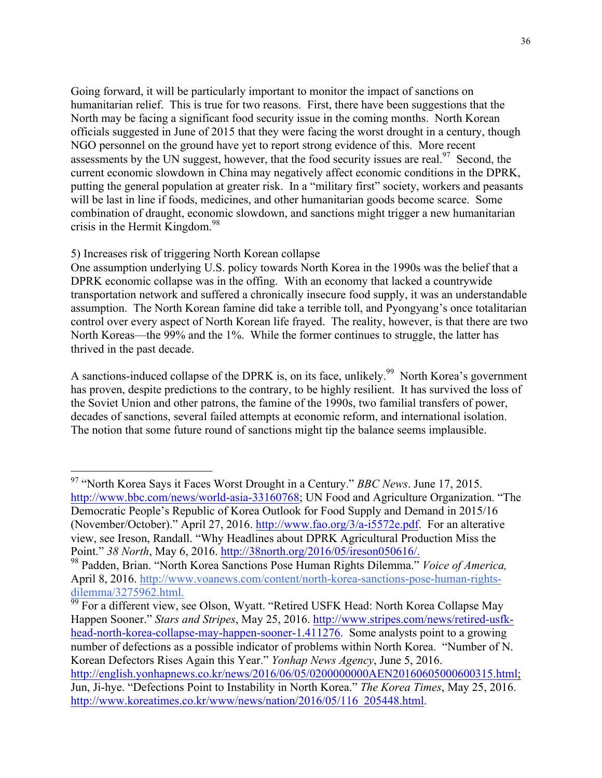Going forward, it will be particularly important to monitor the impact of sanctions on humanitarian relief. This is true for two reasons. First, there have been suggestions that the North may be facing a significant food security issue in the coming months. North Korean officials suggested in June of 2015 that they were facing the worst drought in a century, though NGO personnel on the ground have yet to report strong evidence of this. More recent assessments by the UN suggest, however, that the food security issues are real.<sup>97</sup> Second, the current economic slowdown in China may negatively affect economic conditions in the DPRK, putting the general population at greater risk. In a "military first" society, workers and peasants will be last in line if foods, medicines, and other humanitarian goods become scarce. Some combination of draught, economic slowdown, and sanctions might trigger a new humanitarian crisis in the Hermit Kingdom.<sup>98</sup>

## 5) Increases risk of triggering North Korean collapse

One assumption underlying U.S. policy towards North Korea in the 1990s was the belief that a DPRK economic collapse was in the offing. With an economy that lacked a countrywide transportation network and suffered a chronically insecure food supply, it was an understandable assumption. The North Korean famine did take a terrible toll, and Pyongyang's once totalitarian control over every aspect of North Korean life frayed. The reality, however, is that there are two North Koreas—the 99% and the 1%. While the former continues to struggle, the latter has thrived in the past decade.

A sanctions-induced collapse of the DPRK is, on its face, unlikely.<sup>99</sup> North Korea's government has proven, despite predictions to the contrary, to be highly resilient. It has survived the loss of the Soviet Union and other patrons, the famine of the 1990s, two familial transfers of power, decades of sanctions, several failed attempts at economic reform, and international isolation. The notion that some future round of sanctions might tip the balance seems implausible.

dilemma/3275962.html.<br><sup>99</sup> For a different view, see Olson, Wyatt. "Retired USFK Head: North Korea Collapse May Happen Sooner." *Stars and Stripes*, May 25, 2016. http://www.stripes.com/news/retired-usfkhead-north-korea-collapse-may-happen-sooner-1.411276. Some analysts point to a growing number of defections as a possible indicator of problems within North Korea. "Number of N. Korean Defectors Rises Again this Year." *Yonhap News Agency*, June 5, 2016. http://english.yonhapnews.co.kr/news/2016/06/05/0200000000AEN20160605000600315.html; Jun, Ji-hye. "Defections Point to Instability in North Korea." *The Korea Times*, May 25, 2016. http://www.koreatimes.co.kr/www/news/nation/2016/05/116\_205448.html.

 <sup>97</sup> "North Korea Says it Faces Worst Drought in a Century." *BBC News*. June 17, 2015. http://www.bbc.com/news/world-asia-33160768; UN Food and Agriculture Organization. "The Democratic People's Republic of Korea Outlook for Food Supply and Demand in 2015/16 (November/October)." April 27, 2016. http://www.fao.org/3/a-i5572e.pdf. For an alterative view, see Ireson, Randall. "Why Headlines about DPRK Agricultural Production Miss the Point." *38 North*, May 6, 2016. http://38north.org/2016/05/ireson050616/. 98 Padden, Brian. "North Korea Sanctions Pose Human Rights Dilemma." *Voice of America,*

April 8, 2016. http://www.voanews.com/content/north-korea-sanctions-pose-human-rights-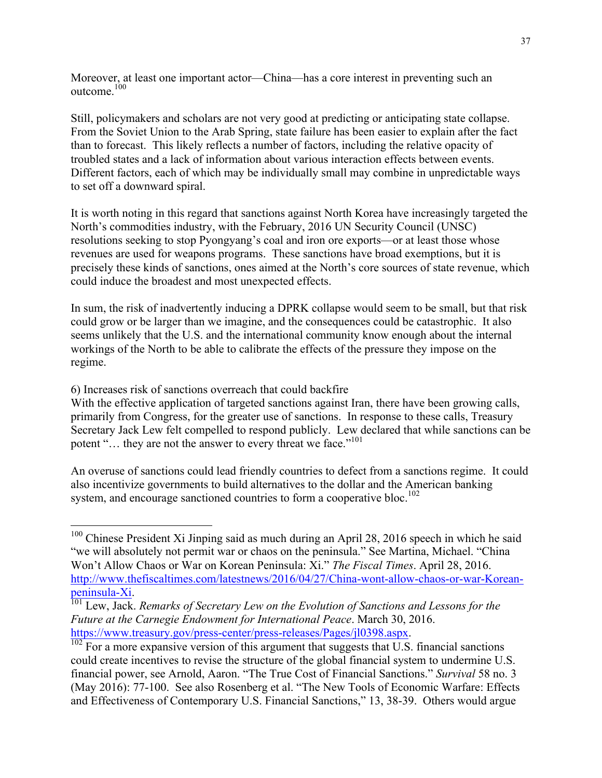Moreover, at least one important actor—China—has a core interest in preventing such an outcome.<sup>100</sup>

Still, policymakers and scholars are not very good at predicting or anticipating state collapse. From the Soviet Union to the Arab Spring, state failure has been easier to explain after the fact than to forecast. This likely reflects a number of factors, including the relative opacity of troubled states and a lack of information about various interaction effects between events. Different factors, each of which may be individually small may combine in unpredictable ways to set off a downward spiral.

It is worth noting in this regard that sanctions against North Korea have increasingly targeted the North's commodities industry, with the February, 2016 UN Security Council (UNSC) resolutions seeking to stop Pyongyang's coal and iron ore exports—or at least those whose revenues are used for weapons programs. These sanctions have broad exemptions, but it is precisely these kinds of sanctions, ones aimed at the North's core sources of state revenue, which could induce the broadest and most unexpected effects.

In sum, the risk of inadvertently inducing a DPRK collapse would seem to be small, but that risk could grow or be larger than we imagine, and the consequences could be catastrophic. It also seems unlikely that the U.S. and the international community know enough about the internal workings of the North to be able to calibrate the effects of the pressure they impose on the regime.

6) Increases risk of sanctions overreach that could backfire

With the effective application of targeted sanctions against Iran, there have been growing calls, primarily from Congress, for the greater use of sanctions. In response to these calls, Treasury Secretary Jack Lew felt compelled to respond publicly. Lew declared that while sanctions can be potent "... they are not the answer to every threat we face."<sup>101</sup>

An overuse of sanctions could lead friendly countries to defect from a sanctions regime. It could also incentivize governments to build alternatives to the dollar and the American banking system, and encourage sanctioned countries to form a cooperative bloc.<sup>102</sup>

<sup>&</sup>lt;sup>100</sup> Chinese President Xi Jinping said as much during an April 28, 2016 speech in which he said "we will absolutely not permit war or chaos on the peninsula." See Martina, Michael. "China Won't Allow Chaos or War on Korean Peninsula: Xi." *The Fiscal Times*. April 28, 2016. http://www.thefiscaltimes.com/latestnews/2016/04/27/China-wont-allow-chaos-or-war-Koreanpeninsula-Xi. 101 Lew, Jack. *Remarks of Secretary Lew on the Evolution of Sanctions and Lessons for the* 

*Future at the Carnegie Endowment for International Peace. March 30, 2016.*<br>https://www.treasury.gov/press-center/press-releases/Pages/jl0398.aspx.

 $\frac{1}{102}$  For a more expansive version of this argument that suggests that U.S. financial sanctions could create incentives to revise the structure of the global financial system to undermine U.S. financial power, see Arnold, Aaron. "The True Cost of Financial Sanctions." *Survival* 58 no. 3 (May 2016): 77-100. See also Rosenberg et al. "The New Tools of Economic Warfare: Effects and Effectiveness of Contemporary U.S. Financial Sanctions," 13, 38-39. Others would argue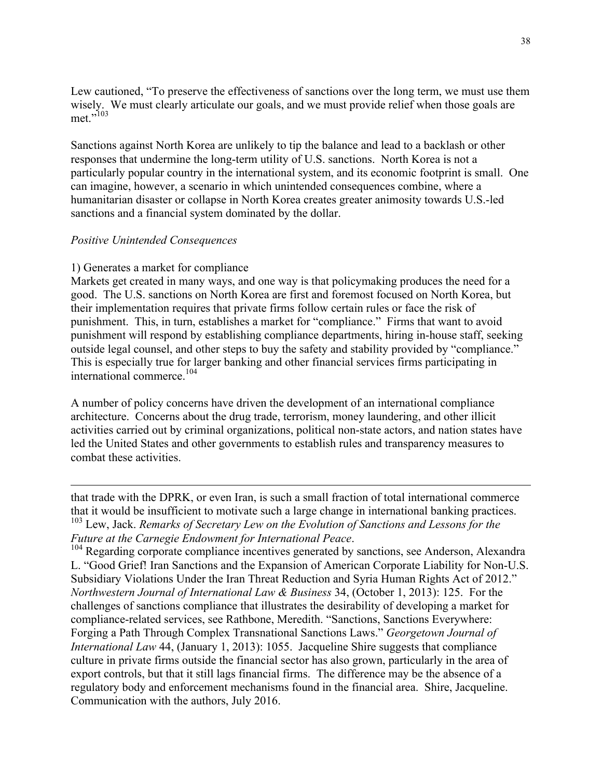Lew cautioned, "To preserve the effectiveness of sanctions over the long term, we must use them wisely. We must clearly articulate our goals, and we must provide relief when those goals are met."<sup>103</sup>

Sanctions against North Korea are unlikely to tip the balance and lead to a backlash or other responses that undermine the long-term utility of U.S. sanctions. North Korea is not a particularly popular country in the international system, and its economic footprint is small. One can imagine, however, a scenario in which unintended consequences combine, where a humanitarian disaster or collapse in North Korea creates greater animosity towards U.S.-led sanctions and a financial system dominated by the dollar.

#### *Positive Unintended Consequences*

 $\overline{a}$ 

#### 1) Generates a market for compliance

Markets get created in many ways, and one way is that policymaking produces the need for a good. The U.S. sanctions on North Korea are first and foremost focused on North Korea, but their implementation requires that private firms follow certain rules or face the risk of punishment. This, in turn, establishes a market for "compliance." Firms that want to avoid punishment will respond by establishing compliance departments, hiring in-house staff, seeking outside legal counsel, and other steps to buy the safety and stability provided by "compliance." This is especially true for larger banking and other financial services firms participating in international commerce.104

A number of policy concerns have driven the development of an international compliance architecture. Concerns about the drug trade, terrorism, money laundering, and other illicit activities carried out by criminal organizations, political non-state actors, and nation states have led the United States and other governments to establish rules and transparency measures to combat these activities.

that trade with the DPRK, or even Iran, is such a small fraction of total international commerce that it would be insufficient to motivate such a large change in international banking practices. <sup>103</sup> Lew, Jack. *Remarks of Secretary Lew on the Evolution of Sanctions and Lessons for the Future at the Carnegie Endowment for International Peace.*<br><sup>104</sup> Regarding corporate compliance incentives generated by sanctions, see Anderson, Alexandra

L. "Good Grief! Iran Sanctions and the Expansion of American Corporate Liability for Non-U.S. Subsidiary Violations Under the Iran Threat Reduction and Syria Human Rights Act of 2012." *Northwestern Journal of International Law & Business* 34, (October 1, 2013): 125. For the challenges of sanctions compliance that illustrates the desirability of developing a market for compliance-related services, see Rathbone, Meredith. "Sanctions, Sanctions Everywhere: Forging a Path Through Complex Transnational Sanctions Laws." *Georgetown Journal of International Law* 44, (January 1, 2013): 1055. Jacqueline Shire suggests that compliance culture in private firms outside the financial sector has also grown, particularly in the area of export controls, but that it still lags financial firms. The difference may be the absence of a regulatory body and enforcement mechanisms found in the financial area. Shire, Jacqueline. Communication with the authors, July 2016.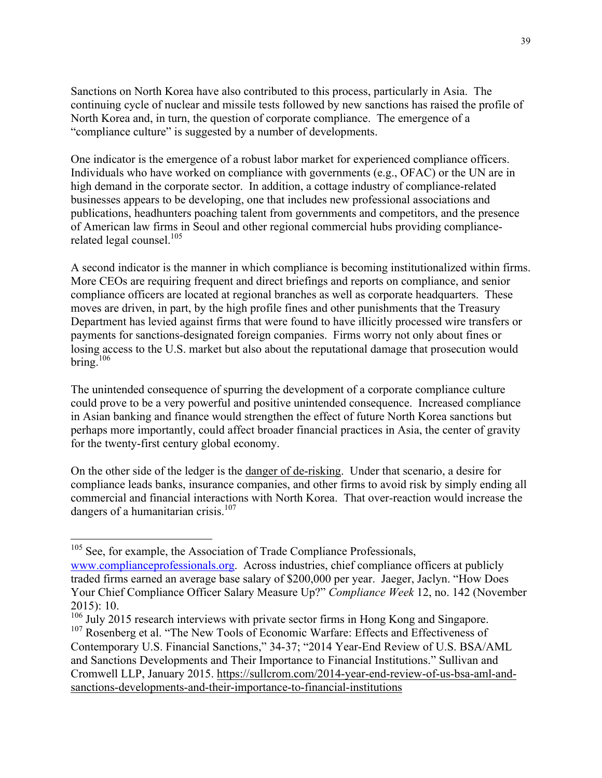Sanctions on North Korea have also contributed to this process, particularly in Asia. The continuing cycle of nuclear and missile tests followed by new sanctions has raised the profile of North Korea and, in turn, the question of corporate compliance. The emergence of a "compliance culture" is suggested by a number of developments.

One indicator is the emergence of a robust labor market for experienced compliance officers. Individuals who have worked on compliance with governments (e.g., OFAC) or the UN are in high demand in the corporate sector. In addition, a cottage industry of compliance-related businesses appears to be developing, one that includes new professional associations and publications, headhunters poaching talent from governments and competitors, and the presence of American law firms in Seoul and other regional commercial hubs providing compliancerelated legal counsel.<sup>105</sup>

A second indicator is the manner in which compliance is becoming institutionalized within firms. More CEOs are requiring frequent and direct briefings and reports on compliance, and senior compliance officers are located at regional branches as well as corporate headquarters. These moves are driven, in part, by the high profile fines and other punishments that the Treasury Department has levied against firms that were found to have illicitly processed wire transfers or payments for sanctions-designated foreign companies. Firms worry not only about fines or losing access to the U.S. market but also about the reputational damage that prosecution would bring. $106$ 

The unintended consequence of spurring the development of a corporate compliance culture could prove to be a very powerful and positive unintended consequence. Increased compliance in Asian banking and finance would strengthen the effect of future North Korea sanctions but perhaps more importantly, could affect broader financial practices in Asia, the center of gravity for the twenty-first century global economy.

On the other side of the ledger is the danger of de-risking. Under that scenario, a desire for compliance leads banks, insurance companies, and other firms to avoid risk by simply ending all commercial and financial interactions with North Korea. That over-reaction would increase the dangers of a humanitarian crisis.<sup>107</sup>

<sup>&</sup>lt;sup>105</sup> See, for example, the Association of Trade Compliance Professionals,

www.complianceprofessionals.org. Across industries, chief compliance officers at publicly traded firms earned an average base salary of \$200,000 per year. Jaeger, Jaclyn. "How Does Your Chief Compliance Officer Salary Measure Up?" *Compliance Week* 12, no. 142 (November 2015): 10.

<sup>&</sup>lt;sup>106</sup> July 2015 research interviews with private sector firms in Hong Kong and Singapore.

<sup>&</sup>lt;sup>107</sup> Rosenberg et al. "The New Tools of Economic Warfare: Effects and Effectiveness of Contemporary U.S. Financial Sanctions," 34-37; "2014 Year-End Review of U.S. BSA/AML and Sanctions Developments and Their Importance to Financial Institutions." Sullivan and Cromwell LLP, January 2015. https://sullcrom.com/2014-year-end-review-of-us-bsa-aml-andsanctions-developments-and-their-importance-to-financial-institutions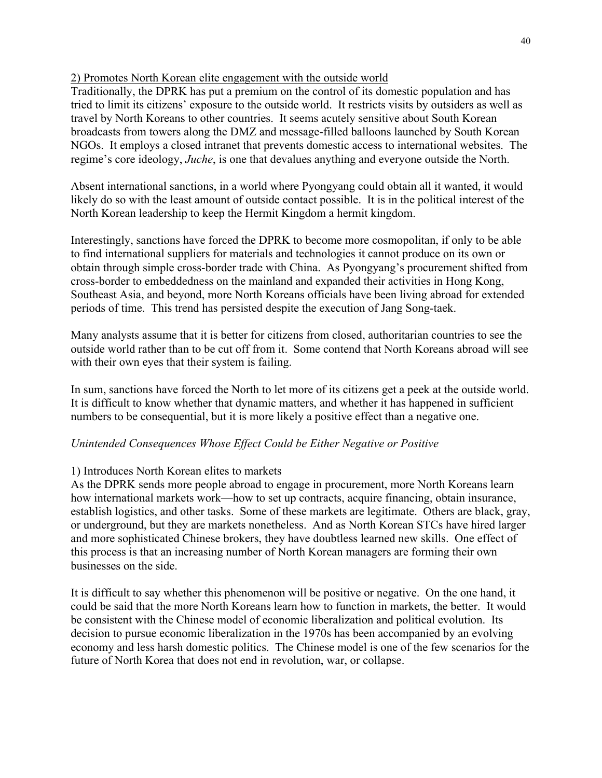## 2) Promotes North Korean elite engagement with the outside world

Traditionally, the DPRK has put a premium on the control of its domestic population and has tried to limit its citizens' exposure to the outside world. It restricts visits by outsiders as well as travel by North Koreans to other countries. It seems acutely sensitive about South Korean broadcasts from towers along the DMZ and message-filled balloons launched by South Korean NGOs. It employs a closed intranet that prevents domestic access to international websites. The regime's core ideology, *Juche*, is one that devalues anything and everyone outside the North.

Absent international sanctions, in a world where Pyongyang could obtain all it wanted, it would likely do so with the least amount of outside contact possible. It is in the political interest of the North Korean leadership to keep the Hermit Kingdom a hermit kingdom.

Interestingly, sanctions have forced the DPRK to become more cosmopolitan, if only to be able to find international suppliers for materials and technologies it cannot produce on its own or obtain through simple cross-border trade with China. As Pyongyang's procurement shifted from cross-border to embeddedness on the mainland and expanded their activities in Hong Kong, Southeast Asia, and beyond, more North Koreans officials have been living abroad for extended periods of time. This trend has persisted despite the execution of Jang Song-taek.

Many analysts assume that it is better for citizens from closed, authoritarian countries to see the outside world rather than to be cut off from it. Some contend that North Koreans abroad will see with their own eyes that their system is failing.

In sum, sanctions have forced the North to let more of its citizens get a peek at the outside world. It is difficult to know whether that dynamic matters, and whether it has happened in sufficient numbers to be consequential, but it is more likely a positive effect than a negative one.

## *Unintended Consequences Whose Effect Could be Either Negative or Positive*

## 1) Introduces North Korean elites to markets

As the DPRK sends more people abroad to engage in procurement, more North Koreans learn how international markets work—how to set up contracts, acquire financing, obtain insurance, establish logistics, and other tasks. Some of these markets are legitimate. Others are black, gray, or underground, but they are markets nonetheless. And as North Korean STCs have hired larger and more sophisticated Chinese brokers, they have doubtless learned new skills. One effect of this process is that an increasing number of North Korean managers are forming their own businesses on the side.

It is difficult to say whether this phenomenon will be positive or negative. On the one hand, it could be said that the more North Koreans learn how to function in markets, the better. It would be consistent with the Chinese model of economic liberalization and political evolution. Its decision to pursue economic liberalization in the 1970s has been accompanied by an evolving economy and less harsh domestic politics. The Chinese model is one of the few scenarios for the future of North Korea that does not end in revolution, war, or collapse.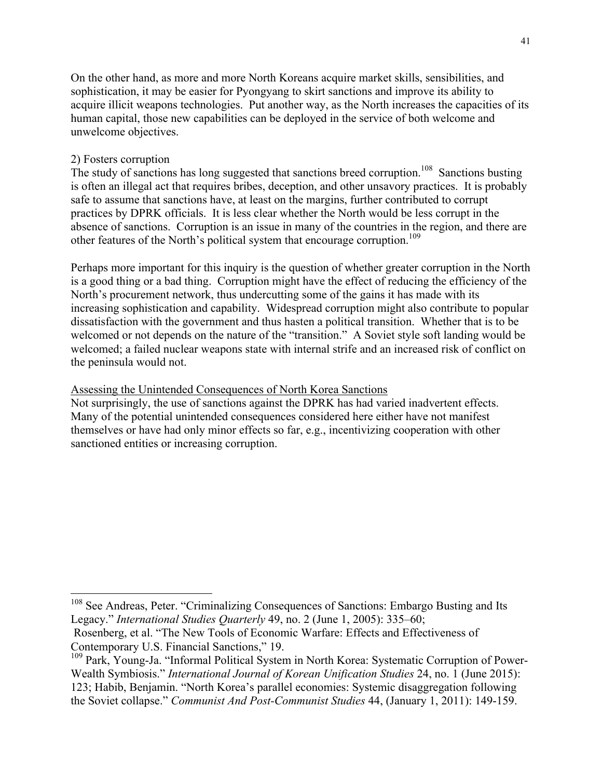On the other hand, as more and more North Koreans acquire market skills, sensibilities, and sophistication, it may be easier for Pyongyang to skirt sanctions and improve its ability to acquire illicit weapons technologies. Put another way, as the North increases the capacities of its human capital, those new capabilities can be deployed in the service of both welcome and unwelcome objectives.

#### 2) Fosters corruption

The study of sanctions has long suggested that sanctions breed corruption.<sup>108</sup> Sanctions busting is often an illegal act that requires bribes, deception, and other unsavory practices. It is probably safe to assume that sanctions have, at least on the margins, further contributed to corrupt practices by DPRK officials. It is less clear whether the North would be less corrupt in the absence of sanctions. Corruption is an issue in many of the countries in the region, and there are other features of the North's political system that encourage corruption.<sup>109</sup>

Perhaps more important for this inquiry is the question of whether greater corruption in the North is a good thing or a bad thing. Corruption might have the effect of reducing the efficiency of the North's procurement network, thus undercutting some of the gains it has made with its increasing sophistication and capability. Widespread corruption might also contribute to popular dissatisfaction with the government and thus hasten a political transition. Whether that is to be welcomed or not depends on the nature of the "transition." A Soviet style soft landing would be welcomed; a failed nuclear weapons state with internal strife and an increased risk of conflict on the peninsula would not.

#### Assessing the Unintended Consequences of North Korea Sanctions

Not surprisingly, the use of sanctions against the DPRK has had varied inadvertent effects. Many of the potential unintended consequences considered here either have not manifest themselves or have had only minor effects so far, e.g., incentivizing cooperation with other sanctioned entities or increasing corruption.

<sup>&</sup>lt;sup>108</sup> See Andreas, Peter. "Criminalizing Consequences of Sanctions: Embargo Busting and Its Legacy." *International Studies Quarterly* 49, no. 2 (June 1, 2005): 335–60;

Rosenberg, et al. "The New Tools of Economic Warfare: Effects and Effectiveness of Contemporary U.S. Financial Sanctions," 19.

<sup>&</sup>lt;sup>109</sup> Park, Young-Ja. "Informal Political System in North Korea: Systematic Corruption of Power-Wealth Symbiosis." *International Journal of Korean Unification Studies* 24, no. 1 (June 2015): 123; Habib, Benjamin. "North Korea's parallel economies: Systemic disaggregation following the Soviet collapse." *Communist And Post-Communist Studies* 44, (January 1, 2011): 149-159.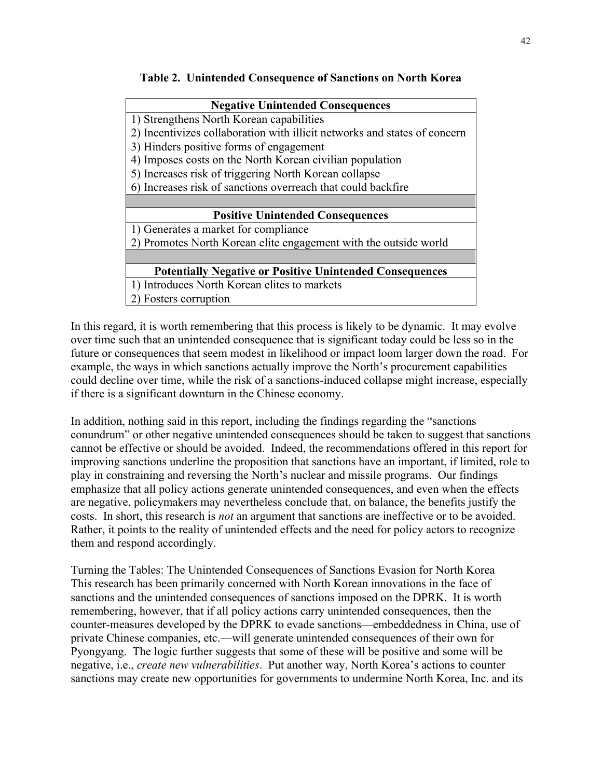## **Table 2. Unintended Consequence of Sanctions on North Korea**

| <b>Negative Unintended Consequences</b>                                   |
|---------------------------------------------------------------------------|
|                                                                           |
| 1) Strengthens North Korean capabilities                                  |
| 2) Incentivizes collaboration with illicit networks and states of concern |
| 3) Hinders positive forms of engagement                                   |
| 4) Imposes costs on the North Korean civilian population                  |
| 5) Increases risk of triggering North Korean collapse                     |
| 6) Increases risk of sanctions overreach that could backfire              |
|                                                                           |
| <b>Positive Unintended Consequences</b>                                   |
| 1) Generates a market for compliance                                      |
| 2) Promotes North Korean elite engagement with the outside world          |
|                                                                           |
| <b>Potentially Negative or Positive Unintended Consequences</b>           |
| 1) Introduces North Korean elites to markets                              |
| 2) Fosters corruption                                                     |

In this regard, it is worth remembering that this process is likely to be dynamic. It may evolve over time such that an unintended consequence that is significant today could be less so in the future or consequences that seem modest in likelihood or impact loom larger down the road. For example, the ways in which sanctions actually improve the North's procurement capabilities could decline over time, while the risk of a sanctions-induced collapse might increase, especially if there is a significant downturn in the Chinese economy.

In addition, nothing said in this report, including the findings regarding the "sanctions conundrum" or other negative unintended consequences should be taken to suggest that sanctions cannot be effective or should be avoided. Indeed, the recommendations offered in this report for improving sanctions underline the proposition that sanctions have an important, if limited, role to play in constraining and reversing the North's nuclear and missile programs. Our findings emphasize that all policy actions generate unintended consequences, and even when the effects are negative, policymakers may nevertheless conclude that, on balance, the benefits justify the costs. In short, this research is *not* an argument that sanctions are ineffective or to be avoided. Rather, it points to the reality of unintended effects and the need for policy actors to recognize them and respond accordingly.

Turning the Tables: The Unintended Consequences of Sanctions Evasion for North Korea This research has been primarily concerned with North Korean innovations in the face of sanctions and the unintended consequences of sanctions imposed on the DPRK. It is worth remembering, however, that if all policy actions carry unintended consequences, then the counter-measures developed by the DPRK to evade sanctions—embeddedness in China, use of private Chinese companies, etc.—will generate unintended consequences of their own for Pyongyang. The logic further suggests that some of these will be positive and some will be negative, i.e., *create new vulnerabilities*. Put another way, North Korea's actions to counter sanctions may create new opportunities for governments to undermine North Korea, Inc. and its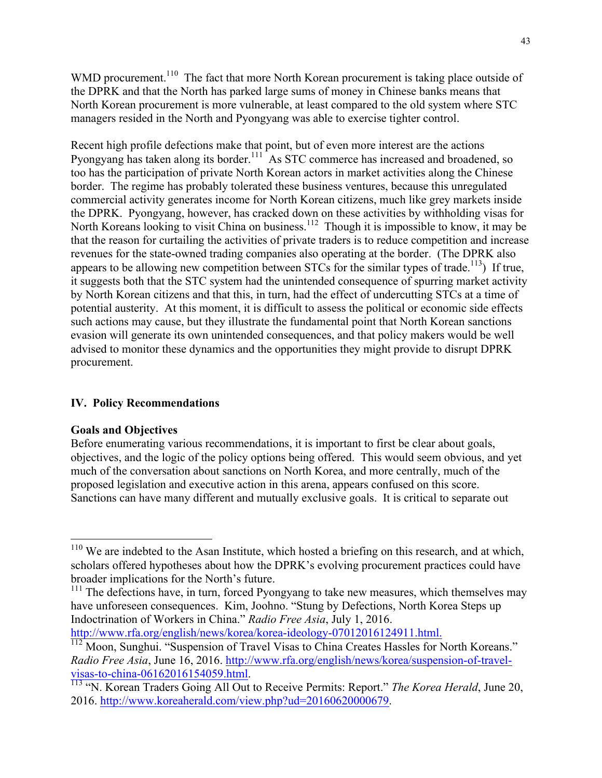WMD procurement.<sup>110</sup> The fact that more North Korean procurement is taking place outside of the DPRK and that the North has parked large sums of money in Chinese banks means that North Korean procurement is more vulnerable, at least compared to the old system where STC managers resided in the North and Pyongyang was able to exercise tighter control.

Recent high profile defections make that point, but of even more interest are the actions Pyongyang has taken along its border.<sup>111</sup> As STC commerce has increased and broadened, so too has the participation of private North Korean actors in market activities along the Chinese border. The regime has probably tolerated these business ventures, because this unregulated commercial activity generates income for North Korean citizens, much like grey markets inside the DPRK. Pyongyang, however, has cracked down on these activities by withholding visas for North Koreans looking to visit China on business.<sup>112</sup> Though it is impossible to know, it may be that the reason for curtailing the activities of private traders is to reduce competition and increase revenues for the state-owned trading companies also operating at the border. (The DPRK also appears to be allowing new competition between STCs for the similar types of trade.<sup>113</sup>) If true, it suggests both that the STC system had the unintended consequence of spurring market activity by North Korean citizens and that this, in turn, had the effect of undercutting STCs at a time of potential austerity. At this moment, it is difficult to assess the political or economic side effects such actions may cause, but they illustrate the fundamental point that North Korean sanctions evasion will generate its own unintended consequences, and that policy makers would be well advised to monitor these dynamics and the opportunities they might provide to disrupt DPRK procurement.

## **IV. Policy Recommendations**

## **Goals and Objectives**

Before enumerating various recommendations, it is important to first be clear about goals, objectives, and the logic of the policy options being offered. This would seem obvious, and yet much of the conversation about sanctions on North Korea, and more centrally, much of the proposed legislation and executive action in this arena, appears confused on this score. Sanctions can have many different and mutually exclusive goals. It is critical to separate out

http://www.rfa.org/english/news/korea/korea-ideology-07012016124911.html.<br><sup>112</sup> Moon, Sunghui. "Suspension of Travel Visas to China Creates Hassles for North Koreans."

<sup>&</sup>lt;sup>110</sup> We are indebted to the Asan Institute, which hosted a briefing on this research, and at which, scholars offered hypotheses about how the DPRK's evolving procurement practices could have broader implications for the North's future.

 $111$ <sup>111</sup> The defections have, in turn, forced Pyongyang to take new measures, which themselves may have unforeseen consequences. Kim, Joohno. "Stung by Defections, North Korea Steps up Indoctrination of Workers in China." *Radio Free Asia*, July 1, 2016.

*Radio Free Asia*, June 16, 2016. http://www.rfa.org/english/news/korea/suspension-of-travelvisas-to-china-06162016154059.html. <sup>113</sup> "N. Korean Traders Going All Out to Receive Permits: Report." *The Korea Herald*, June 20,

<sup>2016.</sup> http://www.koreaherald.com/view.php?ud=20160620000679.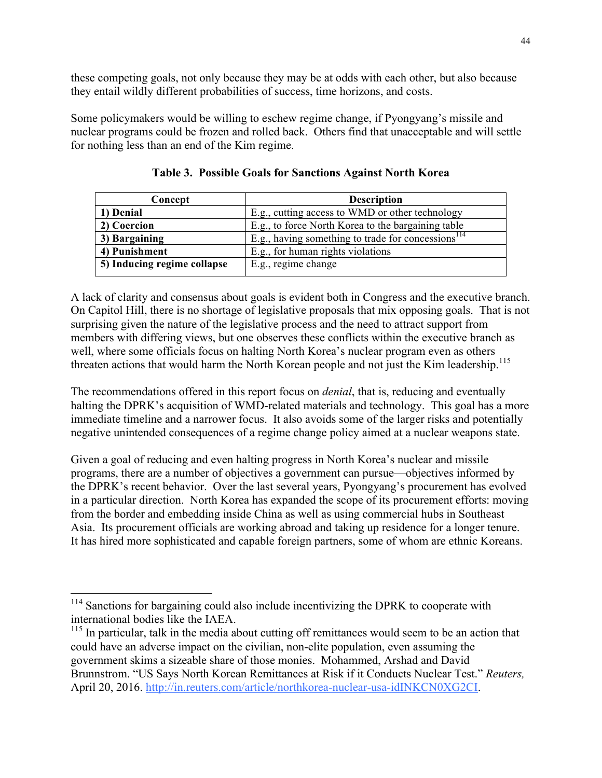these competing goals, not only because they may be at odds with each other, but also because they entail wildly different probabilities of success, time horizons, and costs.

Some policymakers would be willing to eschew regime change, if Pyongyang's missile and nuclear programs could be frozen and rolled back. Others find that unacceptable and will settle for nothing less than an end of the Kim regime.

| Concept                     | <b>Description</b>                                       |
|-----------------------------|----------------------------------------------------------|
| 1) Denial                   | E.g., cutting access to WMD or other technology          |
| 2) Coercion                 | E.g., to force North Korea to the bargaining table       |
| 3) Bargaining               | E.g., having something to trade for concessions $^{114}$ |
| 4) Punishment               | E.g., for human rights violations                        |
| 5) Inducing regime collapse | E.g., regime change                                      |

**Table 3. Possible Goals for Sanctions Against North Korea**

A lack of clarity and consensus about goals is evident both in Congress and the executive branch. On Capitol Hill, there is no shortage of legislative proposals that mix opposing goals. That is not surprising given the nature of the legislative process and the need to attract support from members with differing views, but one observes these conflicts within the executive branch as well, where some officials focus on halting North Korea's nuclear program even as others threaten actions that would harm the North Korean people and not just the Kim leadership.<sup>115</sup>

The recommendations offered in this report focus on *denial*, that is, reducing and eventually halting the DPRK's acquisition of WMD-related materials and technology. This goal has a more immediate timeline and a narrower focus. It also avoids some of the larger risks and potentially negative unintended consequences of a regime change policy aimed at a nuclear weapons state.

Given a goal of reducing and even halting progress in North Korea's nuclear and missile programs, there are a number of objectives a government can pursue—objectives informed by the DPRK's recent behavior. Over the last several years, Pyongyang's procurement has evolved in a particular direction. North Korea has expanded the scope of its procurement efforts: moving from the border and embedding inside China as well as using commercial hubs in Southeast Asia. Its procurement officials are working abroad and taking up residence for a longer tenure. It has hired more sophisticated and capable foreign partners, some of whom are ethnic Koreans.

<sup>&</sup>lt;sup>114</sup> Sanctions for bargaining could also include incentivizing the DPRK to cooperate with international bodies like the IAEA.

 $115$  In particular, talk in the media about cutting off remittances would seem to be an action that could have an adverse impact on the civilian, non-elite population, even assuming the government skims a sizeable share of those monies. Mohammed, Arshad and David Brunnstrom. "US Says North Korean Remittances at Risk if it Conducts Nuclear Test." *Reuters,*  April 20, 2016. http://in.reuters.com/article/northkorea-nuclear-usa-idINKCN0XG2CI.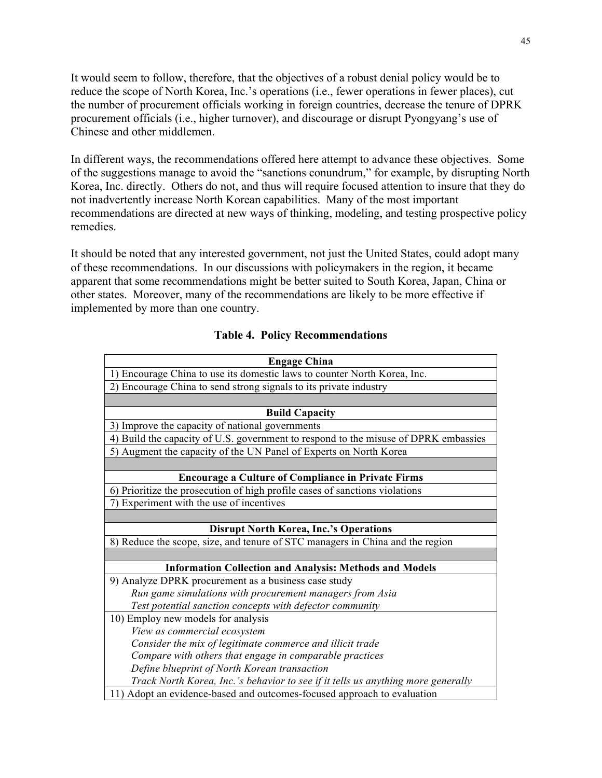It would seem to follow, therefore, that the objectives of a robust denial policy would be to reduce the scope of North Korea, Inc.'s operations (i.e., fewer operations in fewer places), cut the number of procurement officials working in foreign countries, decrease the tenure of DPRK procurement officials (i.e., higher turnover), and discourage or disrupt Pyongyang's use of Chinese and other middlemen.

In different ways, the recommendations offered here attempt to advance these objectives. Some of the suggestions manage to avoid the "sanctions conundrum," for example, by disrupting North Korea, Inc. directly. Others do not, and thus will require focused attention to insure that they do not inadvertently increase North Korean capabilities. Many of the most important recommendations are directed at new ways of thinking, modeling, and testing prospective policy remedies.

It should be noted that any interested government, not just the United States, could adopt many of these recommendations. In our discussions with policymakers in the region, it became apparent that some recommendations might be better suited to South Korea, Japan, China or other states. Moreover, many of the recommendations are likely to be more effective if implemented by more than one country.

| <b>Engage China</b>                                                                 |
|-------------------------------------------------------------------------------------|
| 1) Encourage China to use its domestic laws to counter North Korea, Inc.            |
| 2) Encourage China to send strong signals to its private industry                   |
|                                                                                     |
| <b>Build Capacity</b>                                                               |
| 3) Improve the capacity of national governments                                     |
| 4) Build the capacity of U.S. government to respond to the misuse of DPRK embassies |
| 5) Augment the capacity of the UN Panel of Experts on North Korea                   |
|                                                                                     |
| <b>Encourage a Culture of Compliance in Private Firms</b>                           |
| 6) Prioritize the prosecution of high profile cases of sanctions violations         |
| 7) Experiment with the use of incentives                                            |
|                                                                                     |
| <b>Disrupt North Korea, Inc.'s Operations</b>                                       |
| 8) Reduce the scope, size, and tenure of STC managers in China and the region       |
|                                                                                     |
| <b>Information Collection and Analysis: Methods and Models</b>                      |
| 9) Analyze DPRK procurement as a business case study                                |
| Run game simulations with procurement managers from Asia                            |
| Test potential sanction concepts with defector community                            |
| 10) Employ new models for analysis                                                  |
| View as commercial ecosystem                                                        |
| Consider the mix of legitimate commerce and illicit trade                           |
| Compare with others that engage in comparable practices                             |
| Define blueprint of North Korean transaction                                        |
| Track North Korea, Inc.'s behavior to see if it tells us anything more generally    |
| 11) Adopt an evidence-based and outcomes-focused approach to evaluation             |

#### **Table 4. Policy Recommendations**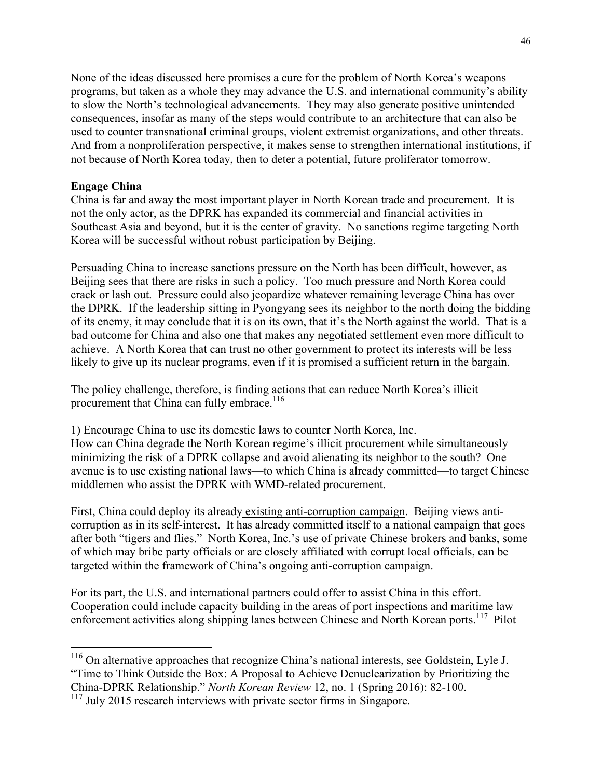None of the ideas discussed here promises a cure for the problem of North Korea's weapons programs, but taken as a whole they may advance the U.S. and international community's ability to slow the North's technological advancements. They may also generate positive unintended consequences, insofar as many of the steps would contribute to an architecture that can also be used to counter transnational criminal groups, violent extremist organizations, and other threats. And from a nonproliferation perspective, it makes sense to strengthen international institutions, if not because of North Korea today, then to deter a potential, future proliferator tomorrow.

## **Engage China**

China is far and away the most important player in North Korean trade and procurement. It is not the only actor, as the DPRK has expanded its commercial and financial activities in Southeast Asia and beyond, but it is the center of gravity. No sanctions regime targeting North Korea will be successful without robust participation by Beijing.

Persuading China to increase sanctions pressure on the North has been difficult, however, as Beijing sees that there are risks in such a policy. Too much pressure and North Korea could crack or lash out. Pressure could also jeopardize whatever remaining leverage China has over the DPRK. If the leadership sitting in Pyongyang sees its neighbor to the north doing the bidding of its enemy, it may conclude that it is on its own, that it's the North against the world. That is a bad outcome for China and also one that makes any negotiated settlement even more difficult to achieve. A North Korea that can trust no other government to protect its interests will be less likely to give up its nuclear programs, even if it is promised a sufficient return in the bargain.

The policy challenge, therefore, is finding actions that can reduce North Korea's illicit procurement that China can fully embrace.<sup>116</sup>

1) Encourage China to use its domestic laws to counter North Korea, Inc.

How can China degrade the North Korean regime's illicit procurement while simultaneously minimizing the risk of a DPRK collapse and avoid alienating its neighbor to the south? One avenue is to use existing national laws—to which China is already committed—to target Chinese middlemen who assist the DPRK with WMD-related procurement.

First, China could deploy its already existing anti-corruption campaign. Beijing views anticorruption as in its self-interest. It has already committed itself to a national campaign that goes after both "tigers and flies." North Korea, Inc.'s use of private Chinese brokers and banks, some of which may bribe party officials or are closely affiliated with corrupt local officials, can be targeted within the framework of China's ongoing anti-corruption campaign.

For its part, the U.S. and international partners could offer to assist China in this effort. Cooperation could include capacity building in the areas of port inspections and maritime law enforcement activities along shipping lanes between Chinese and North Korean ports.<sup>117</sup> Pilot

 <sup>116</sup> On alternative approaches that recognize China's national interests, see Goldstein, Lyle J. "Time to Think Outside the Box: A Proposal to Achieve Denuclearization by Prioritizing the China-DPRK Relationship." *North Korean Review* 12, no. 1 (Spring 2016): 82-100.

<sup>&</sup>lt;sup>117</sup> July 2015 research interviews with private sector firms in Singapore.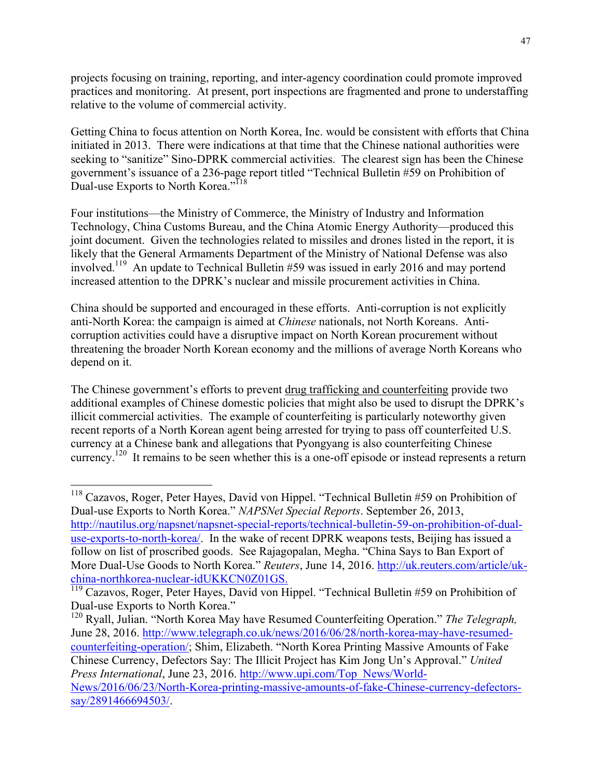projects focusing on training, reporting, and inter-agency coordination could promote improved practices and monitoring. At present, port inspections are fragmented and prone to understaffing relative to the volume of commercial activity.

Getting China to focus attention on North Korea, Inc. would be consistent with efforts that China initiated in 2013. There were indications at that time that the Chinese national authorities were seeking to "sanitize" Sino-DPRK commercial activities. The clearest sign has been the Chinese government's issuance of a 236-page report titled "Technical Bulletin #59 on Prohibition of Dual-use Exports to North Korea."<sup>118</sup>

Four institutions—the Ministry of Commerce, the Ministry of Industry and Information Technology, China Customs Bureau, and the China Atomic Energy Authority—produced this joint document. Given the technologies related to missiles and drones listed in the report, it is likely that the General Armaments Department of the Ministry of National Defense was also involved.<sup>119</sup> An update to Technical Bulletin #59 was issued in early 2016 and may portend increased attention to the DPRK's nuclear and missile procurement activities in China.

China should be supported and encouraged in these efforts. Anti-corruption is not explicitly anti-North Korea: the campaign is aimed at *Chinese* nationals, not North Koreans. Anticorruption activities could have a disruptive impact on North Korean procurement without threatening the broader North Korean economy and the millions of average North Koreans who depend on it.

The Chinese government's efforts to prevent drug trafficking and counterfeiting provide two additional examples of Chinese domestic policies that might also be used to disrupt the DPRK's illicit commercial activities. The example of counterfeiting is particularly noteworthy given recent reports of a North Korean agent being arrested for trying to pass off counterfeited U.S. currency at a Chinese bank and allegations that Pyongyang is also counterfeiting Chinese currency.<sup>120</sup> It remains to be seen whether this is a one-off episode or instead represents a return

<sup>&</sup>lt;sup>118</sup> Cazavos, Roger, Peter Hayes, David von Hippel. "Technical Bulletin #59 on Prohibition of Dual-use Exports to North Korea." *NAPSNet Special Reports*. September 26, 2013, http://nautilus.org/napsnet/napsnet-special-reports/technical-bulletin-59-on-prohibition-of-dualuse-exports-to-north-korea/. In the wake of recent DPRK weapons tests, Beijing has issued a follow on list of proscribed goods. See Rajagopalan, Megha. "China Says to Ban Export of More Dual-Use Goods to North Korea." *Reuters*, June 14, 2016. http://uk.reuters.com/article/ukchina-northkorea-nuclear-idUKKCN0Z01GS. 119 Cazavos, Roger, Peter Hayes, David von Hippel. "Technical Bulletin #59 on Prohibition of

Dual-use Exports to North Korea."

<sup>120</sup> Ryall, Julian. "North Korea May have Resumed Counterfeiting Operation." *The Telegraph,* June 28, 2016. http://www.telegraph.co.uk/news/2016/06/28/north-korea-may-have-resumedcounterfeiting-operation/; Shim, Elizabeth. "North Korea Printing Massive Amounts of Fake Chinese Currency, Defectors Say: The Illicit Project has Kim Jong Un's Approval." *United Press International*, June 23, 2016. http://www.upi.com/Top\_News/World-News/2016/06/23/North-Korea-printing-massive-amounts-of-fake-Chinese-currency-defectorssay/2891466694503/.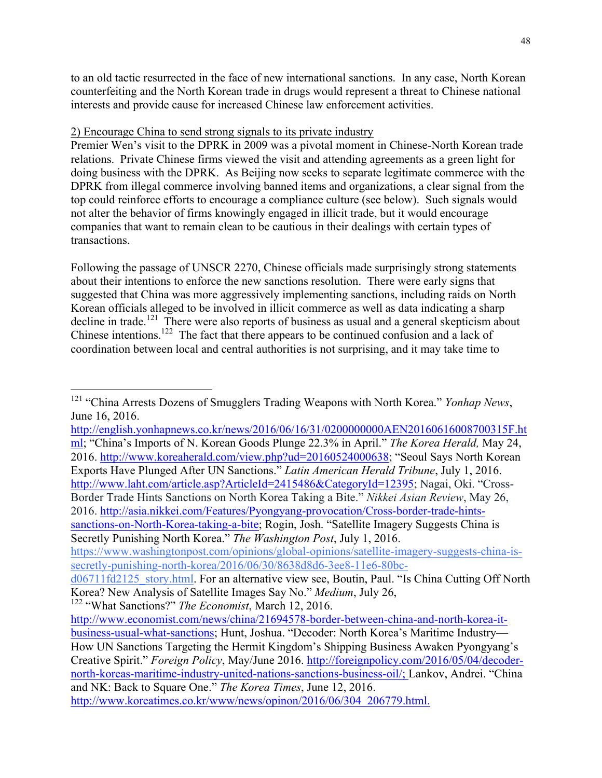to an old tactic resurrected in the face of new international sanctions. In any case, North Korean counterfeiting and the North Korean trade in drugs would represent a threat to Chinese national interests and provide cause for increased Chinese law enforcement activities.

## 2) Encourage China to send strong signals to its private industry

Premier Wen's visit to the DPRK in 2009 was a pivotal moment in Chinese-North Korean trade relations. Private Chinese firms viewed the visit and attending agreements as a green light for doing business with the DPRK. As Beijing now seeks to separate legitimate commerce with the DPRK from illegal commerce involving banned items and organizations, a clear signal from the top could reinforce efforts to encourage a compliance culture (see below). Such signals would not alter the behavior of firms knowingly engaged in illicit trade, but it would encourage companies that want to remain clean to be cautious in their dealings with certain types of transactions.

Following the passage of UNSCR 2270, Chinese officials made surprisingly strong statements about their intentions to enforce the new sanctions resolution. There were early signs that suggested that China was more aggressively implementing sanctions, including raids on North Korean officials alleged to be involved in illicit commerce as well as data indicating a sharp decline in trade.<sup>121</sup> There were also reports of business as usual and a general skepticism about Chinese intentions.<sup>122</sup> The fact that there appears to be continued confusion and a lack of coordination between local and central authorities is not surprising, and it may take time to

http://english.yonhapnews.co.kr/news/2016/06/16/31/0200000000AEN20160616008700315F.ht ml; "China's Imports of N. Korean Goods Plunge 22.3% in April." *The Korea Herald,* May 24, 2016. http://www.koreaherald.com/view.php?ud=20160524000638; "Seoul Says North Korean Exports Have Plunged After UN Sanctions." *Latin American Herald Tribune*, July 1, 2016. http://www.laht.com/article.asp?ArticleId=2415486&CategoryId=12395; Nagai, Oki. "Cross-Border Trade Hints Sanctions on North Korea Taking a Bite." *Nikkei Asian Review*, May 26, 2016. http://asia.nikkei.com/Features/Pyongyang-provocation/Cross-border-trade-hintssanctions-on-North-Korea-taking-a-bite; Rogin, Josh. "Satellite Imagery Suggests China is Secretly Punishing North Korea." *The Washington Post*, July 1, 2016.

https://www.washingtonpost.com/opinions/global-opinions/satellite-imagery-suggests-china-issecretly-punishing-north-korea/2016/06/30/8638d8d6-3ee8-11e6-80bc-

 <sup>121</sup> "China Arrests Dozens of Smugglers Trading Weapons with North Korea." *Yonhap News*, June 16, 2016.

d06711fd2125\_story.html. For an alternative view see, Boutin, Paul. "Is China Cutting Off North Korea? New Analysis of Satellite Images Say No." *Medium*, July 26,

<sup>122</sup> "What Sanctions?" *The Economist*, March 12, 2016.

http://www.economist.com/news/china/21694578-border-between-china-and-north-korea-itbusiness-usual-what-sanctions; Hunt, Joshua. "Decoder: North Korea's Maritime Industry— How UN Sanctions Targeting the Hermit Kingdom's Shipping Business Awaken Pyongyang's Creative Spirit." *Foreign Policy*, May/June 2016. http://foreignpolicy.com/2016/05/04/decodernorth-koreas-maritime-industry-united-nations-sanctions-business-oil/; Lankov, Andrei. "China and NK: Back to Square One." *The Korea Times*, June 12, 2016. http://www.koreatimes.co.kr/www/news/opinon/2016/06/304\_206779.html.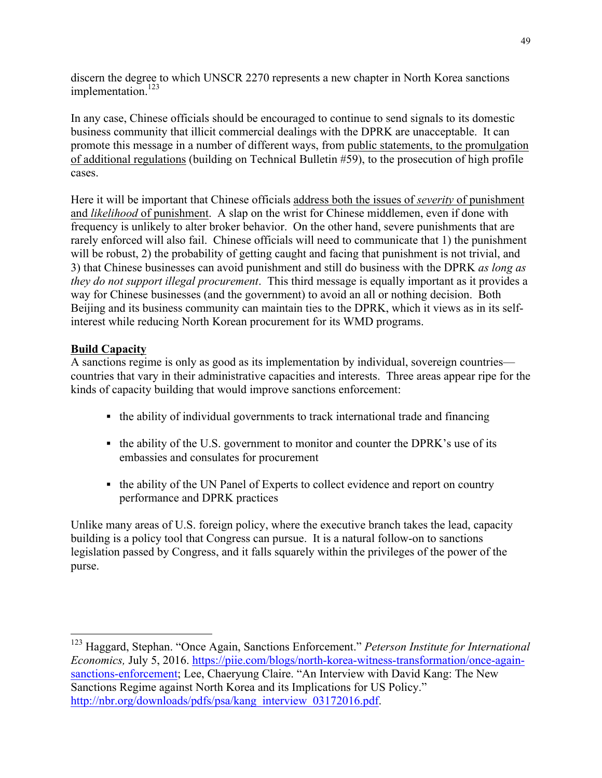discern the degree to which UNSCR 2270 represents a new chapter in North Korea sanctions implementation.<sup>123</sup>

In any case, Chinese officials should be encouraged to continue to send signals to its domestic business community that illicit commercial dealings with the DPRK are unacceptable. It can promote this message in a number of different ways, from public statements, to the promulgation of additional regulations (building on Technical Bulletin #59), to the prosecution of high profile cases.

Here it will be important that Chinese officials address both the issues of *severity* of punishment and *likelihood* of punishment. A slap on the wrist for Chinese middlemen, even if done with frequency is unlikely to alter broker behavior. On the other hand, severe punishments that are rarely enforced will also fail. Chinese officials will need to communicate that 1) the punishment will be robust, 2) the probability of getting caught and facing that punishment is not trivial, and 3) that Chinese businesses can avoid punishment and still do business with the DPRK *as long as they do not support illegal procurement*. This third message is equally important as it provides a way for Chinese businesses (and the government) to avoid an all or nothing decision. Both Beijing and its business community can maintain ties to the DPRK, which it views as in its selfinterest while reducing North Korean procurement for its WMD programs.

## **Build Capacity**

A sanctions regime is only as good as its implementation by individual, sovereign countries countries that vary in their administrative capacities and interests. Three areas appear ripe for the kinds of capacity building that would improve sanctions enforcement:

- the ability of individual governments to track international trade and financing
- the ability of the U.S. government to monitor and counter the DPRK's use of its embassies and consulates for procurement
- the ability of the UN Panel of Experts to collect evidence and report on country performance and DPRK practices

Unlike many areas of U.S. foreign policy, where the executive branch takes the lead, capacity building is a policy tool that Congress can pursue. It is a natural follow-on to sanctions legislation passed by Congress, and it falls squarely within the privileges of the power of the purse.

 <sup>123</sup> Haggard, Stephan. "Once Again, Sanctions Enforcement." *Peterson Institute for International Economics,* July 5, 2016. https://piie.com/blogs/north-korea-witness-transformation/once-againsanctions-enforcement; Lee, Chaeryung Claire. "An Interview with David Kang: The New Sanctions Regime against North Korea and its Implications for US Policy." http://nbr.org/downloads/pdfs/psa/kang\_interview\_03172016.pdf.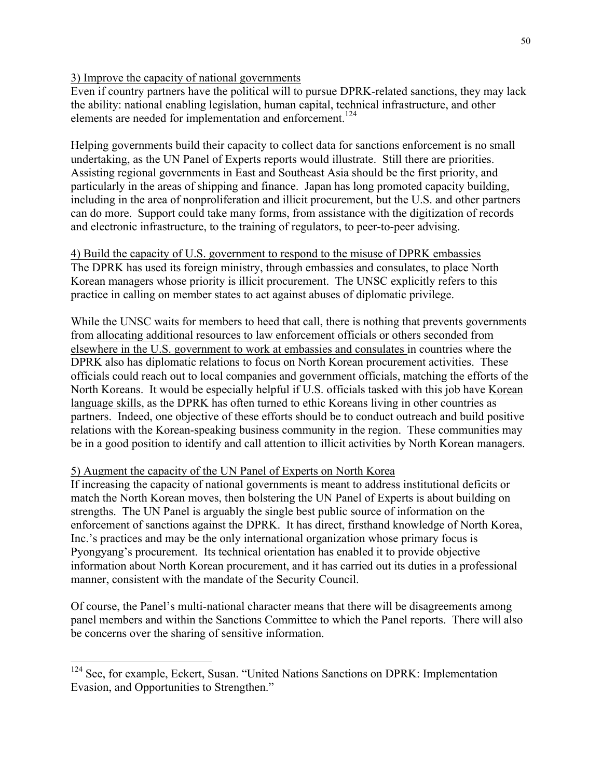## 3) Improve the capacity of national governments

Even if country partners have the political will to pursue DPRK-related sanctions, they may lack the ability: national enabling legislation, human capital, technical infrastructure, and other elements are needed for implementation and enforcement.<sup>124</sup>

Helping governments build their capacity to collect data for sanctions enforcement is no small undertaking, as the UN Panel of Experts reports would illustrate. Still there are priorities. Assisting regional governments in East and Southeast Asia should be the first priority, and particularly in the areas of shipping and finance. Japan has long promoted capacity building, including in the area of nonproliferation and illicit procurement, but the U.S. and other partners can do more. Support could take many forms, from assistance with the digitization of records and electronic infrastructure, to the training of regulators, to peer-to-peer advising.

4) Build the capacity of U.S. government to respond to the misuse of DPRK embassies The DPRK has used its foreign ministry, through embassies and consulates, to place North Korean managers whose priority is illicit procurement. The UNSC explicitly refers to this practice in calling on member states to act against abuses of diplomatic privilege.

While the UNSC waits for members to heed that call, there is nothing that prevents governments from allocating additional resources to law enforcement officials or others seconded from elsewhere in the U.S. government to work at embassies and consulates in countries where the DPRK also has diplomatic relations to focus on North Korean procurement activities. These officials could reach out to local companies and government officials, matching the efforts of the North Koreans. It would be especially helpful if U.S. officials tasked with this job have Korean language skills, as the DPRK has often turned to ethic Koreans living in other countries as partners. Indeed, one objective of these efforts should be to conduct outreach and build positive relations with the Korean-speaking business community in the region. These communities may be in a good position to identify and call attention to illicit activities by North Korean managers.

## 5) Augment the capacity of the UN Panel of Experts on North Korea

If increasing the capacity of national governments is meant to address institutional deficits or match the North Korean moves, then bolstering the UN Panel of Experts is about building on strengths. The UN Panel is arguably the single best public source of information on the enforcement of sanctions against the DPRK. It has direct, firsthand knowledge of North Korea, Inc.'s practices and may be the only international organization whose primary focus is Pyongyang's procurement. Its technical orientation has enabled it to provide objective information about North Korean procurement, and it has carried out its duties in a professional manner, consistent with the mandate of the Security Council.

Of course, the Panel's multi-national character means that there will be disagreements among panel members and within the Sanctions Committee to which the Panel reports. There will also be concerns over the sharing of sensitive information.

<sup>&</sup>lt;sup>124</sup> See, for example, Eckert, Susan. "United Nations Sanctions on DPRK: Implementation Evasion, and Opportunities to Strengthen."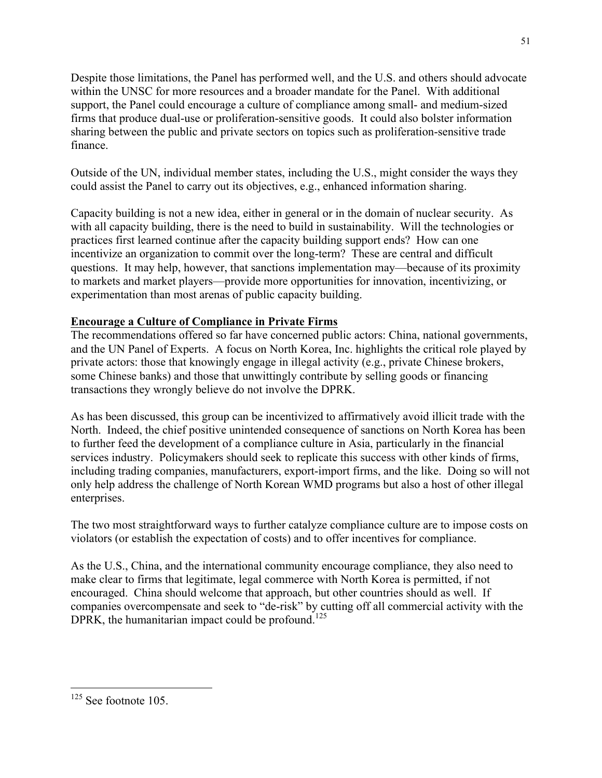Despite those limitations, the Panel has performed well, and the U.S. and others should advocate within the UNSC for more resources and a broader mandate for the Panel. With additional support, the Panel could encourage a culture of compliance among small- and medium-sized firms that produce dual-use or proliferation-sensitive goods. It could also bolster information sharing between the public and private sectors on topics such as proliferation-sensitive trade finance.

Outside of the UN, individual member states, including the U.S., might consider the ways they could assist the Panel to carry out its objectives, e.g., enhanced information sharing.

Capacity building is not a new idea, either in general or in the domain of nuclear security. As with all capacity building, there is the need to build in sustainability. Will the technologies or practices first learned continue after the capacity building support ends? How can one incentivize an organization to commit over the long-term? These are central and difficult questions. It may help, however, that sanctions implementation may—because of its proximity to markets and market players—provide more opportunities for innovation, incentivizing, or experimentation than most arenas of public capacity building.

## **Encourage a Culture of Compliance in Private Firms**

The recommendations offered so far have concerned public actors: China, national governments, and the UN Panel of Experts. A focus on North Korea, Inc. highlights the critical role played by private actors: those that knowingly engage in illegal activity (e.g., private Chinese brokers, some Chinese banks) and those that unwittingly contribute by selling goods or financing transactions they wrongly believe do not involve the DPRK.

As has been discussed, this group can be incentivized to affirmatively avoid illicit trade with the North. Indeed, the chief positive unintended consequence of sanctions on North Korea has been to further feed the development of a compliance culture in Asia, particularly in the financial services industry. Policymakers should seek to replicate this success with other kinds of firms, including trading companies, manufacturers, export-import firms, and the like. Doing so will not only help address the challenge of North Korean WMD programs but also a host of other illegal enterprises.

The two most straightforward ways to further catalyze compliance culture are to impose costs on violators (or establish the expectation of costs) and to offer incentives for compliance.

As the U.S., China, and the international community encourage compliance, they also need to make clear to firms that legitimate, legal commerce with North Korea is permitted, if not encouraged. China should welcome that approach, but other countries should as well. If companies overcompensate and seek to "de-risk" by cutting off all commercial activity with the DPRK, the humanitarian impact could be profound.<sup>125</sup>

 $125$  See footnote 105.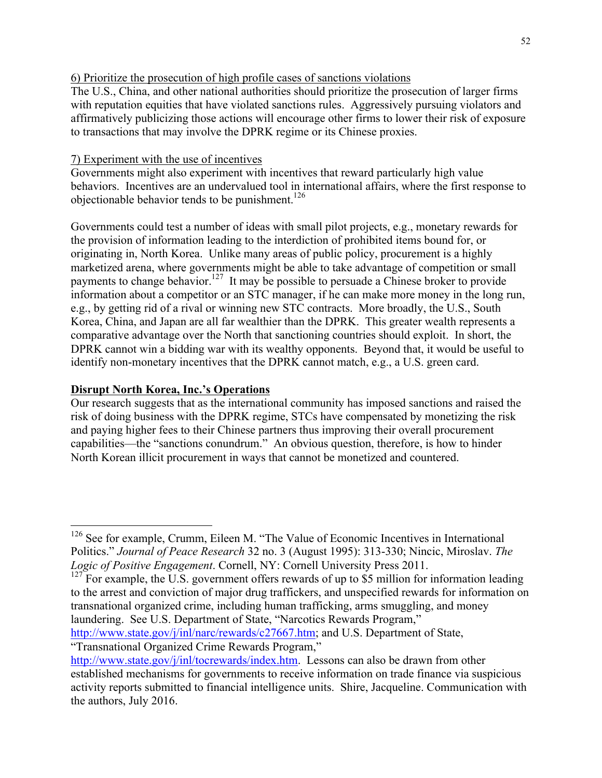## 6) Prioritize the prosecution of high profile cases of sanctions violations

The U.S., China, and other national authorities should prioritize the prosecution of larger firms with reputation equities that have violated sanctions rules. Aggressively pursuing violators and affirmatively publicizing those actions will encourage other firms to lower their risk of exposure to transactions that may involve the DPRK regime or its Chinese proxies.

## 7) Experiment with the use of incentives

Governments might also experiment with incentives that reward particularly high value behaviors. Incentives are an undervalued tool in international affairs, where the first response to objectionable behavior tends to be punishment.<sup>126</sup>

Governments could test a number of ideas with small pilot projects, e.g., monetary rewards for the provision of information leading to the interdiction of prohibited items bound for, or originating in, North Korea. Unlike many areas of public policy, procurement is a highly marketized arena, where governments might be able to take advantage of competition or small payments to change behavior.<sup>127</sup> It may be possible to persuade a Chinese broker to provide information about a competitor or an STC manager, if he can make more money in the long run, e.g., by getting rid of a rival or winning new STC contracts. More broadly, the U.S., South Korea, China, and Japan are all far wealthier than the DPRK. This greater wealth represents a comparative advantage over the North that sanctioning countries should exploit. In short, the DPRK cannot win a bidding war with its wealthy opponents. Beyond that, it would be useful to identify non-monetary incentives that the DPRK cannot match, e.g., a U.S. green card.

## **Disrupt North Korea, Inc.'s Operations**

Our research suggests that as the international community has imposed sanctions and raised the risk of doing business with the DPRK regime, STCs have compensated by monetizing the risk and paying higher fees to their Chinese partners thus improving their overall procurement capabilities—the "sanctions conundrum." An obvious question, therefore, is how to hinder North Korean illicit procurement in ways that cannot be monetized and countered.

http://www.state.gov/j/inl/narc/rewards/c27667.htm; and U.S. Department of State, "Transnational Organized Crime Rewards Program,"

<sup>&</sup>lt;sup>126</sup> See for example, Crumm, Eileen M. "The Value of Economic Incentives in International Politics." *Journal of Peace Research* 32 no. 3 (August 1995): 313-330; Nincic, Miroslav. *The Logic of Positive Engagement*. Cornell, NY: Cornell University Press 2011.

 $127$  For example, the U.S. government offers rewards of up to \$5 million for information leading to the arrest and conviction of major drug traffickers, and unspecified rewards for information on transnational organized crime, including human trafficking, arms smuggling, and money laundering. See U.S. Department of State, "Narcotics Rewards Program,"

http://www.state.gov/j/inl/tocrewards/index.htm. Lessons can also be drawn from other established mechanisms for governments to receive information on trade finance via suspicious activity reports submitted to financial intelligence units. Shire, Jacqueline. Communication with the authors, July 2016.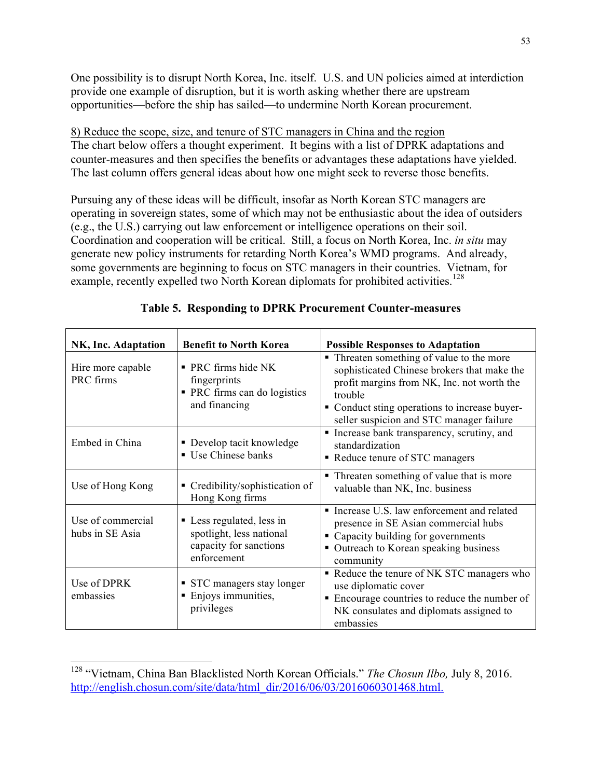One possibility is to disrupt North Korea, Inc. itself. U.S. and UN policies aimed at interdiction provide one example of disruption, but it is worth asking whether there are upstream opportunities—before the ship has sailed—to undermine North Korean procurement.

8) Reduce the scope, size, and tenure of STC managers in China and the region The chart below offers a thought experiment. It begins with a list of DPRK adaptations and counter-measures and then specifies the benefits or advantages these adaptations have yielded. The last column offers general ideas about how one might seek to reverse those benefits.

Pursuing any of these ideas will be difficult, insofar as North Korean STC managers are operating in sovereign states, some of which may not be enthusiastic about the idea of outsiders (e.g., the U.S.) carrying out law enforcement or intelligence operations on their soil. Coordination and cooperation will be critical. Still, a focus on North Korea, Inc. *in situ* may generate new policy instruments for retarding North Korea's WMD programs. And already, some governments are beginning to focus on STC managers in their countries. Vietnam, for example, recently expelled two North Korean diplomats for prohibited activities.<sup>128</sup>

| NK, Inc. Adaptation                  | <b>Benefit to North Korea</b>                                                                           | <b>Possible Responses to Adaptation</b>                                                                                                                                                                                                        |
|--------------------------------------|---------------------------------------------------------------------------------------------------------|------------------------------------------------------------------------------------------------------------------------------------------------------------------------------------------------------------------------------------------------|
| Hire more capable<br>PRC firms       | PRC firms hide NK<br>$\blacksquare$<br>fingerprints<br>PRC firms can do logistics<br>٠<br>and financing | • Threaten something of value to the more<br>sophisticated Chinese brokers that make the<br>profit margins from NK, Inc. not worth the<br>trouble<br>• Conduct sting operations to increase buyer-<br>seller suspicion and STC manager failure |
| Embed in China                       | • Develop tacit knowledge<br><b>Use Chinese banks</b>                                                   | • Increase bank transparency, scrutiny, and<br>standardization<br>• Reduce tenure of STC managers                                                                                                                                              |
| Use of Hong Kong                     | • Credibility/sophistication of<br>Hong Kong firms                                                      | • Threaten something of value that is more<br>valuable than NK, Inc. business                                                                                                                                                                  |
| Use of commercial<br>hubs in SE Asia | • Less regulated, less in<br>spotlight, less national<br>capacity for sanctions<br>enforcement          | • Increase U.S. law enforcement and related<br>presence in SE Asian commercial hubs<br>• Capacity building for governments<br>Outreach to Korean speaking business<br>٠<br>community                                                           |
| Use of DPRK<br>embassies             | • STC managers stay longer<br>Enjoys immunities,<br>п<br>privileges                                     | Reduce the tenure of NK STC managers who<br>use diplomatic cover<br>Encourage countries to reduce the number of<br>NK consulates and diplomats assigned to<br>embassies                                                                        |

**Table 5. Responding to DPRK Procurement Counter-measures**

 <sup>128</sup> "Vietnam, China Ban Blacklisted North Korean Officials." *The Chosun Ilbo,* July 8, 2016. http://english.chosun.com/site/data/html\_dir/2016/06/03/2016060301468.html.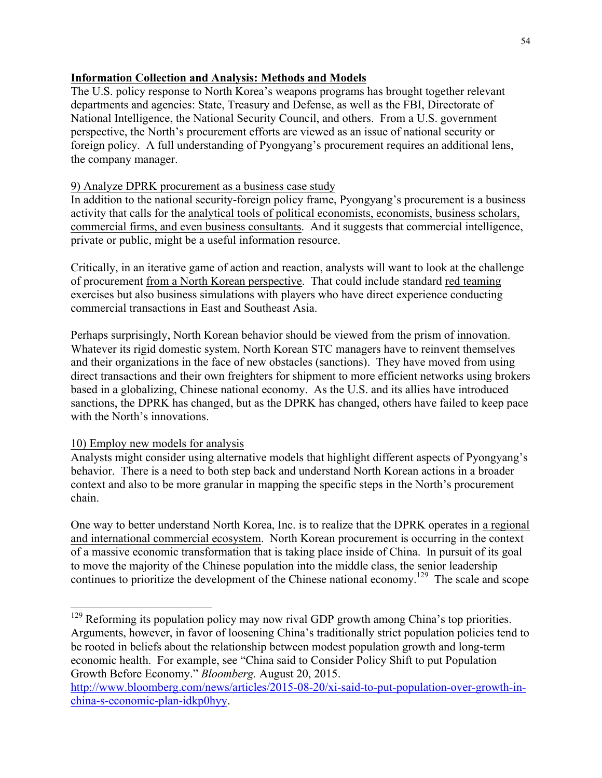## **Information Collection and Analysis: Methods and Models**

The U.S. policy response to North Korea's weapons programs has brought together relevant departments and agencies: State, Treasury and Defense, as well as the FBI, Directorate of National Intelligence, the National Security Council, and others. From a U.S. government perspective, the North's procurement efforts are viewed as an issue of national security or foreign policy. A full understanding of Pyongyang's procurement requires an additional lens, the company manager.

## 9) Analyze DPRK procurement as a business case study

In addition to the national security-foreign policy frame, Pyongyang's procurement is a business activity that calls for the analytical tools of political economists, economists, business scholars, commercial firms, and even business consultants. And it suggests that commercial intelligence, private or public, might be a useful information resource.

Critically, in an iterative game of action and reaction, analysts will want to look at the challenge of procurement from a North Korean perspective. That could include standard red teaming exercises but also business simulations with players who have direct experience conducting commercial transactions in East and Southeast Asia.

Perhaps surprisingly, North Korean behavior should be viewed from the prism of innovation. Whatever its rigid domestic system, North Korean STC managers have to reinvent themselves and their organizations in the face of new obstacles (sanctions). They have moved from using direct transactions and their own freighters for shipment to more efficient networks using brokers based in a globalizing, Chinese national economy. As the U.S. and its allies have introduced sanctions, the DPRK has changed, but as the DPRK has changed, others have failed to keep pace with the North's innovations.

## 10) Employ new models for analysis

Analysts might consider using alternative models that highlight different aspects of Pyongyang's behavior. There is a need to both step back and understand North Korean actions in a broader context and also to be more granular in mapping the specific steps in the North's procurement chain.

One way to better understand North Korea, Inc. is to realize that the DPRK operates in a regional and international commercial ecosystem. North Korean procurement is occurring in the context of a massive economic transformation that is taking place inside of China. In pursuit of its goal to move the majority of the Chinese population into the middle class, the senior leadership continues to prioritize the development of the Chinese national economy.<sup>129</sup> The scale and scope

<sup>&</sup>lt;sup>129</sup> Reforming its population policy may now rival GDP growth among China's top priorities. Arguments, however, in favor of loosening China's traditionally strict population policies tend to be rooted in beliefs about the relationship between modest population growth and long-term economic health. For example, see "China said to Consider Policy Shift to put Population Growth Before Economy." *Bloomberg.* August 20, 2015.

http://www.bloomberg.com/news/articles/2015-08-20/xi-said-to-put-population-over-growth-inchina-s-economic-plan-idkp0hyy.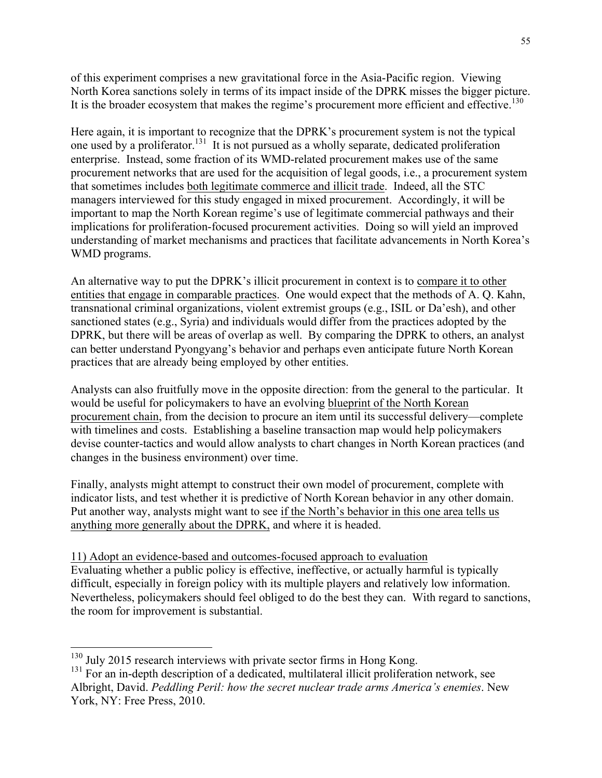of this experiment comprises a new gravitational force in the Asia-Pacific region. Viewing North Korea sanctions solely in terms of its impact inside of the DPRK misses the bigger picture. It is the broader ecosystem that makes the regime's procurement more efficient and effective.<sup>130</sup>

Here again, it is important to recognize that the DPRK's procurement system is not the typical one used by a proliferator.131 It is not pursued as a wholly separate, dedicated proliferation enterprise. Instead, some fraction of its WMD-related procurement makes use of the same procurement networks that are used for the acquisition of legal goods, i.e., a procurement system that sometimes includes both legitimate commerce and illicit trade. Indeed, all the STC managers interviewed for this study engaged in mixed procurement. Accordingly, it will be important to map the North Korean regime's use of legitimate commercial pathways and their implications for proliferation-focused procurement activities. Doing so will yield an improved understanding of market mechanisms and practices that facilitate advancements in North Korea's WMD programs.

An alternative way to put the DPRK's illicit procurement in context is to compare it to other entities that engage in comparable practices. One would expect that the methods of A. Q. Kahn, transnational criminal organizations, violent extremist groups (e.g., ISIL or Da'esh), and other sanctioned states (e.g., Syria) and individuals would differ from the practices adopted by the DPRK, but there will be areas of overlap as well. By comparing the DPRK to others, an analyst can better understand Pyongyang's behavior and perhaps even anticipate future North Korean practices that are already being employed by other entities.

Analysts can also fruitfully move in the opposite direction: from the general to the particular. It would be useful for policymakers to have an evolving blueprint of the North Korean procurement chain, from the decision to procure an item until its successful delivery—complete with timelines and costs. Establishing a baseline transaction map would help policymakers devise counter-tactics and would allow analysts to chart changes in North Korean practices (and changes in the business environment) over time.

Finally, analysts might attempt to construct their own model of procurement, complete with indicator lists, and test whether it is predictive of North Korean behavior in any other domain. Put another way, analysts might want to see if the North's behavior in this one area tells us anything more generally about the DPRK, and where it is headed.

11) Adopt an evidence-based and outcomes-focused approach to evaluation Evaluating whether a public policy is effective, ineffective, or actually harmful is typically difficult, especially in foreign policy with its multiple players and relatively low information. Nevertheless, policymakers should feel obliged to do the best they can. With regard to sanctions, the room for improvement is substantial.

<sup>&</sup>lt;sup>130</sup> July 2015 research interviews with private sector firms in Hong Kong.

 $131$  For an in-depth description of a dedicated, multilateral illicit proliferation network, see Albright, David. *Peddling Peril: how the secret nuclear trade arms America's enemies*. New York, NY: Free Press, 2010.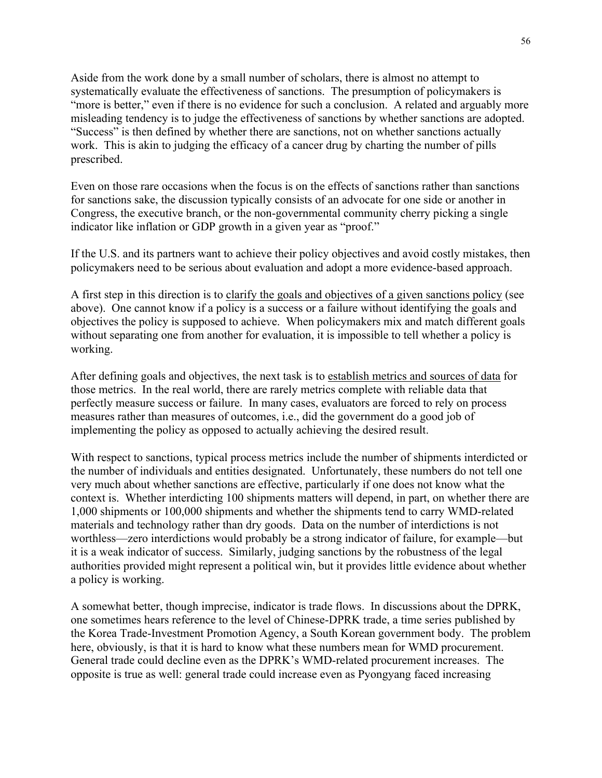Aside from the work done by a small number of scholars, there is almost no attempt to systematically evaluate the effectiveness of sanctions. The presumption of policymakers is "more is better," even if there is no evidence for such a conclusion. A related and arguably more misleading tendency is to judge the effectiveness of sanctions by whether sanctions are adopted. "Success" is then defined by whether there are sanctions, not on whether sanctions actually work. This is akin to judging the efficacy of a cancer drug by charting the number of pills prescribed.

Even on those rare occasions when the focus is on the effects of sanctions rather than sanctions for sanctions sake, the discussion typically consists of an advocate for one side or another in Congress, the executive branch, or the non-governmental community cherry picking a single indicator like inflation or GDP growth in a given year as "proof."

If the U.S. and its partners want to achieve their policy objectives and avoid costly mistakes, then policymakers need to be serious about evaluation and adopt a more evidence-based approach.

A first step in this direction is to clarify the goals and objectives of a given sanctions policy (see above). One cannot know if a policy is a success or a failure without identifying the goals and objectives the policy is supposed to achieve. When policymakers mix and match different goals without separating one from another for evaluation, it is impossible to tell whether a policy is working.

After defining goals and objectives, the next task is to establish metrics and sources of data for those metrics. In the real world, there are rarely metrics complete with reliable data that perfectly measure success or failure. In many cases, evaluators are forced to rely on process measures rather than measures of outcomes, i.e., did the government do a good job of implementing the policy as opposed to actually achieving the desired result.

With respect to sanctions, typical process metrics include the number of shipments interdicted or the number of individuals and entities designated. Unfortunately, these numbers do not tell one very much about whether sanctions are effective, particularly if one does not know what the context is. Whether interdicting 100 shipments matters will depend, in part, on whether there are 1,000 shipments or 100,000 shipments and whether the shipments tend to carry WMD-related materials and technology rather than dry goods. Data on the number of interdictions is not worthless—zero interdictions would probably be a strong indicator of failure, for example—but it is a weak indicator of success. Similarly, judging sanctions by the robustness of the legal authorities provided might represent a political win, but it provides little evidence about whether a policy is working.

A somewhat better, though imprecise, indicator is trade flows. In discussions about the DPRK, one sometimes hears reference to the level of Chinese-DPRK trade, a time series published by the Korea Trade-Investment Promotion Agency, a South Korean government body. The problem here, obviously, is that it is hard to know what these numbers mean for WMD procurement. General trade could decline even as the DPRK's WMD-related procurement increases. The opposite is true as well: general trade could increase even as Pyongyang faced increasing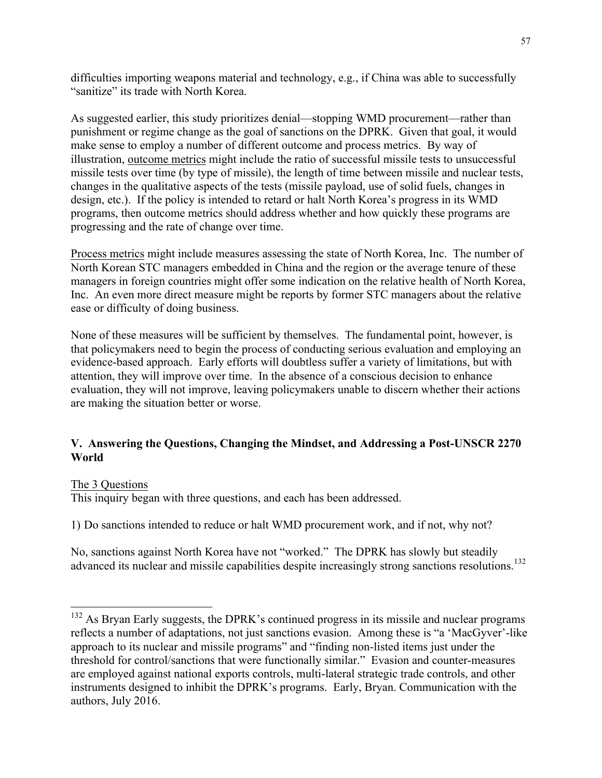difficulties importing weapons material and technology, e.g., if China was able to successfully "sanitize" its trade with North Korea.

As suggested earlier, this study prioritizes denial—stopping WMD procurement—rather than punishment or regime change as the goal of sanctions on the DPRK. Given that goal, it would make sense to employ a number of different outcome and process metrics. By way of illustration, outcome metrics might include the ratio of successful missile tests to unsuccessful missile tests over time (by type of missile), the length of time between missile and nuclear tests, changes in the qualitative aspects of the tests (missile payload, use of solid fuels, changes in design, etc.). If the policy is intended to retard or halt North Korea's progress in its WMD programs, then outcome metrics should address whether and how quickly these programs are progressing and the rate of change over time.

Process metrics might include measures assessing the state of North Korea, Inc. The number of North Korean STC managers embedded in China and the region or the average tenure of these managers in foreign countries might offer some indication on the relative health of North Korea, Inc. An even more direct measure might be reports by former STC managers about the relative ease or difficulty of doing business.

None of these measures will be sufficient by themselves. The fundamental point, however, is that policymakers need to begin the process of conducting serious evaluation and employing an evidence-based approach. Early efforts will doubtless suffer a variety of limitations, but with attention, they will improve over time. In the absence of a conscious decision to enhance evaluation, they will not improve, leaving policymakers unable to discern whether their actions are making the situation better or worse.

## **V. Answering the Questions, Changing the Mindset, and Addressing a Post-UNSCR 2270 World**

## The 3 Questions

This inquiry began with three questions, and each has been addressed.

1) Do sanctions intended to reduce or halt WMD procurement work, and if not, why not?

No, sanctions against North Korea have not "worked." The DPRK has slowly but steadily advanced its nuclear and missile capabilities despite increasingly strong sanctions resolutions.<sup>132</sup>

<sup>&</sup>lt;sup>132</sup> As Bryan Early suggests, the DPRK's continued progress in its missile and nuclear programs reflects a number of adaptations, not just sanctions evasion. Among these is "a 'MacGyver'-like approach to its nuclear and missile programs" and "finding non-listed items just under the threshold for control/sanctions that were functionally similar." Evasion and counter-measures are employed against national exports controls, multi-lateral strategic trade controls, and other instruments designed to inhibit the DPRK's programs. Early, Bryan. Communication with the authors, July 2016.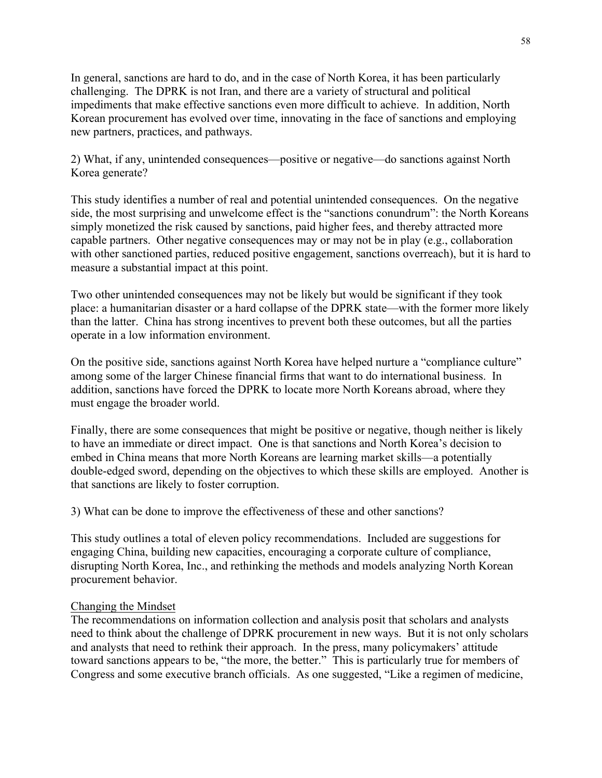In general, sanctions are hard to do, and in the case of North Korea, it has been particularly challenging. The DPRK is not Iran, and there are a variety of structural and political impediments that make effective sanctions even more difficult to achieve. In addition, North Korean procurement has evolved over time, innovating in the face of sanctions and employing new partners, practices, and pathways.

2) What, if any, unintended consequences—positive or negative—do sanctions against North Korea generate?

This study identifies a number of real and potential unintended consequences. On the negative side, the most surprising and unwelcome effect is the "sanctions conundrum": the North Koreans simply monetized the risk caused by sanctions, paid higher fees, and thereby attracted more capable partners. Other negative consequences may or may not be in play (e.g., collaboration with other sanctioned parties, reduced positive engagement, sanctions overreach), but it is hard to measure a substantial impact at this point.

Two other unintended consequences may not be likely but would be significant if they took place: a humanitarian disaster or a hard collapse of the DPRK state—with the former more likely than the latter. China has strong incentives to prevent both these outcomes, but all the parties operate in a low information environment.

On the positive side, sanctions against North Korea have helped nurture a "compliance culture" among some of the larger Chinese financial firms that want to do international business. In addition, sanctions have forced the DPRK to locate more North Koreans abroad, where they must engage the broader world.

Finally, there are some consequences that might be positive or negative, though neither is likely to have an immediate or direct impact. One is that sanctions and North Korea's decision to embed in China means that more North Koreans are learning market skills—a potentially double-edged sword, depending on the objectives to which these skills are employed. Another is that sanctions are likely to foster corruption.

3) What can be done to improve the effectiveness of these and other sanctions?

This study outlines a total of eleven policy recommendations. Included are suggestions for engaging China, building new capacities, encouraging a corporate culture of compliance, disrupting North Korea, Inc., and rethinking the methods and models analyzing North Korean procurement behavior.

#### Changing the Mindset

The recommendations on information collection and analysis posit that scholars and analysts need to think about the challenge of DPRK procurement in new ways. But it is not only scholars and analysts that need to rethink their approach. In the press, many policymakers' attitude toward sanctions appears to be, "the more, the better." This is particularly true for members of Congress and some executive branch officials. As one suggested, "Like a regimen of medicine,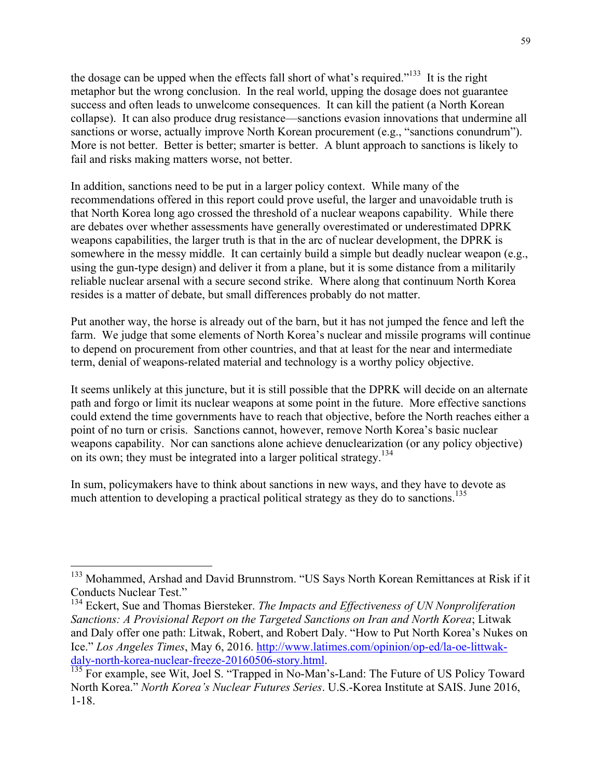the dosage can be upped when the effects fall short of what's required."<sup>133</sup> It is the right metaphor but the wrong conclusion. In the real world, upping the dosage does not guarantee success and often leads to unwelcome consequences. It can kill the patient (a North Korean collapse). It can also produce drug resistance—sanctions evasion innovations that undermine all sanctions or worse, actually improve North Korean procurement (e.g., "sanctions conundrum"). More is not better. Better is better; smarter is better. A blunt approach to sanctions is likely to fail and risks making matters worse, not better.

In addition, sanctions need to be put in a larger policy context. While many of the recommendations offered in this report could prove useful, the larger and unavoidable truth is that North Korea long ago crossed the threshold of a nuclear weapons capability. While there are debates over whether assessments have generally overestimated or underestimated DPRK weapons capabilities, the larger truth is that in the arc of nuclear development, the DPRK is somewhere in the messy middle. It can certainly build a simple but deadly nuclear weapon (e.g., using the gun-type design) and deliver it from a plane, but it is some distance from a militarily reliable nuclear arsenal with a secure second strike. Where along that continuum North Korea resides is a matter of debate, but small differences probably do not matter.

Put another way, the horse is already out of the barn, but it has not jumped the fence and left the farm. We judge that some elements of North Korea's nuclear and missile programs will continue to depend on procurement from other countries, and that at least for the near and intermediate term, denial of weapons-related material and technology is a worthy policy objective.

It seems unlikely at this juncture, but it is still possible that the DPRK will decide on an alternate path and forgo or limit its nuclear weapons at some point in the future. More effective sanctions could extend the time governments have to reach that objective, before the North reaches either a point of no turn or crisis. Sanctions cannot, however, remove North Korea's basic nuclear weapons capability. Nor can sanctions alone achieve denuclearization (or any policy objective) on its own; they must be integrated into a larger political strategy.<sup>134</sup>

In sum, policymakers have to think about sanctions in new ways, and they have to devote as much attention to developing a practical political strategy as they do to sanctions.<sup>135</sup>

<sup>&</sup>lt;sup>133</sup> Mohammed, Arshad and David Brunnstrom. "US Says North Korean Remittances at Risk if it Conducts Nuclear Test."

<sup>&</sup>lt;sup>134</sup> Eckert, Sue and Thomas Biersteker. *The Impacts and Effectiveness of UN Nonproliferation Sanctions: A Provisional Report on the Targeted Sanctions on Iran and North Korea*; Litwak and Daly offer one path: Litwak, Robert, and Robert Daly. "How to Put North Korea's Nukes on Ice." *Los Angeles Times*, May 6, 2016. http://www.latimes.com/opinion/op-ed/la-oe-littwak-daly-north-korea-nuclear-freeze-20160506-story.html.

<sup>&</sup>lt;sup>135</sup> For example, see Wit, Joel S. "Trapped in No-Man's-Land: The Future of US Policy Toward North Korea." *North Korea's Nuclear Futures Series*. U.S.-Korea Institute at SAIS. June 2016, 1-18.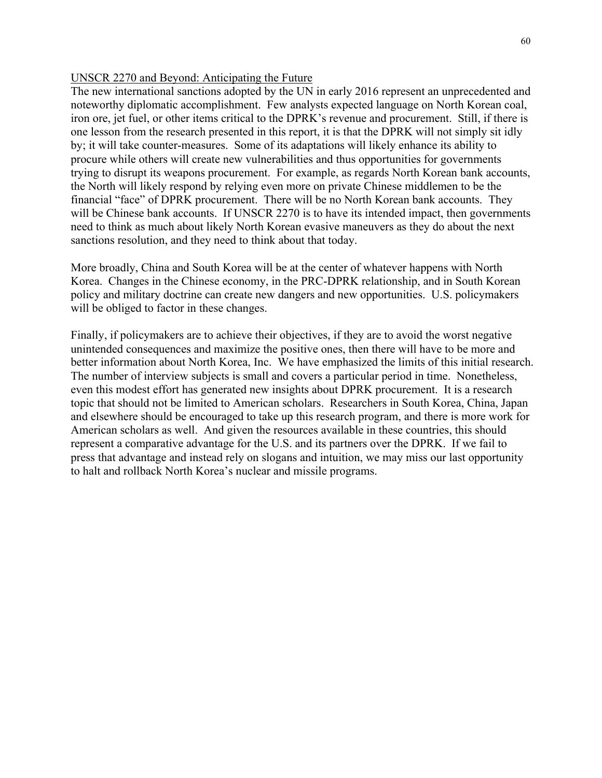#### UNSCR 2270 and Beyond: Anticipating the Future

The new international sanctions adopted by the UN in early 2016 represent an unprecedented and noteworthy diplomatic accomplishment. Few analysts expected language on North Korean coal, iron ore, jet fuel, or other items critical to the DPRK's revenue and procurement. Still, if there is one lesson from the research presented in this report, it is that the DPRK will not simply sit idly by; it will take counter-measures. Some of its adaptations will likely enhance its ability to procure while others will create new vulnerabilities and thus opportunities for governments trying to disrupt its weapons procurement. For example, as regards North Korean bank accounts, the North will likely respond by relying even more on private Chinese middlemen to be the financial "face" of DPRK procurement. There will be no North Korean bank accounts. They will be Chinese bank accounts. If UNSCR 2270 is to have its intended impact, then governments need to think as much about likely North Korean evasive maneuvers as they do about the next sanctions resolution, and they need to think about that today.

More broadly, China and South Korea will be at the center of whatever happens with North Korea. Changes in the Chinese economy, in the PRC-DPRK relationship, and in South Korean policy and military doctrine can create new dangers and new opportunities. U.S. policymakers will be obliged to factor in these changes.

Finally, if policymakers are to achieve their objectives, if they are to avoid the worst negative unintended consequences and maximize the positive ones, then there will have to be more and better information about North Korea, Inc. We have emphasized the limits of this initial research. The number of interview subjects is small and covers a particular period in time. Nonetheless, even this modest effort has generated new insights about DPRK procurement. It is a research topic that should not be limited to American scholars. Researchers in South Korea, China, Japan and elsewhere should be encouraged to take up this research program, and there is more work for American scholars as well. And given the resources available in these countries, this should represent a comparative advantage for the U.S. and its partners over the DPRK. If we fail to press that advantage and instead rely on slogans and intuition, we may miss our last opportunity to halt and rollback North Korea's nuclear and missile programs.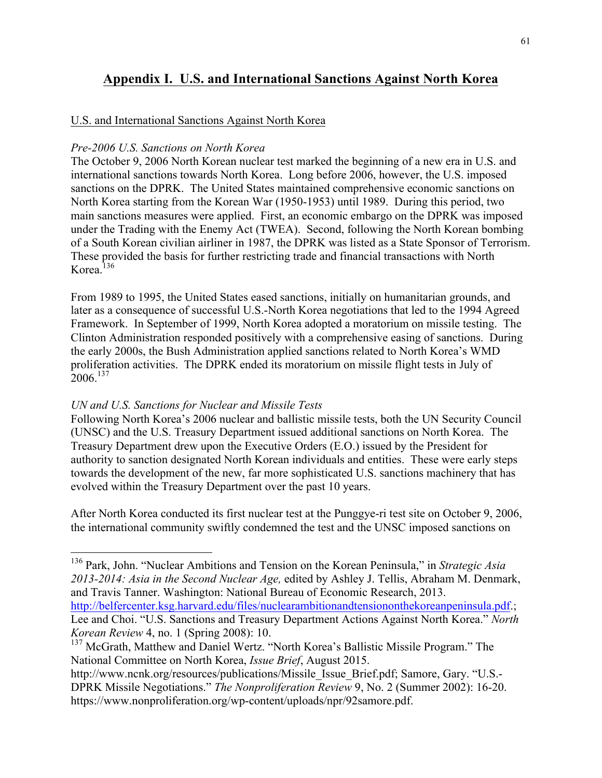# **Appendix I. U.S. and International Sanctions Against North Korea**

## U.S. and International Sanctions Against North Korea

#### *Pre-2006 U.S. Sanctions on North Korea*

The October 9, 2006 North Korean nuclear test marked the beginning of a new era in U.S. and international sanctions towards North Korea. Long before 2006, however, the U.S. imposed sanctions on the DPRK. The United States maintained comprehensive economic sanctions on North Korea starting from the Korean War (1950-1953) until 1989. During this period, two main sanctions measures were applied. First, an economic embargo on the DPRK was imposed under the Trading with the Enemy Act (TWEA). Second, following the North Korean bombing of a South Korean civilian airliner in 1987, the DPRK was listed as a State Sponsor of Terrorism. These provided the basis for further restricting trade and financial transactions with North Korea. $136$ 

From 1989 to 1995, the United States eased sanctions, initially on humanitarian grounds, and later as a consequence of successful U.S.-North Korea negotiations that led to the 1994 Agreed Framework. In September of 1999, North Korea adopted a moratorium on missile testing. The Clinton Administration responded positively with a comprehensive easing of sanctions. During the early 2000s, the Bush Administration applied sanctions related to North Korea's WMD proliferation activities. The DPRK ended its moratorium on missile flight tests in July of  $2006^{137}$ 

## *UN and U.S. Sanctions for Nuclear and Missile Tests*

Following North Korea's 2006 nuclear and ballistic missile tests, both the UN Security Council (UNSC) and the U.S. Treasury Department issued additional sanctions on North Korea. The Treasury Department drew upon the Executive Orders (E.O.) issued by the President for authority to sanction designated North Korean individuals and entities. These were early steps towards the development of the new, far more sophisticated U.S. sanctions machinery that has evolved within the Treasury Department over the past 10 years.

After North Korea conducted its first nuclear test at the Punggye-ri test site on October 9, 2006, the international community swiftly condemned the test and the UNSC imposed sanctions on

*Korean Review* 4, no. 1 (Spring 2008): 10.

 <sup>136</sup> Park, John. "Nuclear Ambitions and Tension on the Korean Peninsula," in *Strategic Asia 2013-2014: Asia in the Second Nuclear Age,* edited by Ashley J. Tellis, Abraham M. Denmark, and Travis Tanner. Washington: National Bureau of Economic Research, 2013. http://belfercenter.ksg.harvard.edu/files/nuclearambitionandtensiononthekoreanpeninsula.pdf.; Lee and Choi. "U.S. Sanctions and Treasury Department Actions Against North Korea." *North* 

<sup>&</sup>lt;sup>137</sup> McGrath, Matthew and Daniel Wertz. "North Korea's Ballistic Missile Program." The National Committee on North Korea, *Issue Brief*, August 2015.

http://www.ncnk.org/resources/publications/Missile\_Issue\_Brief.pdf; Samore, Gary. "U.S.-DPRK Missile Negotiations." *The Nonproliferation Review* 9, No. 2 (Summer 2002): 16-20. https://www.nonproliferation.org/wp-content/uploads/npr/92samore.pdf.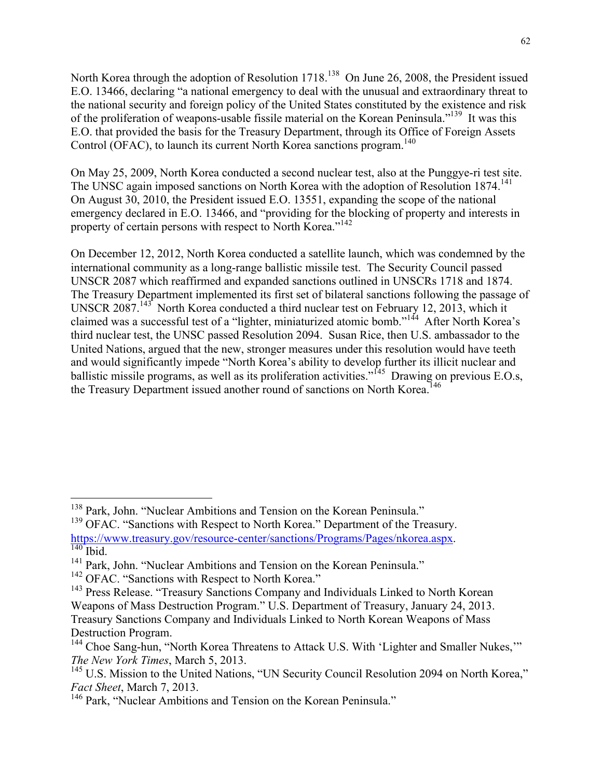North Korea through the adoption of Resolution 1718.<sup>138</sup> On June 26, 2008, the President issued E.O. 13466, declaring "a national emergency to deal with the unusual and extraordinary threat to the national security and foreign policy of the United States constituted by the existence and risk of the proliferation of weapons-usable fissile material on the Korean Peninsula."<sup>139</sup> It was this E.O. that provided the basis for the Treasury Department, through its Office of Foreign Assets Control (OFAC), to launch its current North Korea sanctions program.<sup>140</sup>

On May 25, 2009, North Korea conducted a second nuclear test, also at the Punggye-ri test site. The UNSC again imposed sanctions on North Korea with the adoption of Resolution 1874.<sup>141</sup> On August 30, 2010, the President issued E.O. 13551, expanding the scope of the national emergency declared in E.O. 13466, and "providing for the blocking of property and interests in property of certain persons with respect to North Korea."<sup>142</sup>

On December 12, 2012, North Korea conducted a satellite launch, which was condemned by the international community as a long-range ballistic missile test. The Security Council passed UNSCR 2087 which reaffirmed and expanded sanctions outlined in UNSCRs 1718 and 1874. The Treasury Department implemented its first set of bilateral sanctions following the passage of UNSCR 2087.143 North Korea conducted a third nuclear test on February 12, 2013, which it claimed was a successful test of a "lighter, miniaturized atomic bomb."144 After North Korea's third nuclear test, the UNSC passed Resolution 2094. Susan Rice, then U.S. ambassador to the United Nations, argued that the new, stronger measures under this resolution would have teeth and would significantly impede "North Korea's ability to develop further its illicit nuclear and ballistic missile programs, as well as its proliferation activities."<sup>145</sup> Drawing on previous E.O.s, the Treasury Department issued another round of sanctions on North Korea.<sup>146</sup>

<sup>&</sup>lt;sup>138</sup> Park, John. "Nuclear Ambitions and Tension on the Korean Peninsula."

<sup>&</sup>lt;sup>139</sup> OFAC. "Sanctions with Respect to North Korea." Department of the Treasury. https://www.treasury.gov/resource-center/sanctions/Programs/Pages/nkorea.aspx. 140 Ibid.

<sup>&</sup>lt;sup>141</sup> Park, John. "Nuclear Ambitions and Tension on the Korean Peninsula."

<sup>&</sup>lt;sup>142</sup> OFAC. "Sanctions with Respect to North Korea."

<sup>&</sup>lt;sup>143</sup> Press Release. "Treasury Sanctions Company and Individuals Linked to North Korean Weapons of Mass Destruction Program." U.S. Department of Treasury, January 24, 2013. Treasury Sanctions Company and Individuals Linked to North Korean Weapons of Mass Destruction Program.

<sup>&</sup>lt;sup>144</sup> Choe Sang-hun, "North Korea Threatens to Attack U.S. With 'Lighter and Smaller Nukes," *The New York Times*, March 5, 2013.

<sup>&</sup>lt;sup>145</sup> U.S. Mission to the United Nations, "UN Security Council Resolution 2094 on North Korea," *Fact Sheet*, March 7, 2013.

<sup>&</sup>lt;sup>146</sup> Park, "Nuclear Ambitions and Tension on the Korean Peninsula."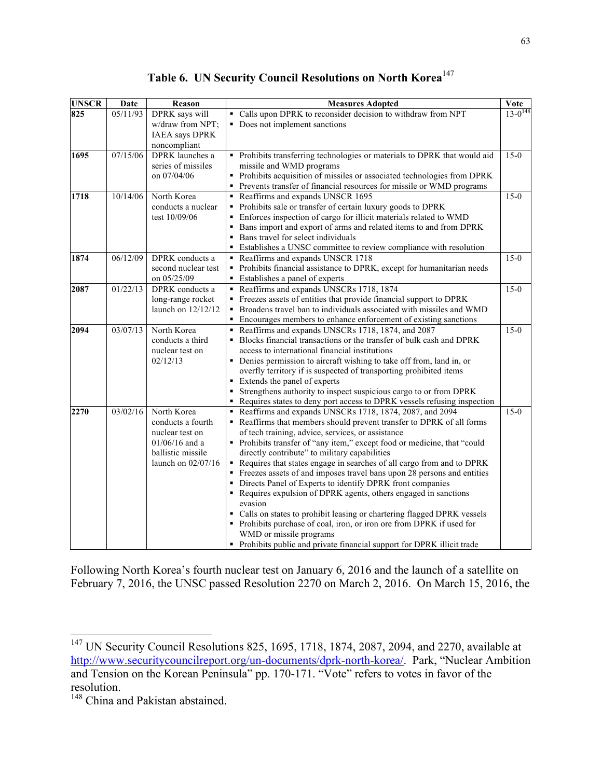|  |  |  | Table 6. UN Security Council Resolutions on North Korea <sup>147</sup> |  |  |
|--|--|--|------------------------------------------------------------------------|--|--|
|--|--|--|------------------------------------------------------------------------|--|--|

| <b>UNSCR</b> | Date     | Reason                 | <b>Measures Adopted</b>                                                                                                              | Vote           |
|--------------|----------|------------------------|--------------------------------------------------------------------------------------------------------------------------------------|----------------|
| 825          | 05/11/93 | DPRK says will         | • Calls upon DPRK to reconsider decision to withdraw from NPT                                                                        | $13 - 0^{148}$ |
|              |          | w/draw from NPT;       | • Does not implement sanctions                                                                                                       |                |
|              |          | <b>IAEA</b> says DPRK  |                                                                                                                                      |                |
|              |          | noncompliant           |                                                                                                                                      |                |
| 1695         | 07/15/06 | <b>DPRK</b> launches a | • Prohibits transferring technologies or materials to DPRK that would aid                                                            | $15-0$         |
|              |          | series of missiles     | missile and WMD programs                                                                                                             |                |
|              |          | on 07/04/06            | • Prohibits acquisition of missiles or associated technologies from DPRK                                                             |                |
|              |          |                        | • Prevents transfer of financial resources for missile or WMD programs                                                               |                |
| 1718         | 10/14/06 | North Korea            | Reaffirms and expands UNSCR 1695                                                                                                     | $15-0$         |
|              |          | conducts a nuclear     | • Prohibits sale or transfer of certain luxury goods to DPRK                                                                         |                |
|              |          | test 10/09/06          | • Enforces inspection of cargo for illicit materials related to WMD                                                                  |                |
|              |          |                        | • Bans import and export of arms and related items to and from DPRK                                                                  |                |
|              |          |                        | • Bans travel for select individuals                                                                                                 |                |
|              |          |                        | • Establishes a UNSC committee to review compliance with resolution                                                                  |                |
| 1874         | 06/12/09 | DPRK conducts a        | Reaffirms and expands UNSCR 1718                                                                                                     | $15-0$         |
|              |          | second nuclear test    | • Prohibits financial assistance to DPRK, except for humanitarian needs                                                              |                |
|              |          | on 05/25/09            | Establishes a panel of experts                                                                                                       |                |
| 2087         | 01/22/13 | DPRK conducts a        | Reaffirms and expands UNSCRs 1718, 1874                                                                                              | $15-0$         |
|              |          | long-range rocket      | • Freezes assets of entities that provide financial support to DPRK                                                                  |                |
|              |          | launch on $12/12/12$   | • Broadens travel ban to individuals associated with missiles and WMD                                                                |                |
|              |          |                        | • Encourages members to enhance enforcement of existing sanctions                                                                    |                |
| 2094         | 03/07/13 | North Korea            | Reaffirms and expands UNSCRs 1718, 1874, and 2087                                                                                    | $15-0$         |
|              |          | conducts a third       | • Blocks financial transactions or the transfer of bulk cash and DPRK                                                                |                |
|              |          | nuclear test on        | access to international financial institutions                                                                                       |                |
|              |          | 02/12/13               | • Denies permission to aircraft wishing to take off from, land in, or                                                                |                |
|              |          |                        | overfly territory if is suspected of transporting prohibited items                                                                   |                |
|              |          |                        | Extends the panel of experts<br>Strengthens authority to inspect suspicious cargo to or from DPRK                                    |                |
|              |          |                        |                                                                                                                                      |                |
| 2270         | 03/02/16 | North Korea            | • Requires states to deny port access to DPRK vessels refusing inspection<br>Reaffirms and expands UNSCRs 1718, 1874, 2087, and 2094 | $15-0$         |
|              |          | conducts a fourth      | • Reaffirms that members should prevent transfer to DPRK of all forms                                                                |                |
|              |          | nuclear test on        | of tech training, advice, services, or assistance                                                                                    |                |
|              |          | $01/06/16$ and a       | • Prohibits transfer of "any item," except food or medicine, that "could                                                             |                |
|              |          | ballistic missile      | directly contribute" to military capabilities                                                                                        |                |
|              |          | launch on 02/07/16     | Requires that states engage in searches of all cargo from and to DPRK                                                                |                |
|              |          |                        | • Freezes assets of and imposes travel bans upon 28 persons and entities                                                             |                |
|              |          |                        | • Directs Panel of Experts to identify DPRK front companies                                                                          |                |
|              |          |                        | • Requires expulsion of DPRK agents, others engaged in sanctions                                                                     |                |
|              |          |                        | evasion                                                                                                                              |                |
|              |          |                        | Calls on states to prohibit leasing or chartering flagged DPRK vessels                                                               |                |
|              |          |                        | Prohibits purchase of coal, iron, or iron ore from DPRK if used for                                                                  |                |
|              |          |                        | WMD or missile programs                                                                                                              |                |
|              |          |                        | • Prohibits public and private financial support for DPRK illicit trade                                                              |                |

Following North Korea's fourth nuclear test on January 6, 2016 and the launch of a satellite on February 7, 2016, the UNSC passed Resolution 2270 on March 2, 2016. On March 15, 2016, the

<sup>&</sup>lt;sup>147</sup> UN Security Council Resolutions 825, 1695, 1718, 1874, 2087, 2094, and 2270, available at http://www.securitycouncilreport.org/un-documents/dprk-north-korea/. Park, "Nuclear Ambition and Tension on the Korean Peninsula" pp. 170-171. "Vote" refers to votes in favor of the resolution.

<sup>&</sup>lt;sup>148</sup> China and Pakistan abstained.